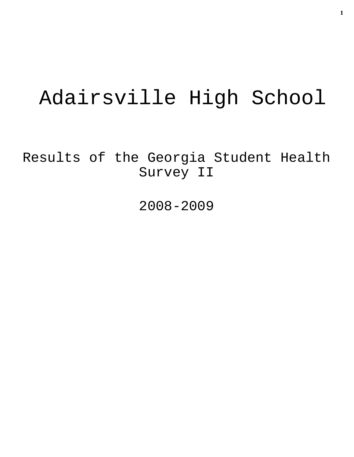# Adairsville High School

Results of the Georgia Student Health Survey II

2008-2009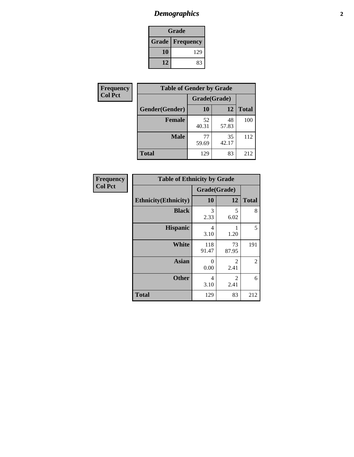### *Demographics* **2**

| Grade                    |     |  |
|--------------------------|-----|--|
| <b>Grade   Frequency</b> |     |  |
| 10                       | 129 |  |
| 12                       | 83  |  |

| Frequency      | <b>Table of Gender by Grade</b> |              |             |              |
|----------------|---------------------------------|--------------|-------------|--------------|
| <b>Col Pct</b> |                                 | Grade(Grade) |             |              |
|                | Gender(Gender)                  | 10           | 12          | <b>Total</b> |
|                | <b>Female</b>                   | 52<br>40.31  | 48<br>57.83 | 100          |
|                | <b>Male</b>                     | 77<br>59.69  | 35<br>42.17 | 112          |
|                | <b>Total</b>                    | 129          | 83          | 212          |

| <b>Frequency</b> | <b>Table of Ethnicity by Grade</b> |              |                        |                |  |
|------------------|------------------------------------|--------------|------------------------|----------------|--|
| <b>Col Pct</b>   |                                    | Grade(Grade) |                        |                |  |
|                  | <b>Ethnicity</b> (Ethnicity)       | 10           | 12                     | <b>Total</b>   |  |
|                  | <b>Black</b>                       | 3<br>2.33    | 5<br>6.02              | 8              |  |
|                  | <b>Hispanic</b>                    | 4<br>3.10    | 1.20                   | 5              |  |
|                  | <b>White</b>                       | 118<br>91.47 | 73<br>87.95            | 191            |  |
|                  | <b>Asian</b>                       | 0<br>0.00    | $\mathfrak{D}$<br>2.41 | $\overline{2}$ |  |
|                  | <b>Other</b>                       | 4<br>3.10    | 2<br>2.41              | 6              |  |

**Total** 129 83 212

8

5

2

6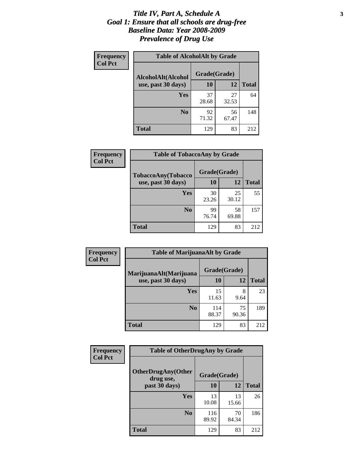#### *Title IV, Part A, Schedule A* **3** *Goal 1: Ensure that all schools are drug-free Baseline Data: Year 2008-2009 Prevalence of Drug Use*

| Frequency<br><b>Col Pct</b> | <b>Table of AlcoholAlt by Grade</b> |              |             |              |  |
|-----------------------------|-------------------------------------|--------------|-------------|--------------|--|
|                             | AlcoholAlt(Alcohol                  | Grade(Grade) |             |              |  |
|                             | use, past 30 days)                  | 10           | 12          | <b>Total</b> |  |
|                             | Yes                                 | 37<br>28.68  | 27<br>32.53 | 64           |  |
|                             | N <sub>0</sub>                      | 92<br>71.32  | 56<br>67.47 | 148          |  |
|                             | <b>Total</b>                        | 129          | 83          | 212          |  |

| Frequency<br><b>Col Pct</b> | <b>Table of TobaccoAny by Grade</b> |              |             |              |
|-----------------------------|-------------------------------------|--------------|-------------|--------------|
|                             | <b>TobaccoAny(Tobacco</b>           | Grade(Grade) |             |              |
|                             | use, past 30 days)                  | 10           | 12          | <b>Total</b> |
|                             | Yes                                 | 30<br>23.26  | 25<br>30.12 | 55           |
|                             | N <sub>0</sub>                      | 99<br>76.74  | 58<br>69.88 | 157          |
|                             | Total                               | 129          | 83          | 212          |

| Frequency<br><b>Col Pct</b> | <b>Table of MarijuanaAlt by Grade</b> |              |             |              |
|-----------------------------|---------------------------------------|--------------|-------------|--------------|
|                             | MarijuanaAlt(Marijuana                | Grade(Grade) |             |              |
|                             | use, past 30 days)                    | 10           | 12          | <b>Total</b> |
|                             | Yes                                   | 15<br>11.63  | 8<br>9.64   | 23           |
|                             | N <sub>0</sub>                        | 114<br>88.37 | 75<br>90.36 | 189          |
|                             | <b>Total</b>                          | 129          | 83          | 212          |

| Frequency<br><b>Col Pct</b> | <b>Table of OtherDrugAny by Grade</b>  |              |             |              |
|-----------------------------|----------------------------------------|--------------|-------------|--------------|
|                             | <b>OtherDrugAny(Other</b><br>drug use, | Grade(Grade) |             |              |
|                             | past 30 days)                          | 10           | 12          | <b>Total</b> |
|                             | Yes                                    | 13<br>10.08  | 13<br>15.66 | 26           |
|                             | N <sub>0</sub>                         | 116<br>89.92 | 70<br>84.34 | 186          |
|                             | <b>Total</b>                           | 129          | 83          | 212          |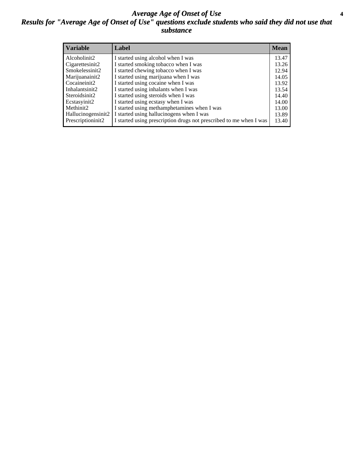#### *Average Age of Onset of Use* **4** *Results for "Average Age of Onset of Use" questions exclude students who said they did not use that substance*

| <b>Variable</b>    | Label                                                              | <b>Mean</b> |
|--------------------|--------------------------------------------------------------------|-------------|
| Alcoholinit2       | I started using alcohol when I was                                 | 13.47       |
| Cigarettesinit2    | I started smoking tobacco when I was                               | 13.26       |
| Smokelessinit2     | I started chewing tobacco when I was                               | 12.94       |
| Marijuanainit2     | I started using marijuana when I was                               | 14.05       |
| Cocaineinit2       | I started using cocaine when I was                                 | 13.92       |
| Inhalantsinit2     | I started using inhalants when I was                               | 13.54       |
| Steroidsinit2      | I started using steroids when I was                                | 14.40       |
| Ecstasyinit2       | I started using ecstasy when I was                                 | 14.00       |
| Methinit2          | I started using methamphetamines when I was                        | 13.00       |
| Hallucinogensinit2 | I started using hallucinogens when I was                           | 13.89       |
| Prescriptioninit2  | I started using prescription drugs not prescribed to me when I was | 13.40       |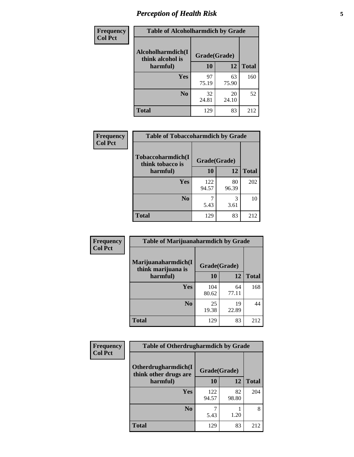# *Perception of Health Risk* **5**

| <b>Frequency</b> | <b>Table of Alcoholharmdich by Grade</b> |              |             |              |
|------------------|------------------------------------------|--------------|-------------|--------------|
| <b>Col Pct</b>   | Alcoholharmdich(I<br>think alcohol is    | Grade(Grade) |             |              |
|                  | harmful)                                 | 10           | 12          | <b>Total</b> |
|                  | Yes                                      | 97<br>75.19  | 63<br>75.90 | 160          |
|                  | N <sub>0</sub>                           | 32<br>24.81  | 20<br>24.10 | 52           |
|                  | <b>Total</b>                             | 129          | 83          | 212          |

| Frequency      | <b>Table of Tobaccoharmdich by Grade</b> |              |             |              |  |
|----------------|------------------------------------------|--------------|-------------|--------------|--|
| <b>Col Pct</b> | Tobaccoharmdich(I<br>think tobacco is    | Grade(Grade) |             |              |  |
|                | harmful)                                 | 10           | 12          | <b>Total</b> |  |
|                | Yes                                      | 122<br>94.57 | 80<br>96.39 | 202          |  |
|                | N <sub>0</sub>                           | 5.43         | 3<br>3.61   | 10           |  |
|                | <b>Total</b>                             | 129          | 83          | 212          |  |

| Frequency      | <b>Table of Marijuanaharmdich by Grade</b>                |              |             |              |
|----------------|-----------------------------------------------------------|--------------|-------------|--------------|
| <b>Col Pct</b> | Marijuanaharmdich(I<br>Grade(Grade)<br>think marijuana is |              |             |              |
|                | harmful)                                                  | 10           | 12          | <b>Total</b> |
|                | Yes                                                       | 104<br>80.62 | 64<br>77.11 | 168          |
|                | N <sub>0</sub>                                            | 25<br>19.38  | 19<br>22.89 | 44           |
|                | <b>Total</b>                                              | 129          | 83          | 212          |

| <b>Frequency</b> | <b>Table of Otherdrugharmdich by Grade</b>                   |              |             |              |
|------------------|--------------------------------------------------------------|--------------|-------------|--------------|
| <b>Col Pct</b>   | Otherdrugharmdich(I<br>Grade(Grade)<br>think other drugs are |              |             |              |
|                  | harmful)                                                     | 10           | 12          | <b>Total</b> |
|                  | <b>Yes</b>                                                   | 122<br>94.57 | 82<br>98.80 | 204          |
|                  | N <sub>0</sub>                                               | 5.43         | 1.20        | 8            |
|                  | <b>Total</b>                                                 | 129          | 83          | 212          |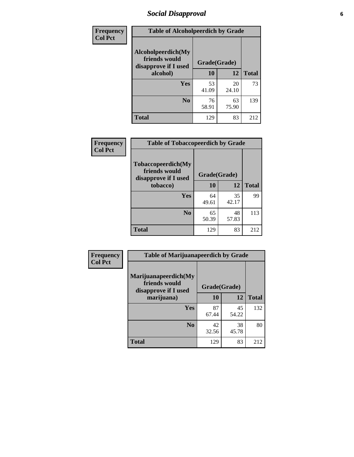# *Social Disapproval* **6**

| <b>Frequency</b> | <b>Table of Alcoholpeerdich by Grade</b>                    |              |             |              |
|------------------|-------------------------------------------------------------|--------------|-------------|--------------|
| <b>Col Pct</b>   | Alcoholpeerdich(My<br>friends would<br>disapprove if I used | Grade(Grade) |             |              |
|                  | alcohol)                                                    | 10           | 12          | <b>Total</b> |
|                  | Yes                                                         | 53<br>41.09  | 20<br>24.10 | 73           |
|                  | N <sub>0</sub>                                              | 76<br>58.91  | 63<br>75.90 | 139          |
|                  | <b>Total</b>                                                | 129          | 83          | 212          |

| <b>Frequency</b> |
|------------------|
| <b>Col Pct</b>   |

| <b>Table of Tobaccopeerdich by Grade</b>                    |              |             |              |  |
|-------------------------------------------------------------|--------------|-------------|--------------|--|
| Tobaccopeerdich(My<br>friends would<br>disapprove if I used | Grade(Grade) |             |              |  |
| tobacco)                                                    | 10           | 12          | <b>Total</b> |  |
| Yes                                                         | 64<br>49.61  | 35<br>42.17 | 99           |  |
| N <sub>0</sub>                                              | 65<br>50.39  | 48<br>57.83 | 113          |  |
| <b>Total</b>                                                | 129          | 83          | 212          |  |

| Frequency      | <b>Table of Marijuanapeerdich by Grade</b>                    |              |             |              |
|----------------|---------------------------------------------------------------|--------------|-------------|--------------|
| <b>Col Pct</b> | Marijuanapeerdich(My<br>friends would<br>disapprove if I used | Grade(Grade) |             |              |
|                | marijuana)                                                    | 10           | 12          | <b>Total</b> |
|                | <b>Yes</b>                                                    | 87<br>67.44  | 45<br>54.22 | 132          |
|                | N <sub>0</sub>                                                | 42<br>32.56  | 38<br>45.78 | 80           |
|                | <b>Total</b>                                                  | 129          | 83          | 212          |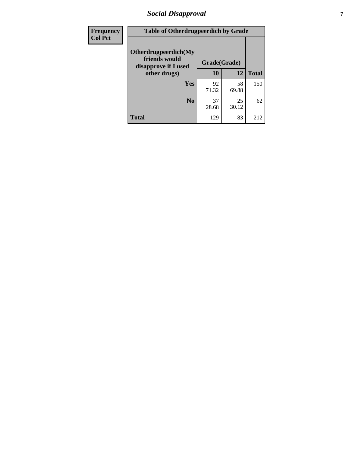# *Social Disapproval* **7**

| Frequency      | <b>Table of Otherdrugpeerdich by Grade</b>                    |              |             |              |  |
|----------------|---------------------------------------------------------------|--------------|-------------|--------------|--|
| <b>Col Pct</b> | Otherdrugpeerdich(My<br>friends would<br>disapprove if I used | Grade(Grade) |             |              |  |
|                | other drugs)                                                  | 10           | 12          | <b>Total</b> |  |
|                | <b>Yes</b>                                                    | 92<br>71.32  | 58<br>69.88 | 150          |  |
|                | N <sub>0</sub>                                                | 37<br>28.68  | 25<br>30.12 | 62           |  |
|                | <b>Total</b>                                                  | 129          | 83          | 212          |  |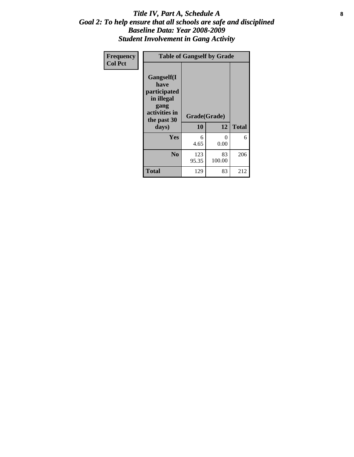#### Title IV, Part A, Schedule A **8** *Goal 2: To help ensure that all schools are safe and disciplined Baseline Data: Year 2008-2009 Student Involvement in Gang Activity*

| Frequency      | <b>Table of Gangself by Grade</b>                                                                 |                    |                  |              |
|----------------|---------------------------------------------------------------------------------------------------|--------------------|------------------|--------------|
| <b>Col Pct</b> | Gangself(I<br>have<br>participated<br>in illegal<br>gang<br>activities in<br>the past 30<br>days) | Grade(Grade)<br>10 | 12               | <b>Total</b> |
|                | Yes                                                                                               | 6<br>4.65          | $\theta$<br>0.00 | 6            |
|                | N <sub>0</sub>                                                                                    | 123<br>95.35       | 83<br>100.00     | 206          |
|                | <b>Total</b>                                                                                      | 129                | 83               | 212          |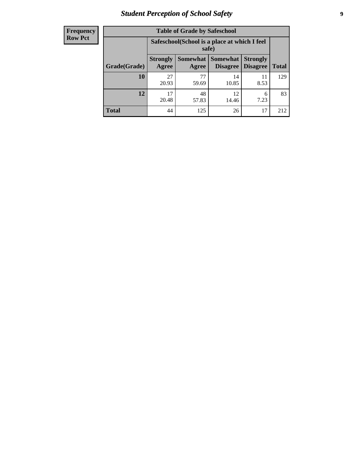# *Student Perception of School Safety* **9**

| <b>Frequency</b><br>Row Pct |
|-----------------------------|
|                             |

| <b>Table of Grade by Safeschool</b> |                                                                                                                            |             |             |            |     |  |  |
|-------------------------------------|----------------------------------------------------------------------------------------------------------------------------|-------------|-------------|------------|-----|--|--|
|                                     | Safeschool (School is a place at which I feel<br>safe)                                                                     |             |             |            |     |  |  |
| Grade(Grade)                        | Somewhat   Somewhat<br><b>Strongly</b><br><b>Strongly</b><br><b>Disagree</b><br>Agree<br>Disagree<br><b>Total</b><br>Agree |             |             |            |     |  |  |
| 10                                  | 27<br>20.93                                                                                                                | 77<br>59.69 | 14<br>10.85 | 11<br>8.53 | 129 |  |  |
| 12                                  | 17<br>20.48                                                                                                                | 48<br>57.83 | 12<br>14.46 | 6<br>7.23  | 83  |  |  |
| <b>Total</b>                        | 44                                                                                                                         | 125         | 26          | 17         | 212 |  |  |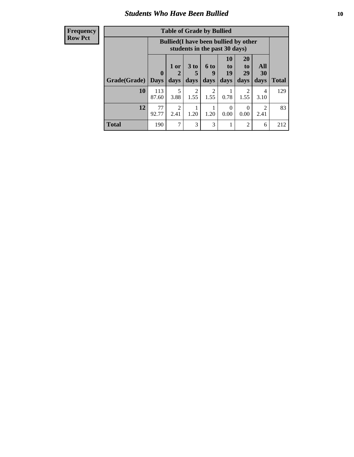### *Students Who Have Been Bullied* **10**

#### **Frequency Row Pct**

| <b>Table of Grade by Bullied</b> |                         |                                                                               |                              |                        |                               |                               |                                     |              |
|----------------------------------|-------------------------|-------------------------------------------------------------------------------|------------------------------|------------------------|-------------------------------|-------------------------------|-------------------------------------|--------------|
|                                  |                         | <b>Bullied</b> (I have been bullied by other<br>students in the past 30 days) |                              |                        |                               |                               |                                     |              |
| Grade(Grade)                     | $\bf{0}$<br><b>Days</b> | 1 or<br>days                                                                  | 3 <sub>to</sub><br>5<br>days | 6 to<br>9<br>days      | <b>10</b><br>to<br>19<br>days | <b>20</b><br>to<br>29<br>days | All<br><b>30</b><br>days            | <b>Total</b> |
| 10                               | 113<br>87.60            | 5<br>3.88                                                                     | $\overline{2}$<br>1.55       | $\overline{2}$<br>1.55 | 0.78                          | 2<br>1.55                     | 4<br>3.10                           | 129          |
| 12                               | 77<br>92.77             | $\mathfrak{D}$<br>2.41                                                        | 1.20                         | 1.20                   | 0<br>0.00                     | $\Omega$<br>0.00              | $\mathcal{D}_{\mathcal{L}}$<br>2.41 | 83           |
| <b>Total</b>                     | 190                     | 7                                                                             | 3                            | 3                      | 1                             | 2                             | 6                                   | 212          |

 $\blacksquare$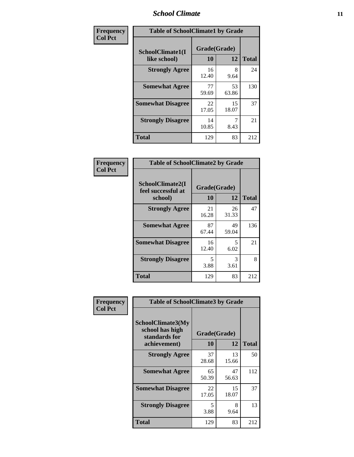#### *School Climate* **11**

| Frequency      | <b>Table of SchoolClimate1 by Grade</b> |                    |             |              |  |
|----------------|-----------------------------------------|--------------------|-------------|--------------|--|
| <b>Col Pct</b> | SchoolClimate1(I<br>like school)        | Grade(Grade)<br>10 | 12          | <b>Total</b> |  |
|                | <b>Strongly Agree</b>                   | 16<br>12.40        | 8<br>9.64   | 24           |  |
|                | <b>Somewhat Agree</b>                   | 77<br>59.69        | 53<br>63.86 | 130          |  |
|                | <b>Somewhat Disagree</b>                | 22<br>17.05        | 15<br>18.07 | 37           |  |
|                | <b>Strongly Disagree</b>                | 14<br>10.85        | 8.43        | 21           |  |
|                | <b>Total</b>                            | 129                | 83          | 212          |  |

| Frequency      | <b>Table of SchoolClimate2 by Grade</b> |              |             |              |  |  |
|----------------|-----------------------------------------|--------------|-------------|--------------|--|--|
| <b>Col Pct</b> | SchoolClimate2(I<br>feel successful at  | Grade(Grade) |             |              |  |  |
|                | school)                                 | 10           | 12          | <b>Total</b> |  |  |
|                | <b>Strongly Agree</b>                   | 21<br>16.28  | 26<br>31.33 | 47           |  |  |
|                | <b>Somewhat Agree</b>                   | 87<br>67.44  | 49<br>59.04 | 136          |  |  |
|                | <b>Somewhat Disagree</b>                | 16<br>12.40  | 5<br>6.02   | 21           |  |  |
|                | <b>Strongly Disagree</b>                | 5<br>3.88    | 3<br>3.61   | 8            |  |  |
|                | <b>Total</b>                            | 129          | 83          | 212          |  |  |

| Frequency      | <b>Table of SchoolClimate3 by Grade</b>                                      |                           |             |              |  |  |
|----------------|------------------------------------------------------------------------------|---------------------------|-------------|--------------|--|--|
| <b>Col Pct</b> | <b>SchoolClimate3(My</b><br>school has high<br>standards for<br>achievement) | Grade(Grade)<br><b>10</b> | 12          | <b>Total</b> |  |  |
|                |                                                                              |                           |             |              |  |  |
|                | <b>Strongly Agree</b>                                                        | 37<br>28.68               | 13<br>15.66 | 50           |  |  |
|                | <b>Somewhat Agree</b>                                                        | 65<br>50.39               | 47<br>56.63 | 112          |  |  |
|                | <b>Somewhat Disagree</b>                                                     | 22<br>17.05               | 15<br>18.07 | 37           |  |  |
|                | <b>Strongly Disagree</b>                                                     | 5<br>3.88                 | 8<br>9.64   | 13           |  |  |
|                | Total                                                                        | 129                       | 83          | 212          |  |  |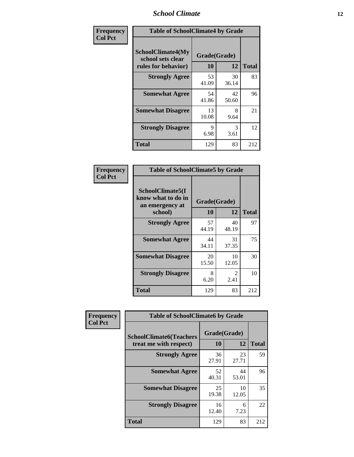#### *School Climate* **12**

| Frequency      | <b>Table of SchoolClimate4 by Grade</b>                              |                    |             |              |
|----------------|----------------------------------------------------------------------|--------------------|-------------|--------------|
| <b>Col Pct</b> | <b>SchoolClimate4(My</b><br>school sets clear<br>rules for behavior) | Grade(Grade)<br>10 | 12          | <b>Total</b> |
|                | <b>Strongly Agree</b>                                                | 53<br>41.09        | 30<br>36.14 | 83           |
|                | <b>Somewhat Agree</b>                                                | 54<br>41.86        | 42<br>50.60 | 96           |
|                | <b>Somewhat Disagree</b>                                             | 13<br>10.08        | 8<br>9.64   | 21           |
|                | <b>Strongly Disagree</b>                                             | 9<br>6.98          | 3<br>3.61   | 12           |
|                | <b>Total</b>                                                         | 129                | 83          | 212          |

| <b>Table of SchoolClimate5 by Grade</b>                              |                    |              |     |  |
|----------------------------------------------------------------------|--------------------|--------------|-----|--|
| SchoolClimate5(I<br>know what to do in<br>an emergency at<br>school) | Grade(Grade)<br>10 | <b>Total</b> |     |  |
|                                                                      |                    | 12           |     |  |
| <b>Strongly Agree</b>                                                | 57<br>44.19        | 40<br>48.19  | 97  |  |
| <b>Somewhat Agree</b>                                                | 44<br>34.11        | 31<br>37.35  | 75  |  |
| <b>Somewhat Disagree</b>                                             | 20<br>15.50        | 10<br>12.05  | 30  |  |
| <b>Strongly Disagree</b>                                             | 8<br>6.20          | 2<br>2.41    | 10  |  |
| <b>Total</b>                                                         | 129                | 83           | 212 |  |

| <b>Frequency</b> | <b>Table of SchoolClimate6 by Grade</b>                  |                    |             |              |
|------------------|----------------------------------------------------------|--------------------|-------------|--------------|
| <b>Col Pct</b>   | <b>SchoolClimate6(Teachers</b><br>treat me with respect) | Grade(Grade)<br>10 | 12          | <b>Total</b> |
|                  | <b>Strongly Agree</b>                                    | 36<br>27.91        | 23<br>27.71 | 59           |
|                  | <b>Somewhat Agree</b>                                    | 52<br>40.31        | 44<br>53.01 | 96           |
|                  | <b>Somewhat Disagree</b>                                 | 25<br>19.38        | 10<br>12.05 | 35           |
|                  | <b>Strongly Disagree</b>                                 | 16<br>12.40        | 6<br>7.23   | 22           |
|                  | <b>Total</b>                                             | 129                | 83          | 212          |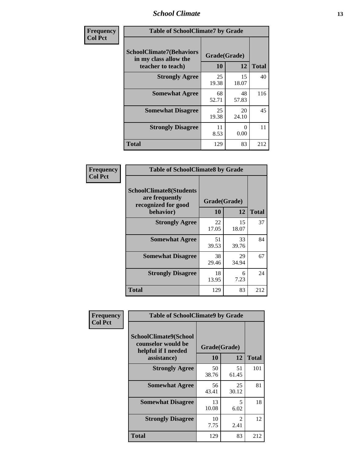#### *School Climate* **13**

| Frequency      | <b>Table of SchoolClimate7 by Grade</b>                                       |                           |             |              |
|----------------|-------------------------------------------------------------------------------|---------------------------|-------------|--------------|
| <b>Col Pct</b> | <b>SchoolClimate7(Behaviors</b><br>in my class allow the<br>teacher to teach) | Grade(Grade)<br><b>10</b> | 12          | <b>Total</b> |
|                | <b>Strongly Agree</b>                                                         | 25<br>19.38               | 15<br>18.07 | 40           |
|                | <b>Somewhat Agree</b>                                                         | 68<br>52.71               | 48<br>57.83 | 116          |
|                | <b>Somewhat Disagree</b>                                                      | 25<br>19.38               | 20<br>24.10 | 45           |
|                | <b>Strongly Disagree</b>                                                      | 11<br>8.53                | 0<br>0.00   | 11           |
|                | <b>Total</b>                                                                  | 129                       | 83          | 212          |

| Frequency      | <b>Table of SchoolClimate8 by Grade</b>                                 |              |             |              |
|----------------|-------------------------------------------------------------------------|--------------|-------------|--------------|
| <b>Col Pct</b> | <b>SchoolClimate8(Students</b><br>are frequently<br>recognized for good | Grade(Grade) |             |              |
|                | behavior)                                                               | 10           | 12          | <b>Total</b> |
|                | <b>Strongly Agree</b>                                                   | 22<br>17.05  | 15<br>18.07 | 37           |
|                | <b>Somewhat Agree</b>                                                   | 51<br>39.53  | 33<br>39.76 | 84           |
|                | <b>Somewhat Disagree</b>                                                | 38<br>29.46  | 29<br>34.94 | 67           |
|                | <b>Strongly Disagree</b>                                                | 18<br>13.95  | 6<br>7.23   | 24           |
|                | <b>Total</b>                                                            | 129          | 83          | 212          |

| Frequency      | <b>Table of SchoolClimate9 by Grade</b>                                                  |                    |             |              |
|----------------|------------------------------------------------------------------------------------------|--------------------|-------------|--------------|
| <b>Col Pct</b> | <b>SchoolClimate9(School</b><br>counselor would be<br>helpful if I needed<br>assistance) | Grade(Grade)<br>10 | 12          | <b>Total</b> |
|                | <b>Strongly Agree</b>                                                                    | 50<br>38.76        | 51<br>61.45 | 101          |
|                | <b>Somewhat Agree</b>                                                                    | 56<br>43.41        | 25<br>30.12 | 81           |
|                | <b>Somewhat Disagree</b>                                                                 | 13<br>10.08        | 5<br>6.02   | 18           |
|                | <b>Strongly Disagree</b>                                                                 | 10<br>7.75         | 2<br>2.41   | 12           |
|                | <b>Total</b>                                                                             | 129                | 83          | 212          |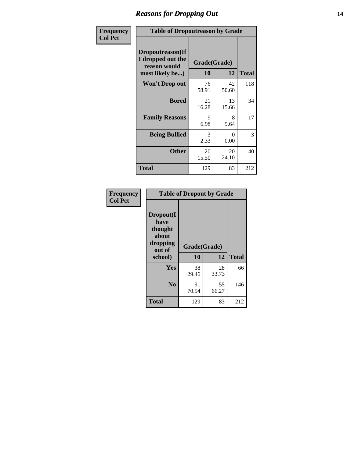### *Reasons for Dropping Out* **14**

| Frequency      | <b>Table of Dropoutreason by Grade</b>                                   |                    |             |              |
|----------------|--------------------------------------------------------------------------|--------------------|-------------|--------------|
| <b>Col Pct</b> | Dropoutreason(If<br>I dropped out the<br>reason would<br>most likely be) | Grade(Grade)<br>10 | 12          | <b>Total</b> |
|                | Won't Drop out                                                           | 76<br>58.91        | 42<br>50.60 | 118          |
|                | <b>Bored</b>                                                             | 21<br>16.28        | 13<br>15.66 | 34           |
|                | <b>Family Reasons</b>                                                    | 9<br>6.98          | 8<br>9.64   | 17           |
|                | <b>Being Bullied</b>                                                     | 3<br>2.33          | 0<br>0.00   | 3            |
|                | <b>Other</b>                                                             | 20<br>15.50        | 20<br>24.10 | 40           |
|                | <b>Total</b>                                                             | 129                | 83          | 212          |

| Frequency      | <b>Table of Dropout by Grade</b>                            |              |             |              |  |
|----------------|-------------------------------------------------------------|--------------|-------------|--------------|--|
| <b>Col Pct</b> | Dropout(I<br>have<br>thought<br>about<br>dropping<br>out of | Grade(Grade) |             |              |  |
|                | school)                                                     | 10           | 12          | <b>Total</b> |  |
|                | Yes                                                         | 38<br>29.46  | 28<br>33.73 | 66           |  |
|                | N <sub>0</sub>                                              | 91<br>70.54  | 55<br>66.27 | 146          |  |
|                | <b>Total</b>                                                | 129          | 83          | 212          |  |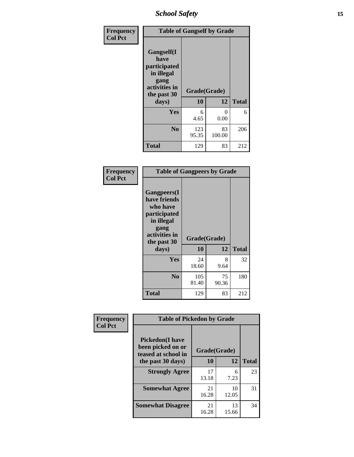*School Safety* **15**

| Frequency      |                                                                                                   | <b>Table of Gangself by Grade</b> |              |              |  |
|----------------|---------------------------------------------------------------------------------------------------|-----------------------------------|--------------|--------------|--|
| <b>Col Pct</b> | Gangself(I<br>have<br>participated<br>in illegal<br>gang<br>activities in<br>the past 30<br>days) | Grade(Grade)<br>10<br>12          |              | <b>Total</b> |  |
|                | Yes                                                                                               | 6<br>4.65                         | 0<br>0.00    | 6            |  |
|                | N <sub>o</sub>                                                                                    | 123<br>95.35                      | 83<br>100.00 | 206          |  |
|                | Total                                                                                             | 129                               | 83           | 212          |  |

| Frequency<br><b>Col Pct</b> | <b>Table of Gangpeers by Grade</b>                                                                                             |                    |             |              |
|-----------------------------|--------------------------------------------------------------------------------------------------------------------------------|--------------------|-------------|--------------|
|                             | <b>Gangpeers</b> (I<br>have friends<br>who have<br>participated<br>in illegal<br>gang<br>activities in<br>the past 30<br>days) | Grade(Grade)<br>10 | 12          | <b>Total</b> |
|                             | <b>Yes</b>                                                                                                                     | 24<br>18.60        | 8<br>9.64   | 32           |
|                             | N <sub>0</sub>                                                                                                                 | 105<br>81.40       | 75<br>90.36 | 180          |
|                             | <b>Total</b>                                                                                                                   | 129                | 83          | 212          |

| Frequency      | <b>Table of Pickedon by Grade</b>                                  |              |             |              |
|----------------|--------------------------------------------------------------------|--------------|-------------|--------------|
| <b>Col Pct</b> | <b>Pickedon(I have</b><br>been picked on or<br>teased at school in | Grade(Grade) |             |              |
|                | the past 30 days)                                                  | 10           | 12          | <b>Total</b> |
|                | <b>Strongly Agree</b>                                              | 17<br>13.18  | 6<br>7.23   | 23           |
|                | <b>Somewhat Agree</b>                                              | 21<br>16.28  | 10<br>12.05 | 31           |
|                | <b>Somewhat Disagree</b>                                           | 21<br>16.28  | 13<br>15.66 | 34           |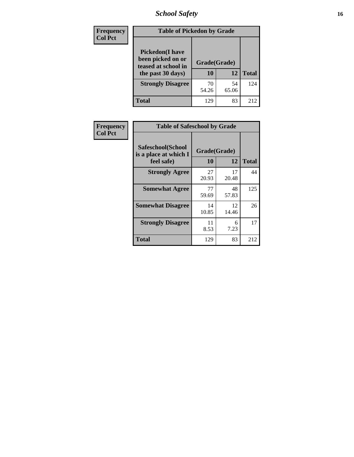*School Safety* **16**

| <b>Frequency</b> | <b>Table of Pickedon by Grade</b>                                                        |                    |             |              |
|------------------|------------------------------------------------------------------------------------------|--------------------|-------------|--------------|
| <b>Col Pct</b>   | <b>Pickedon</b> (I have<br>been picked on or<br>teased at school in<br>the past 30 days) | Grade(Grade)<br>10 | 12          | <b>Total</b> |
|                  | <b>Strongly Disagree</b>                                                                 | 70<br>54.26        | 54<br>65.06 | 124          |
|                  | Total                                                                                    | 129                | 83          | 212          |

| Frequency      |                                                          | <b>Table of Safeschool by Grade</b> |             |              |  |  |  |  |  |  |
|----------------|----------------------------------------------------------|-------------------------------------|-------------|--------------|--|--|--|--|--|--|
| <b>Col Pct</b> | Safeschool(School<br>is a place at which I<br>feel safe) | Grade(Grade)<br>10                  | 12          | <b>Total</b> |  |  |  |  |  |  |
|                | <b>Strongly Agree</b>                                    | 27<br>20.93                         | 17<br>20.48 | 44           |  |  |  |  |  |  |
|                | <b>Somewhat Agree</b>                                    | 77<br>59.69                         | 48<br>57.83 | 125          |  |  |  |  |  |  |
|                | <b>Somewhat Disagree</b>                                 | 14<br>10.85                         | 12<br>14.46 | 26           |  |  |  |  |  |  |
|                | <b>Strongly Disagree</b>                                 | 11<br>8.53                          | 6<br>7.23   | 17           |  |  |  |  |  |  |
|                | <b>Total</b>                                             | 129                                 | 83          | 212          |  |  |  |  |  |  |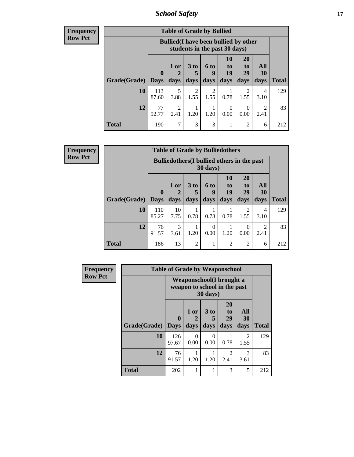*School Safety* **17**

**Frequency Row Pct**

|              | <b>Table of Grade by Bullied</b> |                                                                                                                                           |           |           |      |           |           |     |  |  |  |
|--------------|----------------------------------|-------------------------------------------------------------------------------------------------------------------------------------------|-----------|-----------|------|-----------|-----------|-----|--|--|--|
|              |                                  | <b>Bullied</b> (I have been bullied by other<br>students in the past 30 days)                                                             |           |           |      |           |           |     |  |  |  |
| Grade(Grade) | 0<br>  Days                      | 10<br><b>20</b><br>1 or<br>3 <sub>to</sub><br>6 to<br>to<br>to<br>19<br>29<br>5<br>q<br>2<br>days<br>days<br>days<br>days<br>days<br>days |           |           |      |           |           |     |  |  |  |
| <b>10</b>    | 113<br>87.60                     | 5<br>3.88                                                                                                                                 | 2<br>1.55 | 2<br>1.55 | 0.78 | 2<br>1.55 | 4<br>3.10 | 129 |  |  |  |
| 12           | 77<br>92.77                      | $\mathfrak{D}$<br>0<br>$\mathfrak{D}$<br>0<br>1.20<br>0.00<br>1.20<br>2.41<br>2.41<br>0.00                                                |           |           |      |           |           |     |  |  |  |
| <b>Total</b> | 190                              | 7                                                                                                                                         | 3         | 3         | 1    | 2         | 6         | 212 |  |  |  |

**Frequency Row Pct**

| <b>Table of Grade by Bulliedothers</b>                                                                                                                                                         |              |                                                              |                |  |                |                |   |              |  |  |  |
|------------------------------------------------------------------------------------------------------------------------------------------------------------------------------------------------|--------------|--------------------------------------------------------------|----------------|--|----------------|----------------|---|--------------|--|--|--|
| <b>Bulliedothers</b> (I bullied others in the past<br>$30 \text{ days}$                                                                                                                        |              |                                                              |                |  |                |                |   |              |  |  |  |
| 10<br>20<br>All<br>1 or<br>3 <sub>to</sub><br>6 to<br>to<br>to<br>29<br>19<br>$\mathbf{0}$<br>30<br>5<br>2<br>q<br>Grade(Grade)<br>days<br>days<br>days<br>days<br>days<br><b>Days</b><br>days |              |                                                              |                |  |                |                |   | <b>Total</b> |  |  |  |
| <b>10</b>                                                                                                                                                                                      | 110<br>85.27 | 10<br>2<br>4<br>0.78<br>0.78<br>7.75<br>0.78<br>1.55<br>3.10 |                |  |                |                |   |              |  |  |  |
| 12<br>3<br>76<br>$\mathfrak{D}$<br>$\Omega$<br>0<br>91.57<br>0.00<br>1.20<br>3.61<br>1.20<br>0.00<br>2.41                                                                                      |              |                                                              |                |  |                |                |   |              |  |  |  |
| <b>Total</b>                                                                                                                                                                                   | 186          | 13                                                           | $\overline{2}$ |  | $\overline{2}$ | $\overline{c}$ | 6 | 212          |  |  |  |

| Frequency      |              | <b>Table of Grade by Weaponschool</b> |                                                           |                              |                        |                        |              |
|----------------|--------------|---------------------------------------|-----------------------------------------------------------|------------------------------|------------------------|------------------------|--------------|
| <b>Row Pct</b> |              |                                       | Weaponschool (I brought a<br>weapon to school in the past | 30 days)                     |                        |                        |              |
|                | Grade(Grade) | $\bf{0}$<br><b>Days</b>               | 1 or<br>days                                              | 3 <sub>to</sub><br>5<br>days | 20<br>to<br>29<br>days | All<br>30<br>days      | <b>Total</b> |
|                | 10           | 126<br>97.67                          | 0<br>0.00                                                 | $\Omega$<br>0.00             | 0.78                   | $\mathfrak{D}$<br>1.55 | 129          |
|                | 12           | 76<br>91.57                           | 1.20                                                      | 1.20                         | 2<br>2.41              | 3<br>3.61              | 83           |
|                | <b>Total</b> | 202                                   |                                                           | 1                            | 3                      | 5                      | 212          |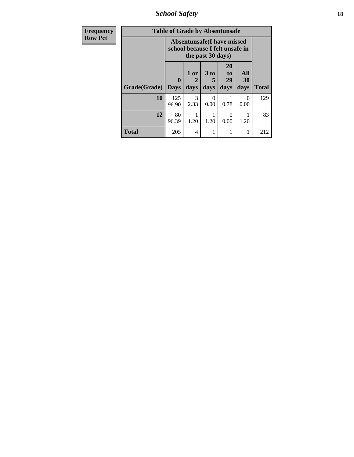*School Safety* **18**

| Frequency      |              | <b>Table of Grade by Absentunsafe</b> |                   |                   |                                                                      |                   |              |
|----------------|--------------|---------------------------------------|-------------------|-------------------|----------------------------------------------------------------------|-------------------|--------------|
| <b>Row Pct</b> |              |                                       |                   | the past 30 days) | <b>Absentunsafe(I have missed</b><br>school because I felt unsafe in |                   |              |
|                | Grade(Grade) | $\mathbf{0}$<br><b>Days</b>           | 1 or<br>2<br>days | 3 to<br>days      | 20<br>to<br>29<br>days                                               | All<br>30<br>days | <b>Total</b> |
|                | 10           | 125<br>96.90                          | 3<br>2.33         | $\Omega$<br>0.00  | 0.78                                                                 | 0<br>0.00         | 129          |
|                | 12           | 80<br>96.39                           | 1.20              | 1.20              | 0.00                                                                 | 1.20              | 83           |
|                | <b>Total</b> | 205                                   | $\overline{4}$    |                   | 1                                                                    |                   | 212          |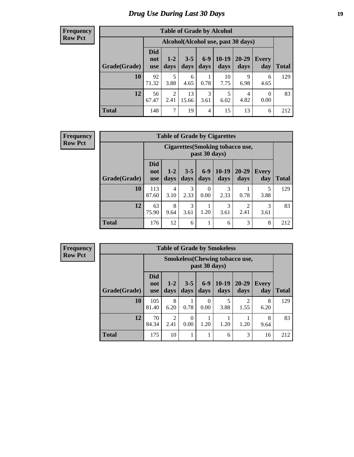# *Drug Use During Last 30 Days* **19**

#### **Frequency Row Pct**

| <b>Table of Grade by Alcohol</b> |             |                                                                                                                                                                                        |             |           |            |           |           |     |  |  |  |  |
|----------------------------------|-------------|----------------------------------------------------------------------------------------------------------------------------------------------------------------------------------------|-------------|-----------|------------|-----------|-----------|-----|--|--|--|--|
|                                  |             | Alcohol(Alcohol use, past 30 days)<br>$6-9$<br>$10-19$<br>$20 - 29$<br>$3 - 5$<br>$1 - 2$<br><b>Every</b><br>not<br>days<br>days<br>days<br>day<br>Total<br>days<br>days<br><b>use</b> |             |           |            |           |           |     |  |  |  |  |
| Grade(Grade)                     | <b>Did</b>  |                                                                                                                                                                                        |             |           |            |           |           |     |  |  |  |  |
| 10                               | 92<br>71.32 | 5<br>3.88                                                                                                                                                                              | 6<br>4.65   | 0.78      | 10<br>7.75 | 9<br>6.98 | 6<br>4.65 | 129 |  |  |  |  |
| 12                               | 56<br>67.47 | $\overline{2}$<br>2.41                                                                                                                                                                 | 13<br>15.66 | 3<br>3.61 | 5<br>6.02  | 4<br>4.82 | 0<br>0.00 | 83  |  |  |  |  |
| <b>Total</b>                     | 148         | 7                                                                                                                                                                                      | 19          | 4         | 15         | 13        | 6         | 212 |  |  |  |  |

#### **Frequency Row Pct**

| <b>Table of Grade by Cigarettes</b> |                                 |                                                                                                                                  |   |   |   |   |   |     |  |  |  |  |
|-------------------------------------|---------------------------------|----------------------------------------------------------------------------------------------------------------------------------|---|---|---|---|---|-----|--|--|--|--|
|                                     |                                 | <b>Cigarettes(Smoking tobacco use,</b><br>past 30 days)                                                                          |   |   |   |   |   |     |  |  |  |  |
| Grade(Grade)                        | <b>Did</b><br>not<br><b>use</b> | $10-19$<br>$6 - 9$<br>20-29<br>$3 - 5$<br>$1 - 2$<br><b>Every</b><br>days<br><b>Total</b><br>day<br>days<br>days<br>days<br>days |   |   |   |   |   |     |  |  |  |  |
| 10                                  | 113<br>87.60                    | 3<br>3<br>5<br>4<br>0<br>2.33<br>2.33<br>0.78<br>0.00<br>3.10<br>3.88                                                            |   |   |   |   |   |     |  |  |  |  |
| 12                                  | 63<br>75.90                     | 8<br>3<br>3<br>3<br>റ<br>1.20<br>2.41<br>3.61<br>3.61<br>9.64<br>3.61                                                            |   |   |   |   |   |     |  |  |  |  |
| <b>Total</b>                        | 176                             | 12                                                                                                                               | 6 | 1 | 6 | 3 | 8 | 212 |  |  |  |  |

**Frequency Row Pct**

|              | <b>Table of Grade by Smokeless</b>                                                                                                                                      |                                                             |      |                  |           |                        |           |     |  |  |  |  |
|--------------|-------------------------------------------------------------------------------------------------------------------------------------------------------------------------|-------------------------------------------------------------|------|------------------|-----------|------------------------|-----------|-----|--|--|--|--|
|              |                                                                                                                                                                         | <b>Smokeless</b> (Chewing tobacco use,<br>past 30 days)     |      |                  |           |                        |           |     |  |  |  |  |
| Grade(Grade) | <b>Did</b><br>$10-19$<br>$6 - 9$<br>$20 - 29$<br>$3 - 5$<br>$1 - 2$<br><b>Every</b><br>not<br><b>Total</b><br>days<br>day<br>days<br>days<br>days<br>days<br><b>use</b> |                                                             |      |                  |           |                        |           |     |  |  |  |  |
| 10           | 105<br>81.40                                                                                                                                                            | 8<br>6.20                                                   | 0.78 | $\Omega$<br>0.00 | 5<br>3.88 | $\mathfrak{D}$<br>1.55 | 8<br>6.20 | 129 |  |  |  |  |
| 12           | 70<br>84.34                                                                                                                                                             | 2<br>8<br>0<br>1.20<br>1.20<br>1.20<br>0.00<br>2.41<br>9.64 |      |                  |           |                        |           |     |  |  |  |  |
| <b>Total</b> | 175                                                                                                                                                                     | 10                                                          |      |                  | 6         | 3                      | 16        | 212 |  |  |  |  |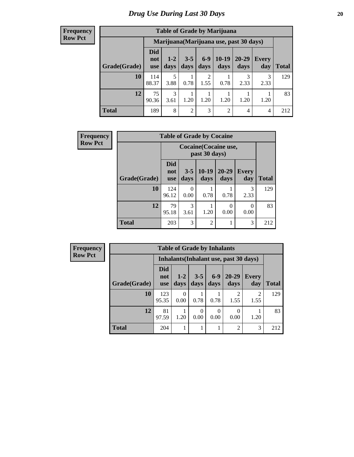#### **Frequency Row Pct**

| <b>Table of Grade by Marijuana</b>                                                                                                                           |              |                       |                |                        |                                         |           |           |     |  |  |
|--------------------------------------------------------------------------------------------------------------------------------------------------------------|--------------|-----------------------|----------------|------------------------|-----------------------------------------|-----------|-----------|-----|--|--|
|                                                                                                                                                              |              |                       |                |                        | Marijuana (Marijuana use, past 30 days) |           |           |     |  |  |
| <b>Did</b><br>$10-19$<br>$6 - 9$<br>20-29<br>$3 - 5$<br>$1 - 2$<br>Every<br>not<br>days<br>Grade(Grade)<br>days<br>days<br>days<br>days<br>day<br><b>use</b> |              |                       |                |                        |                                         |           |           |     |  |  |
| 10                                                                                                                                                           | 114<br>88.37 | 5<br>3.88             | 0.78           | $\overline{2}$<br>1.55 | 0.78                                    | 3<br>2.33 | 3<br>2.33 | 129 |  |  |
| 12                                                                                                                                                           | 75<br>90.36  | $\mathcal{R}$<br>3.61 | 1.20           | 1.20                   | 1.20                                    | 1.20      | 1.20      | 83  |  |  |
| <b>Total</b>                                                                                                                                                 | 189          | 8                     | $\overline{2}$ | 3                      | $\overline{2}$                          | 4         | 4         | 212 |  |  |

| <b>Frequency</b> |              | <b>Table of Grade by Cocaine</b> |                 |                                        |                   |              |              |  |  |  |  |  |
|------------------|--------------|----------------------------------|-----------------|----------------------------------------|-------------------|--------------|--------------|--|--|--|--|--|
| <b>Row Pct</b>   |              |                                  |                 | Cocaine (Cocaine use,<br>past 30 days) |                   |              |              |  |  |  |  |  |
|                  | Grade(Grade) | <b>Did</b><br>not<br><b>use</b>  | $3 - 5$<br>days | $10-19$<br>days                        | $20 - 29$<br>days | Every<br>day | <b>Total</b> |  |  |  |  |  |
|                  | 10           | 124<br>96.12                     | 0<br>0.00       | 0.78                                   | 0.78              | 3<br>2.33    | 129          |  |  |  |  |  |
|                  | 12           | 79<br>95.18                      | 3<br>3.61       | 1.20                                   | 0<br>0.00         | 0<br>0.00    | 83           |  |  |  |  |  |
|                  | <b>Total</b> | 203                              | 3               | $\overline{2}$                         |                   | 3            | 212          |  |  |  |  |  |

| Frequency      |              | <b>Table of Grade by Inhalants</b> |                  |                 |               |                                        |                        |              |  |  |  |
|----------------|--------------|------------------------------------|------------------|-----------------|---------------|----------------------------------------|------------------------|--------------|--|--|--|
| <b>Row Pct</b> |              |                                    |                  |                 |               | Inhalants (Inhalant use, past 30 days) |                        |              |  |  |  |
|                | Grade(Grade) | <b>Did</b><br>not<br><b>use</b>    | $1-2$<br>days    | $3 - 5$<br>days | $6-9$<br>days | $20 - 29$<br>days                      | <b>Every</b><br>day    | <b>Total</b> |  |  |  |
|                | 10           | 123<br>95.35                       | $\theta$<br>0.00 | 0.78            | 0.78          | $\mathfrak{D}$<br>1.55                 | $\mathfrak{D}$<br>1.55 | 129          |  |  |  |
|                | 12           | 81<br>97.59                        | 1.20             | 0<br>0.00       | 0<br>0.00     | 0<br>0.00                              | 1.20                   | 83           |  |  |  |
|                | <b>Total</b> | 204                                |                  |                 |               | $\overline{c}$                         | 3                      | 212          |  |  |  |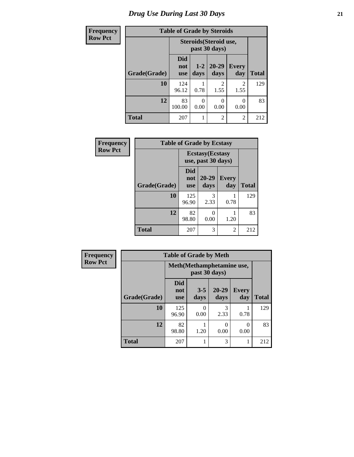# *Drug Use During Last 30 Days* **21**

 $\overline{\phantom{a}}$ 

| <b>Frequency</b> |              | <b>Table of Grade by Steroids</b>       |                  |                        |                        |              |  |  |  |  |
|------------------|--------------|-----------------------------------------|------------------|------------------------|------------------------|--------------|--|--|--|--|
| <b>Row Pct</b>   |              | Steroids (Steroid use,<br>past 30 days) |                  |                        |                        |              |  |  |  |  |
|                  | Grade(Grade) | <b>Did</b><br>not<br><b>use</b>         | $1 - 2$<br>days  | $20 - 29$<br>days      | <b>Every</b><br>day    | <b>Total</b> |  |  |  |  |
|                  | 10           | 124<br>96.12                            | 0.78             | $\mathfrak{D}$<br>1.55 | $\overline{2}$<br>1.55 | 129          |  |  |  |  |
|                  | 12           | 83<br>100.00                            | $\Omega$<br>0.00 | 0<br>0.00              | 0<br>0.00              | 83           |  |  |  |  |
|                  | <b>Total</b> | 207                                     |                  | $\overline{2}$         | $\overline{2}$         | 212          |  |  |  |  |

| Frequency      | <b>Table of Grade by Ecstasy</b> |                                               |                   |                          |              |
|----------------|----------------------------------|-----------------------------------------------|-------------------|--------------------------|--------------|
| <b>Row Pct</b> |                                  | <b>Ecstasy</b> (Ecstasy<br>use, past 30 days) |                   |                          |              |
|                | Grade(Grade)                     | <b>Did</b><br>not<br><b>use</b>               | $20 - 29$<br>days | Every<br>day             | <b>Total</b> |
|                | 10                               | 125<br>96.90                                  | 3<br>2.33         | 0.78                     | 129          |
|                | 12                               | 82<br>98.80                                   | 0<br>0.00         | 1.20                     | 83           |
|                | Total                            | 207                                           | 3                 | $\overline{\mathcal{L}}$ | 212          |

| <b>Frequency</b> | <b>Table of Grade by Meth</b> |                                 |                 |                   |                     |              |
|------------------|-------------------------------|---------------------------------|-----------------|-------------------|---------------------|--------------|
| <b>Row Pct</b>   |                               | Meth(Methamphetamine use,       |                 |                   |                     |              |
|                  | Grade(Grade)                  | <b>Did</b><br>not<br><b>use</b> | $3 - 5$<br>days | $20 - 29$<br>days | <b>Every</b><br>day | <b>Total</b> |
|                  | 10                            | 125<br>96.90                    | 0<br>0.00       | 3<br>2.33         | 0.78                | 129          |
|                  | 12                            | 82<br>98.80                     | 1.20            | 0<br>0.00         | 0.00                | 83           |
|                  | <b>Total</b>                  | 207                             |                 | 3                 |                     | 212          |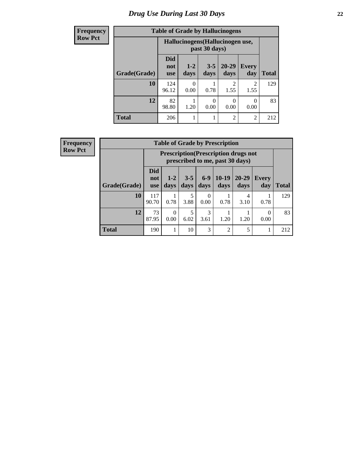# *Drug Use During Last 30 Days* **22**

| <b>Frequency</b> | <b>Table of Grade by Hallucinogens</b> |                                                   |               |                  |                        |                        |              |
|------------------|----------------------------------------|---------------------------------------------------|---------------|------------------|------------------------|------------------------|--------------|
| <b>Row Pct</b>   |                                        | Hallucinogens (Hallucinogen use,<br>past 30 days) |               |                  |                        |                        |              |
|                  | Grade(Grade)                           | <b>Did</b><br>not<br><b>use</b>                   | $1-2$<br>days | $3 - 5$<br>days  | $20 - 29$<br>days      | Every<br>day           | <b>Total</b> |
|                  | 10                                     | 124<br>96.12                                      | 0.00          | 0.78             | $\mathfrak{D}$<br>1.55 | $\mathfrak{D}$<br>1.55 | 129          |
|                  | 12                                     | 82<br>98.80                                       | 1.20          | $\Omega$<br>0.00 | 0<br>0.00              | 0<br>0.00              | 83           |
|                  | <b>Total</b>                           | 206                                               |               |                  | $\overline{2}$         | $\overline{c}$         | 212          |

| <b>Frequency</b> |
|------------------|
| <b>Row Pct</b>   |

| <b>Table of Grade by Prescription</b> |                          |                                                                                |                 |                  |                 |               |                     |              |
|---------------------------------------|--------------------------|--------------------------------------------------------------------------------|-----------------|------------------|-----------------|---------------|---------------------|--------------|
|                                       |                          | <b>Prescription</b> (Prescription drugs not<br>prescribed to me, past 30 days) |                 |                  |                 |               |                     |              |
| Grade(Grade)                          | Did<br>not<br><b>use</b> | $1 - 2$<br>days                                                                | $3 - 5$<br>days | $6 - 9$<br>days  | $10-19$<br>days | 20-29<br>days | <b>Every</b><br>day | <b>Total</b> |
| 10                                    | 117<br>90.70             | 0.78                                                                           | 5<br>3.88       | $\Omega$<br>0.00 | 0.78            | 4<br>3.10     | 0.78                | 129          |
| 12                                    | 73<br>87.95              | ∩<br>0.00                                                                      | 5<br>6.02       | 3<br>3.61        | 1.20            | 1.20          | 0<br>0.00           | 83           |
| <b>Total</b>                          | 190                      |                                                                                | 10              | 3                | $\overline{2}$  | 5             |                     | 212          |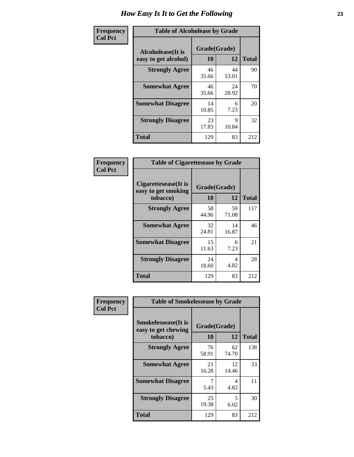| Frequency      | <b>Table of Alcoholease by Grade</b>              |                    |             |              |  |
|----------------|---------------------------------------------------|--------------------|-------------|--------------|--|
| <b>Col Pct</b> | <b>Alcoholease</b> (It is<br>easy to get alcohol) | Grade(Grade)<br>10 | 12          | <b>Total</b> |  |
|                | <b>Strongly Agree</b>                             | 46<br>35.66        | 44<br>53.01 | 90           |  |
|                | <b>Somewhat Agree</b>                             | 46<br>35.66        | 24<br>28.92 | 70           |  |
|                | <b>Somewhat Disagree</b>                          | 14<br>10.85        | 6<br>7.23   | 20           |  |
|                | <b>Strongly Disagree</b>                          | 23<br>17.83        | Q<br>10.84  | 32           |  |
|                | <b>Total</b>                                      | 129                | 83          | 212          |  |

| Frequency      | <b>Table of Cigarettesease by Grade</b>                 |                           |             |              |
|----------------|---------------------------------------------------------|---------------------------|-------------|--------------|
| <b>Col Pct</b> | Cigarettesease(It is<br>easy to get smoking<br>tobacco) | Grade(Grade)<br><b>10</b> | 12          | <b>Total</b> |
|                | <b>Strongly Agree</b>                                   | 58<br>44.96               | 59<br>71.08 | 117          |
|                | <b>Somewhat Agree</b>                                   | 32<br>24.81               | 14<br>16.87 | 46           |
|                | <b>Somewhat Disagree</b>                                | 15<br>11.63               | 6<br>7.23   | 21           |
|                | <b>Strongly Disagree</b>                                | 24<br>18.60               | 4<br>4.82   | 28           |
|                | <b>Total</b>                                            | 129                       | 83          | 212          |

| Frequency      | <b>Table of Smokelessease by Grade</b>                         |                    |             |              |
|----------------|----------------------------------------------------------------|--------------------|-------------|--------------|
| <b>Col Pct</b> | <b>Smokelessease</b> (It is<br>easy to get chewing<br>tobacco) | Grade(Grade)<br>10 | 12          | <b>Total</b> |
|                | <b>Strongly Agree</b>                                          | 76<br>58.91        | 62<br>74.70 | 138          |
|                | <b>Somewhat Agree</b>                                          | 21<br>16.28        | 12<br>14.46 | 33           |
|                | <b>Somewhat Disagree</b>                                       | 5.43               | 4<br>4.82   | 11           |
|                | <b>Strongly Disagree</b>                                       | 25<br>19.38        | 5<br>6.02   | 30           |
|                | <b>Total</b>                                                   | 129                | 83          | 212          |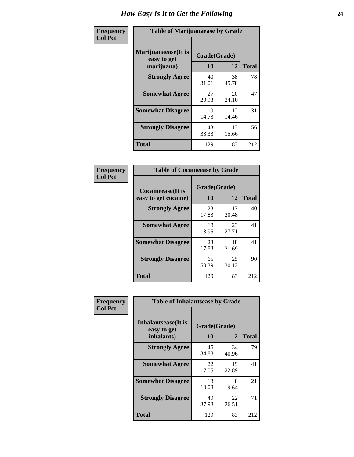| Frequency      | <b>Table of Marijuanaease by Grade</b>           |                           |             |              |  |
|----------------|--------------------------------------------------|---------------------------|-------------|--------------|--|
| <b>Col Pct</b> | Marijuanaease(It is<br>easy to get<br>marijuana) | Grade(Grade)<br><b>10</b> | 12          | <b>Total</b> |  |
|                | <b>Strongly Agree</b>                            | 40<br>31.01               | 38<br>45.78 | 78           |  |
|                | <b>Somewhat Agree</b>                            | 27<br>20.93               | 20<br>24.10 | 47           |  |
|                | <b>Somewhat Disagree</b>                         | 19<br>14.73               | 12<br>14.46 | 31           |  |
|                | <b>Strongly Disagree</b>                         | 43<br>33.33               | 13<br>15.66 | 56           |  |
|                | <b>Total</b>                                     | 129                       | 83          | 212          |  |

| <b>Table of Cocaineease by Grade</b> |              |             |              |  |  |  |
|--------------------------------------|--------------|-------------|--------------|--|--|--|
| <b>Cocaineease</b> (It is            | Grade(Grade) |             |              |  |  |  |
| easy to get cocaine)                 | 10           | 12          | <b>Total</b> |  |  |  |
| <b>Strongly Agree</b>                | 23<br>17.83  | 17<br>20.48 | 40           |  |  |  |
| <b>Somewhat Agree</b>                | 18<br>13.95  | 23<br>27.71 | 41           |  |  |  |
| <b>Somewhat Disagree</b>             | 23<br>17.83  | 18<br>21.69 | 41           |  |  |  |
| <b>Strongly Disagree</b>             | 65<br>50.39  | 25<br>30.12 | 90           |  |  |  |
| <b>Total</b>                         | 129          | 83          | 212          |  |  |  |

| Frequency      | <b>Table of Inhalantsease by Grade</b>                   |                    |             |              |  |  |
|----------------|----------------------------------------------------------|--------------------|-------------|--------------|--|--|
| <b>Col Pct</b> | <b>Inhalantsease</b> (It is<br>easy to get<br>inhalants) | Grade(Grade)<br>10 | 12          | <b>Total</b> |  |  |
|                | <b>Strongly Agree</b>                                    | 45<br>34.88        | 34<br>40.96 | 79           |  |  |
|                | <b>Somewhat Agree</b>                                    | 22<br>17.05        | 19<br>22.89 | 41           |  |  |
|                | <b>Somewhat Disagree</b>                                 | 13<br>10.08        | 8<br>9.64   | 21           |  |  |
|                | <b>Strongly Disagree</b>                                 | 49<br>37.98        | 22<br>26.51 | 71           |  |  |
|                | <b>Total</b>                                             | 129                | 83          | 212          |  |  |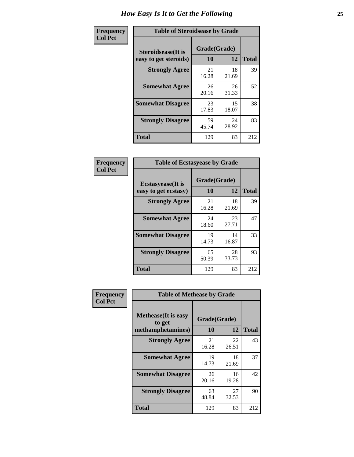| Frequency      | <b>Table of Steroidsease by Grade</b>               |                    |             |              |  |
|----------------|-----------------------------------------------------|--------------------|-------------|--------------|--|
| <b>Col Pct</b> | <b>Steroidsease</b> (It is<br>easy to get steroids) | Grade(Grade)<br>10 | 12          | <b>Total</b> |  |
|                | <b>Strongly Agree</b>                               | 21<br>16.28        | 18<br>21.69 | 39           |  |
|                | <b>Somewhat Agree</b>                               | 26<br>20.16        | 26<br>31.33 | 52           |  |
|                | <b>Somewhat Disagree</b>                            | 23<br>17.83        | 15<br>18.07 | 38           |  |
|                | <b>Strongly Disagree</b>                            | 59<br>45.74        | 24<br>28.92 | 83           |  |
|                | <b>Total</b>                                        | 129                | 83          | 212          |  |

| Frequency      | <b>Table of Ecstasyease by Grade</b>              |                    |             |              |
|----------------|---------------------------------------------------|--------------------|-------------|--------------|
| <b>Col Pct</b> | <b>Ecstasyease</b> (It is<br>easy to get ecstasy) | Grade(Grade)<br>10 | 12          | <b>Total</b> |
|                | <b>Strongly Agree</b>                             | 21<br>16.28        | 18<br>21.69 | 39           |
|                | <b>Somewhat Agree</b>                             | 24<br>18.60        | 23<br>27.71 | 47           |
|                | <b>Somewhat Disagree</b>                          | 19<br>14.73        | 14<br>16.87 | 33           |
|                | <b>Strongly Disagree</b>                          | 65<br>50.39        | 28<br>33.73 | 93           |
|                | Total                                             | 129                | 83          | 212          |

| Frequency<br><b>Col Pct</b> | <b>Table of Methease by Grade</b>                          |             |                    |              |
|-----------------------------|------------------------------------------------------------|-------------|--------------------|--------------|
|                             | <b>Methease</b> (It is easy<br>to get<br>methamphetamines) | 10          | Grade(Grade)<br>12 | <b>Total</b> |
|                             | <b>Strongly Agree</b>                                      | 21<br>16.28 | 22<br>26.51        | 43           |
|                             | <b>Somewhat Agree</b>                                      | 19<br>14.73 | 18<br>21.69        | 37           |
|                             | <b>Somewhat Disagree</b>                                   | 26<br>20.16 | 16<br>19.28        | 42           |
|                             | <b>Strongly Disagree</b>                                   | 63<br>48.84 | 27<br>32.53        | 90           |
|                             | Total                                                      | 129         | 83                 | 212          |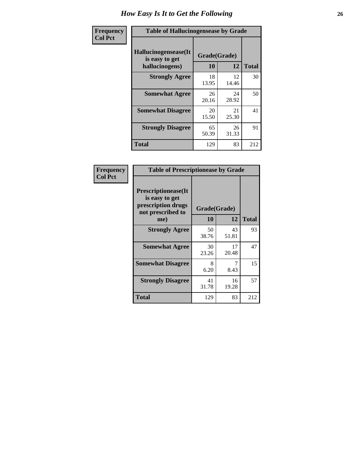| <b>Frequency</b> | <b>Table of Hallucinogensease by Grade</b>               |                    |             |              |
|------------------|----------------------------------------------------------|--------------------|-------------|--------------|
| <b>Col Pct</b>   | Hallucinogensease(It<br>is easy to get<br>hallucinogens) | Grade(Grade)<br>10 | 12          | <b>Total</b> |
|                  | <b>Strongly Agree</b>                                    | 18<br>13.95        | 12<br>14.46 | 30           |
|                  | <b>Somewhat Agree</b>                                    | 26<br>20.16        | 24<br>28.92 | 50           |
|                  | <b>Somewhat Disagree</b>                                 | 20<br>15.50        | 21<br>25.30 | 41           |
|                  | <b>Strongly Disagree</b>                                 | 65<br>50.39        | 26<br>31.33 | 91           |
|                  | <b>Total</b>                                             | 129                | 83          | 212          |

| Frequency<br>Col Pct |
|----------------------|
|                      |

| <b>Table of Prescriptionease by Grade</b>                                                |              |             |              |
|------------------------------------------------------------------------------------------|--------------|-------------|--------------|
| <b>Prescriptionease</b> (It<br>is easy to get<br>prescription drugs<br>not prescribed to | Grade(Grade) |             |              |
| me)                                                                                      | 10           | 12          | <b>Total</b> |
| <b>Strongly Agree</b>                                                                    | 50<br>38.76  | 43<br>51.81 | 93           |
| <b>Somewhat Agree</b>                                                                    | 30<br>23.26  | 17<br>20.48 | 47           |
| <b>Somewhat Disagree</b>                                                                 | 8<br>6.20    | 8.43        | 15           |
| <b>Strongly Disagree</b>                                                                 | 41<br>31.78  | 16<br>19.28 | 57           |
| Total                                                                                    | 129          | 83          | 212          |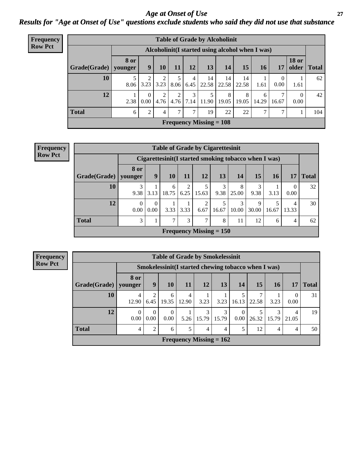*Age at Onset of Use* **27** *Results for "Age at Onset of Use" questions exclude students who said they did not use that substance*

| <b>Frequency</b> |              | <b>Table of Grade by Alcoholinit</b> |                                                  |           |      |                        |                           |                     |            |            |                        |                       |              |
|------------------|--------------|--------------------------------------|--------------------------------------------------|-----------|------|------------------------|---------------------------|---------------------|------------|------------|------------------------|-----------------------|--------------|
| <b>Row Pct</b>   |              |                                      | Alcoholinit (I started using alcohol when I was) |           |      |                        |                           |                     |            |            |                        |                       |              |
|                  | Grade(Grade) | <b>8</b> or<br>younger               | 9                                                | <b>10</b> | 11   | 12                     | 13                        | 14                  | 15         | 16         | 17                     | <b>18 or</b><br>older | <b>Total</b> |
|                  | 10           | 8.06                                 | 2<br>3.23                                        | 3.23      | 8.06 | $\overline{4}$<br>6.45 | 14<br>22.58               | 14<br>$22.58$ 22.58 | 14         | 1.61       | $\overline{0}$<br>0.00 | 1.61                  | 62           |
|                  | 12           | 2.38                                 | $\Omega$<br>0.00                                 | 2<br>4.76 | 4.76 | 3<br>7.14              | 5<br>11.90                | 8<br>19.05          | 8<br>19.05 | 6<br>14.29 | 7<br>16.67             | $\theta$<br>0.00      | 42           |
|                  | <b>Total</b> | 6                                    | $\overline{2}$                                   | 4         | 7    | ⇁                      | 19                        | 22                  | 22         | ⇁          | 7                      |                       | 104          |
|                  |              |                                      |                                                  |           |      |                        | Frequency Missing $= 108$ |                     |            |            |                        |                       |              |

| <b>Frequency</b> |
|------------------|
| <b>Row Pct</b>   |

| <b>Table of Grade by Cigarettesinit</b> |                                                       |                  |            |                        |                                             |            |            |            |            |            |              |
|-----------------------------------------|-------------------------------------------------------|------------------|------------|------------------------|---------------------------------------------|------------|------------|------------|------------|------------|--------------|
|                                         | Cigarettesinit (I started smoking tobacco when I was) |                  |            |                        |                                             |            |            |            |            |            |              |
| Grade(Grade)                            | 8 or<br>younger                                       | 9                | <b>10</b>  | 11                     | 12                                          | 13         | 14         | 15         | 16         | 17         | <b>Total</b> |
| 10                                      | 3<br>9.38                                             | 3.13             | 6<br>18.75 | $\overline{2}$<br>6.25 | 5<br>15.63                                  | 3<br>9.38  | 8<br>25.00 | 3<br>9.38  | 3.13       | 0.00       | 32           |
| 12                                      | $\theta$<br>0.00                                      | $\Omega$<br>0.00 | 3.33       | 3.33                   | 2<br>6.67                                   | 5<br>16.67 | 3<br>10.00 | 9<br>30.00 | 5<br>16.67 | 4<br>13.33 | 30           |
| <b>Total</b>                            | 3                                                     |                  | 7          | 3                      | 7                                           | 8          | 11         | 12         | 6          | 4          | 62           |
|                                         |                                                       |                  |            |                        | <b>Frequency Missing <math>= 150</math></b> |            |            |            |            |            |              |

**Frequency Row Pct**

| <b>Table of Grade by Smokelessinit</b> |                  |                                                     |                  |                           |                |            |           |       |            |            |              |
|----------------------------------------|------------------|-----------------------------------------------------|------------------|---------------------------|----------------|------------|-----------|-------|------------|------------|--------------|
|                                        |                  | Smokelessinit(I started chewing tobacco when I was) |                  |                           |                |            |           |       |            |            |              |
| Grade(Grade)                           | 8 or<br>younger  | 9                                                   | 10               | 11                        | <b>12</b>      | 13         | 14        | 15    | <b>16</b>  | 17         | <b>Total</b> |
| 10                                     | 4<br>12.90       | 6.45                                                | 6<br>19.35       | 4<br>12.90                | 3.23           | 3.23       | 16.13     | 22.58 | 3.23       | 0.00       | 31           |
| 12                                     | $\Omega$<br>0.00 | $\Omega$<br>0.00                                    | $\Omega$<br>0.00 | 5.26                      | 3<br>15.79     | 3<br>15.79 | 0<br>0.00 | 26.32 | 3<br>15.79 | 4<br>21.05 | 19           |
| <b>Total</b>                           | 4                | 2                                                   | 6                | 5                         | $\overline{4}$ | 4          | 5         | 12    | 4          | 4          | 50           |
|                                        |                  |                                                     |                  | Frequency Missing $= 162$ |                |            |           |       |            |            |              |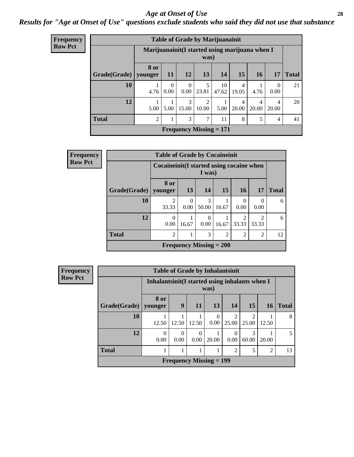#### *Age at Onset of Use* **28**

### *Results for "Age at Onset of Use" questions exclude students who said they did not use that substance*

| <b>Frequency</b> |                        |                                                |                  |                  |                         | <b>Table of Grade by Marijuanainit</b> |            |            |                  |              |
|------------------|------------------------|------------------------------------------------|------------------|------------------|-------------------------|----------------------------------------|------------|------------|------------------|--------------|
| <b>Row Pct</b>   |                        | Marijuanainit(I started using marijuana when I |                  |                  | was)                    |                                        |            |            |                  |              |
|                  | Grade(Grade)   younger | 8 or                                           | <b>11</b>        | <b>12</b>        | 13                      | 14                                     | 15         | <b>16</b>  | 17               | <b>Total</b> |
|                  | 10                     | 4.76                                           | $\Omega$<br>0.00 | $\Omega$<br>0.00 | 5<br>23.81              | 10<br>47.62                            | 4<br>19.05 | 4.76       | $\Omega$<br>0.00 | 21           |
|                  | 12                     | 5.00                                           | 5.00             | 3<br>15.00       | $\overline{2}$<br>10.00 | 5.00                                   | 4<br>20.00 | 4<br>20.00 | 4<br>20.00       | 20           |
|                  | <b>Total</b>           | $\overline{2}$                                 |                  | 3                | 7                       | 11                                     | 8          | 5          | 4                | 41           |
|                  |                        |                                                |                  |                  |                         | <b>Frequency Missing = 171</b>         |            |            |                  |              |

| Frequency      |              | <b>Table of Grade by Cocaineinit</b>       |                  |                           |                |                         |                         |              |
|----------------|--------------|--------------------------------------------|------------------|---------------------------|----------------|-------------------------|-------------------------|--------------|
| <b>Row Pct</b> |              | Cocaine init (I started using cocaine when |                  | I was)                    |                |                         |                         |              |
|                | Grade(Grade) | <b>8 or</b><br>younger                     | 13               | 14                        | 15             | 16                      | 17                      | <b>Total</b> |
|                | 10           | 2<br>33.33                                 | $\Omega$<br>0.00 | 3<br>50.00                | 16.67          | $\Omega$<br>0.00        | $\Omega$<br>0.00        | 6            |
|                | 12           | $\Omega$<br>0.00                           | 16.67            | $\theta$<br>0.00          | 16.67          | $\overline{c}$<br>33.33 | $\mathfrak{D}$<br>33.33 | 6            |
|                | <b>Total</b> | 2                                          |                  | 3                         | $\overline{2}$ | $\overline{2}$          | $\overline{2}$          | 12           |
|                |              |                                            |                  | Frequency Missing $= 200$ |                |                         |                         |              |

| Frequency      |                        |                                                 |                  |                                |                  | <b>Table of Grade by Inhalantsinit</b> |            |           |              |
|----------------|------------------------|-------------------------------------------------|------------------|--------------------------------|------------------|----------------------------------------|------------|-----------|--------------|
| <b>Row Pct</b> |                        | Inhalantsinit (I started using inhalants when I |                  |                                | was)             |                                        |            |           |              |
|                | Grade(Grade)   younger | 8 or                                            | 9                | <b>11</b>                      | 13               | 14                                     | 15         | <b>16</b> | <b>Total</b> |
|                | 10                     | 12.50                                           | 12.50            | 12.50                          | $\Omega$<br>0.00 | ↑<br>25.00                             | っ<br>25.00 | 12.50     | 8            |
|                | 12                     | $\Omega$<br>0.00                                | $\theta$<br>0.00 | $\theta$<br>0.00               | 20.00            | 0.00                                   | 3<br>60.00 | 20.00     | 5            |
|                | <b>Total</b>           |                                                 |                  | 1                              |                  | $\mathfrak{D}$                         |            | 2         | 13           |
|                |                        |                                                 |                  | <b>Frequency Missing = 199</b> |                  |                                        |            |           |              |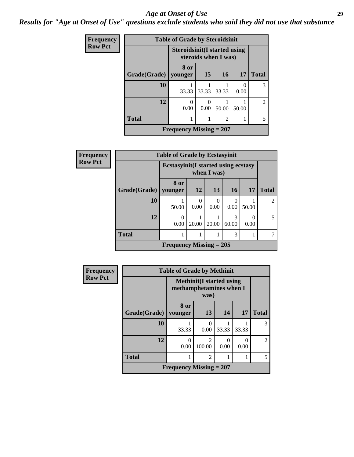#### *Age at Onset of Use* **29**

*Results for "Age at Onset of Use" questions exclude students who said they did not use that substance*

| <b>Frequency</b> |              | <b>Table of Grade by Steroidsinit</b> |                  |                      |       |                             |
|------------------|--------------|---------------------------------------|------------------|----------------------|-------|-----------------------------|
| <b>Row Pct</b>   |              | <b>Steroidsinit</b> (I started using  |                  | steroids when I was) |       |                             |
|                  | Grade(Grade) | 8 or<br>vounger                       | 15               | 16                   | 17    | <b>Total</b>                |
|                  | 10           | 33.33                                 | 33.33            | 33.33                | 0.00  | 3                           |
|                  | 12           | 0<br>0.00                             | $\theta$<br>0.00 | 50.00                | 50.00 | $\mathcal{D}_{\mathcal{L}}$ |
|                  | <b>Total</b> |                                       |                  | $\overline{2}$       |       | $\overline{5}$              |
|                  |              | <b>Frequency Missing = 207</b>        |                  |                      |       |                             |

| Frequency      |              | <b>Table of Grade by Ecstasyinit</b>        |                  |           |            |                      |                |
|----------------|--------------|---------------------------------------------|------------------|-----------|------------|----------------------|----------------|
| <b>Row Pct</b> |              | <b>Ecstasyinit</b> (I started using ecstasy |                  |           |            |                      |                |
|                | Grade(Grade) | 8 or<br>younger                             | <b>12</b>        | 13        | <b>16</b>  | 17                   | <b>Total</b>   |
|                | 10           | 50.00                                       | $\Omega$<br>0.00 | 0<br>0.00 | 0.00       | 50.00                | $\mathfrak{D}$ |
|                | 12           | $\theta$<br>0.00                            | 20.00            | 20.00     | 3<br>60.00 | $\mathbf{0}$<br>0.00 | 5              |
|                | <b>Total</b> |                                             | 7                |           |            |                      |                |
|                |              | <b>Frequency Missing = 205</b>              |                  |           |            |                      |                |

| <b>Frequency</b>               | <b>Table of Grade by Methinit</b> |                           |                                                                     |           |       |                |  |  |
|--------------------------------|-----------------------------------|---------------------------|---------------------------------------------------------------------|-----------|-------|----------------|--|--|
| <b>Row Pct</b>                 |                                   |                           | <b>Methinit</b> (I started using<br>methamphetamines when I<br>was) |           |       |                |  |  |
|                                | Grade(Grade)                      | 8 or<br>vounger           | 13                                                                  | 14        | 17    | <b>Total</b>   |  |  |
|                                | 10                                | 33.33                     | 0<br>0.00                                                           | 33.33     | 33.33 | 3              |  |  |
|                                | 12                                | 0<br>0.00                 | $\mathfrak{D}$<br>100.00                                            | 0<br>0.00 | 0.00  | $\mathfrak{D}$ |  |  |
| <b>Total</b><br>$\overline{c}$ |                                   |                           |                                                                     |           |       | 5              |  |  |
|                                |                                   | Frequency Missing $= 207$ |                                                                     |           |       |                |  |  |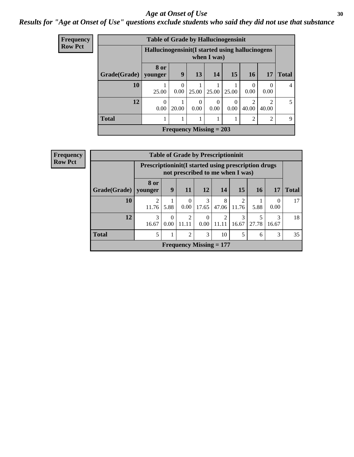#### Age at Onset of Use **30**

### *Results for "Age at Onset of Use" questions exclude students who said they did not use that substance*

| Frequency      |                                                                | <b>Table of Grade by Hallucinogensinit</b> |                           |                  |                  |           |                  |                                      |              |
|----------------|----------------------------------------------------------------|--------------------------------------------|---------------------------|------------------|------------------|-----------|------------------|--------------------------------------|--------------|
| <b>Row Pct</b> | Hallucinogensinit(I started using hallucinogens<br>when I was) |                                            |                           |                  |                  |           |                  |                                      |              |
|                | Grade(Grade)                                                   | 8 or<br>younger                            | 9                         | 13               | 14               | 15        | <b>16</b>        | 17                                   | <b>Total</b> |
|                | 10                                                             | 25.00                                      | $\theta$<br>0.00          | 25.00            | 25.00            | 25.00     | $\theta$<br>0.00 | $\left( \right)$<br>0.00             | 4            |
|                | 12                                                             | $\Omega$<br>0.00                           | 20.00                     | $\Omega$<br>0.00 | $\Omega$<br>0.00 | 0<br>0.00 | ∍<br>40.00       | $\mathcal{D}_{\mathcal{L}}$<br>40.00 | 5            |
|                | <b>Total</b>                                                   |                                            |                           |                  |                  |           | 2                | 2                                    | 9            |
|                |                                                                |                                            | Frequency Missing $= 203$ |                  |                  |           |                  |                                      |              |

| <b>Frequency</b> |                        |                                                              |                  | <b>Table of Grade by Prescriptioninit</b> |                  |            |                        |            |            |              |
|------------------|------------------------|--------------------------------------------------------------|------------------|-------------------------------------------|------------------|------------|------------------------|------------|------------|--------------|
| <b>Row Pct</b>   |                        | <b>Prescriptioninit (I started using prescription drugs)</b> |                  | not prescribed to me when I was)          |                  |            |                        |            |            |              |
|                  | Grade(Grade)   younger | 8 or                                                         | 9                | <b>11</b>                                 | 12               | <b>14</b>  | 15                     | <b>16</b>  | 17         | <b>Total</b> |
|                  | 10                     | 2<br>11.76                                                   | 5.88             | $\theta$<br>0.00                          | 3<br>17.65       | 8<br>47.06 | 2<br>11.76             | 5.88       | 0<br>0.00  | 17           |
|                  | 12                     | 3<br>16.67                                                   | $\Omega$<br>0.00 | $\overline{2}$<br>11.11                   | $\Omega$<br>0.00 | 2<br>11.11 | $\mathcal{E}$<br>16.67 | 5<br>27.78 | 3<br>16.67 | 18           |
|                  | <b>Total</b>           |                                                              |                  | 2                                         | 3                | 10         | 5                      | 6          | 3          | 35           |
|                  |                        |                                                              |                  | <b>Frequency Missing = 177</b>            |                  |            |                        |            |            |              |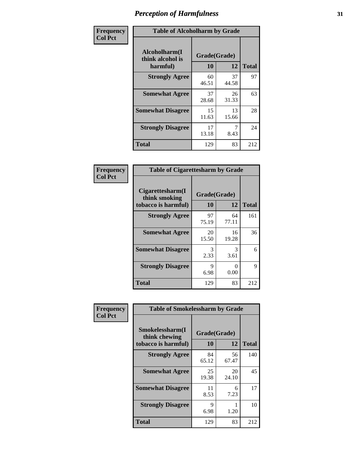| Frequency      | <b>Table of Alcoholharm by Grade</b>          |                    |             |              |  |
|----------------|-----------------------------------------------|--------------------|-------------|--------------|--|
| <b>Col Pct</b> | Alcoholharm(I<br>think alcohol is<br>harmful) | Grade(Grade)<br>10 | 12          | <b>Total</b> |  |
|                | <b>Strongly Agree</b>                         | 60<br>46.51        | 37<br>44.58 | 97           |  |
|                | <b>Somewhat Agree</b>                         | 37<br>28.68        | 26<br>31.33 | 63           |  |
|                | <b>Somewhat Disagree</b>                      | 15<br>11.63        | 13<br>15.66 | 28           |  |
|                | <b>Strongly Disagree</b>                      | 17<br>13.18        | 8.43        | 24           |  |
|                | <b>Total</b>                                  | 129                | 83          | 212          |  |

|                                                          |                    | <b>Table of Cigarettesharm by Grade</b> |              |  |  |  |  |  |
|----------------------------------------------------------|--------------------|-----------------------------------------|--------------|--|--|--|--|--|
| Cigarettesharm(I<br>think smoking<br>tobacco is harmful) | Grade(Grade)<br>10 | 12                                      | <b>Total</b> |  |  |  |  |  |
| <b>Strongly Agree</b>                                    | 97<br>75.19        | 64<br>77.11                             | 161          |  |  |  |  |  |
| <b>Somewhat Agree</b>                                    | 20<br>15.50        | 16<br>19.28                             | 36           |  |  |  |  |  |
| <b>Somewhat Disagree</b>                                 | 3<br>2.33          | 3<br>3.61                               | 6            |  |  |  |  |  |
| <b>Strongly Disagree</b>                                 | 9<br>6.98          | 0<br>0.00                               | 9            |  |  |  |  |  |
| <b>Total</b>                                             | 129                | 83                                      | 212          |  |  |  |  |  |

| Frequency      | <b>Table of Smokelessharm by Grade</b>                  |                           |             |              |
|----------------|---------------------------------------------------------|---------------------------|-------------|--------------|
| <b>Col Pct</b> | Smokelessharm(I<br>think chewing<br>tobacco is harmful) | Grade(Grade)<br><b>10</b> | 12          | <b>Total</b> |
|                | <b>Strongly Agree</b>                                   | 84<br>65.12               | 56<br>67.47 | 140          |
|                | <b>Somewhat Agree</b>                                   | 25<br>19.38               | 20<br>24.10 | 45           |
|                | <b>Somewhat Disagree</b>                                | 11<br>8.53                | 6<br>7.23   | 17           |
|                | <b>Strongly Disagree</b>                                | 9<br>6.98                 | 1.20        | 10           |
|                | <b>Total</b>                                            | 129                       | 83          | 212          |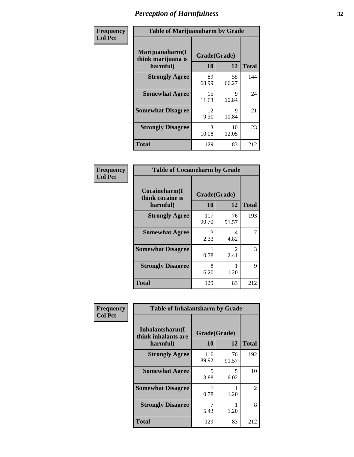| Frequency      | <b>Table of Marijuanaharm by Grade</b>            |                    |             |              |  |  |
|----------------|---------------------------------------------------|--------------------|-------------|--------------|--|--|
| <b>Col Pct</b> | Marijuanaharm(I<br>think marijuana is<br>harmful) | Grade(Grade)<br>10 | 12          | <b>Total</b> |  |  |
|                | <b>Strongly Agree</b>                             | 89<br>68.99        | 55<br>66.27 | 144          |  |  |
|                | <b>Somewhat Agree</b>                             | 15<br>11.63        | 9<br>10.84  | 24           |  |  |
|                | <b>Somewhat Disagree</b>                          | 12<br>9.30         | 9<br>10.84  | 21           |  |  |
|                | <b>Strongly Disagree</b>                          | 13<br>10.08        | 10<br>12.05 | 23           |  |  |
|                | <b>Total</b>                                      | 129                | 83          | 212          |  |  |

| <b>Table of Cocaineharm by Grade</b>          |                    |                                     |              |  |  |  |  |
|-----------------------------------------------|--------------------|-------------------------------------|--------------|--|--|--|--|
| Cocaineharm(I<br>think cocaine is<br>harmful) | Grade(Grade)<br>10 | 12                                  | <b>Total</b> |  |  |  |  |
| <b>Strongly Agree</b>                         | 117<br>90.70       | 76<br>91.57                         | 193          |  |  |  |  |
| <b>Somewhat Agree</b>                         | 3<br>2.33          | 4<br>4.82                           | 7            |  |  |  |  |
| <b>Somewhat Disagree</b>                      | 0.78               | $\mathcal{D}_{\mathcal{L}}$<br>2.41 | 3            |  |  |  |  |
| <b>Strongly Disagree</b>                      | 8<br>6.20          | 1.20                                | 9            |  |  |  |  |
| <b>Total</b>                                  | 129                | 83                                  | 212          |  |  |  |  |

| Frequency      | <b>Table of Inhalantsharm by Grade</b>              |                    |             |                |
|----------------|-----------------------------------------------------|--------------------|-------------|----------------|
| <b>Col Pct</b> | Inhalantsharm(I)<br>think inhalants are<br>harmful) | Grade(Grade)<br>10 | 12          | <b>Total</b>   |
|                | <b>Strongly Agree</b>                               | 116<br>89.92       | 76<br>91.57 | 192            |
|                | <b>Somewhat Agree</b>                               | 5<br>3.88          | 5<br>6.02   | 10             |
|                | <b>Somewhat Disagree</b>                            | 0.78               | 1.20        | $\overline{2}$ |
|                | <b>Strongly Disagree</b>                            | 5.43               | 1.20        | 8              |
|                | Total                                               | 129                | 83          | 212            |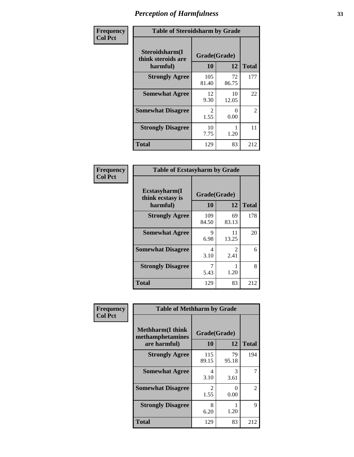| Frequency      | <b>Table of Steroidsharm by Grade</b>            |                    |             |              |  |
|----------------|--------------------------------------------------|--------------------|-------------|--------------|--|
| <b>Col Pct</b> | Steroidsharm(I<br>think steroids are<br>harmful) | Grade(Grade)<br>10 | 12          | <b>Total</b> |  |
|                | <b>Strongly Agree</b>                            | 105<br>81.40       | 72<br>86.75 | 177          |  |
|                | <b>Somewhat Agree</b>                            | 12<br>9.30         | 10<br>12.05 | 22           |  |
|                | <b>Somewhat Disagree</b>                         | 2<br>1.55          | 0<br>0.00   | 2            |  |
|                | <b>Strongly Disagree</b>                         | 10<br>7.75         | 1.20        | 11           |  |
|                | <b>Total</b>                                     | 129                | 83          | 212          |  |

| <b>Table of Ecstasyharm by Grade</b>          |                    |                        |              |  |  |
|-----------------------------------------------|--------------------|------------------------|--------------|--|--|
| Ecstasyharm(I<br>think ecstasy is<br>harmful) | Grade(Grade)<br>10 | 12                     | <b>Total</b> |  |  |
| <b>Strongly Agree</b>                         | 109<br>84.50       | 69<br>83.13            | 178          |  |  |
| <b>Somewhat Agree</b>                         | 9<br>6.98          | 11<br>13.25            | 20           |  |  |
| <b>Somewhat Disagree</b>                      | 4<br>3.10          | $\mathfrak{D}$<br>2.41 | 6            |  |  |
| <b>Strongly Disagree</b>                      | 7<br>5.43          | 1.20                   | 8            |  |  |
| <b>Total</b>                                  | 129                | 83                     | 212          |  |  |

| Frequency      | <b>Table of Methharm by Grade</b>                            |                           |             |                |
|----------------|--------------------------------------------------------------|---------------------------|-------------|----------------|
| <b>Col Pct</b> | <b>Methharm</b> (I think<br>methamphetamines<br>are harmful) | Grade(Grade)<br><b>10</b> | 12          | <b>Total</b>   |
|                | <b>Strongly Agree</b>                                        | 115<br>89.15              | 79<br>95.18 | 194            |
|                | <b>Somewhat Agree</b>                                        | 4<br>3.10                 | 3<br>3.61   |                |
|                | <b>Somewhat Disagree</b>                                     | $\mathfrak{D}$<br>1.55    | 0<br>0.00   | $\mathfrak{D}$ |
|                | <b>Strongly Disagree</b>                                     | 8<br>6.20                 | 1.20        | 9              |
|                | <b>Total</b>                                                 | 129                       | 83          | 212            |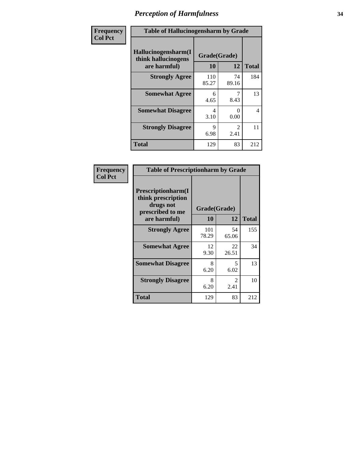| Frequency      | <b>Table of Hallucinogensharm by Grade</b>                 |                    |                       |              |
|----------------|------------------------------------------------------------|--------------------|-----------------------|--------------|
| <b>Col Pct</b> | Hallucinogensharm(I<br>think hallucinogens<br>are harmful) | Grade(Grade)<br>10 | 12                    | <b>Total</b> |
|                | <b>Strongly Agree</b>                                      | 110<br>85.27       | 74<br>89.16           | 184          |
|                | <b>Somewhat Agree</b>                                      | 6<br>4.65          | 7<br>8.43             | 13           |
|                | <b>Somewhat Disagree</b>                                   | 4<br>3.10          | 0<br>0.00             | 4            |
|                | <b>Strongly Disagree</b>                                   | 9<br>6.98          | $\mathcal{L}$<br>2.41 | 11           |
|                | <b>Total</b>                                               | 129                | 83                    | 212          |

| <b>Table of Prescriptionharm by Grade</b>                                                         |                    |                        |              |  |
|---------------------------------------------------------------------------------------------------|--------------------|------------------------|--------------|--|
| <b>Prescriptionharm</b> (I<br>think prescription<br>drugs not<br>prescribed to me<br>are harmful) | Grade(Grade)<br>10 | 12                     | <b>Total</b> |  |
| <b>Strongly Agree</b>                                                                             | 101<br>78.29       | 54<br>65.06            | 155          |  |
| <b>Somewhat Agree</b>                                                                             | 12<br>9.30         | 22<br>26.51            | 34           |  |
| <b>Somewhat Disagree</b>                                                                          | 8<br>6.20          | 5<br>6.02              | 13           |  |
| <b>Strongly Disagree</b>                                                                          | 8<br>6.20          | $\mathfrak{D}$<br>2.41 | 10           |  |
| <b>Total</b>                                                                                      | 129                | 83                     | 212          |  |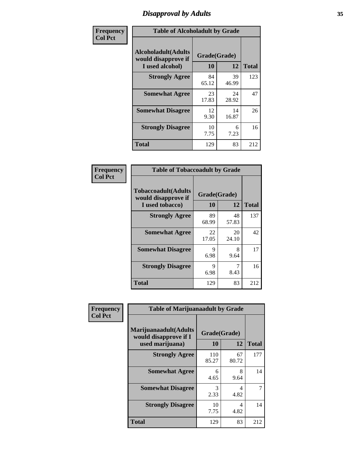# *Disapproval by Adults* **35**

| Frequency      | <b>Table of Alcoholadult by Grade</b>                                 |                    |             |              |
|----------------|-----------------------------------------------------------------------|--------------------|-------------|--------------|
| <b>Col Pct</b> | <b>Alcoholadult</b> (Adults<br>would disapprove if<br>I used alcohol) | Grade(Grade)<br>10 | 12          | <b>Total</b> |
|                | <b>Strongly Agree</b>                                                 | 84<br>65.12        | 39<br>46.99 | 123          |
|                | <b>Somewhat Agree</b>                                                 | 23<br>17.83        | 24<br>28.92 | 47           |
|                | <b>Somewhat Disagree</b>                                              | 12<br>9.30         | 14<br>16.87 | 26           |
|                | <b>Strongly Disagree</b>                                              | 10<br>7.75         | 6<br>7.23   | 16           |
|                | <b>Total</b>                                                          | 129                | 83          | 212          |

| <b>Table of Tobaccoadult by Grade</b>                                 |                    |             |              |  |
|-----------------------------------------------------------------------|--------------------|-------------|--------------|--|
| <b>Tobaccoadult</b> (Adults<br>would disapprove if<br>I used tobacco) | Grade(Grade)<br>10 | 12          | <b>Total</b> |  |
| <b>Strongly Agree</b>                                                 | 89<br>68.99        | 48<br>57.83 | 137          |  |
| <b>Somewhat Agree</b>                                                 | 22<br>17.05        | 20<br>24.10 | 42           |  |
| <b>Somewhat Disagree</b>                                              | 9<br>6.98          | 8<br>9.64   | 17           |  |
| <b>Strongly Disagree</b>                                              | 9<br>6.98          | 8.43        | 16           |  |
| Total                                                                 | 129                | 83          | 212          |  |

| Frequency      | <b>Table of Marijuanaadult by Grade</b>                           |                    |                                  |              |
|----------------|-------------------------------------------------------------------|--------------------|----------------------------------|--------------|
| <b>Col Pct</b> | Marijuanaadult(Adults<br>would disapprove if I<br>used marijuana) | Grade(Grade)<br>10 | 12                               | <b>Total</b> |
|                | <b>Strongly Agree</b>                                             | 110<br>85.27       | 67<br>80.72                      | 177          |
|                | <b>Somewhat Agree</b>                                             | 6<br>4.65          | 8<br>9.64                        | 14           |
|                | <b>Somewhat Disagree</b>                                          | 3<br>2.33          | 4<br>4.82                        |              |
|                | <b>Strongly Disagree</b>                                          | 10<br>7.75         | $\overline{\mathcal{A}}$<br>4.82 | 14           |
|                | <b>Total</b>                                                      | 129                | 83                               | 212          |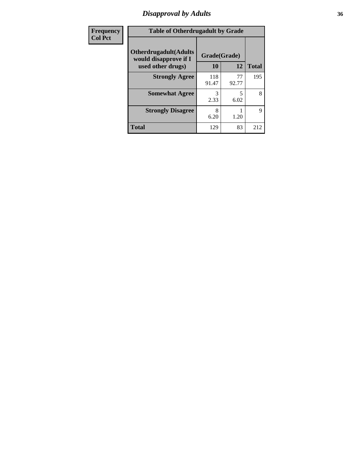# *Disapproval by Adults* **36**

| Frequency      | <b>Table of Otherdrugadult by Grade</b>                                     |                    |             |              |
|----------------|-----------------------------------------------------------------------------|--------------------|-------------|--------------|
| <b>Col Pct</b> | <b>Otherdrugadult</b> (Adults<br>would disapprove if I<br>used other drugs) | Grade(Grade)<br>10 | 12          | <b>Total</b> |
|                | <b>Strongly Agree</b>                                                       | 118<br>91.47       | 77<br>92.77 | 195          |
|                | <b>Somewhat Agree</b>                                                       | 3<br>2.33          | 5<br>6.02   | 8            |
|                | <b>Strongly Disagree</b>                                                    | 8<br>6.20          | 1.20        | $\mathbf Q$  |
|                | <b>Total</b>                                                                | 129                | 83          | 212          |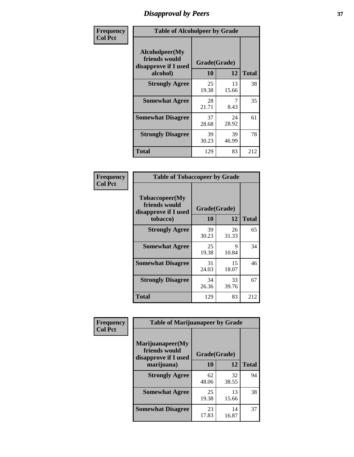# *Disapproval by Peers* **37**

| Frequency      | <b>Table of Alcoholpeer by Grade</b>                    |              |             |              |  |
|----------------|---------------------------------------------------------|--------------|-------------|--------------|--|
| <b>Col Pct</b> | Alcoholpeer(My<br>friends would<br>disapprove if I used | Grade(Grade) |             |              |  |
|                | alcohol)                                                | 10           | 12          | <b>Total</b> |  |
|                | <b>Strongly Agree</b>                                   | 25<br>19.38  | 13<br>15.66 | 38           |  |
|                | <b>Somewhat Agree</b>                                   | 28<br>21.71  | 8.43        | 35           |  |
|                | <b>Somewhat Disagree</b>                                | 37<br>28.68  | 24<br>28.92 | 61           |  |
|                | <b>Strongly Disagree</b>                                | 39<br>30.23  | 39<br>46.99 | 78           |  |
|                | Total                                                   | 129          | 83          | 212          |  |

| Frequency      | <b>Table of Tobaccopeer by Grade</b>                    |              |             |              |
|----------------|---------------------------------------------------------|--------------|-------------|--------------|
| <b>Col Pct</b> | Tobaccopeer(My<br>friends would<br>disapprove if I used | Grade(Grade) |             |              |
|                | tobacco)                                                | <b>10</b>    | 12          | <b>Total</b> |
|                | <b>Strongly Agree</b>                                   | 39<br>30.23  | 26<br>31.33 | 65           |
|                | <b>Somewhat Agree</b>                                   | 25<br>19.38  | 9<br>10.84  | 34           |
|                | <b>Somewhat Disagree</b>                                | 31<br>24.03  | 15<br>18.07 | 46           |
|                | <b>Strongly Disagree</b>                                | 34<br>26.36  | 33<br>39.76 | 67           |
|                | <b>Total</b>                                            | 129          | 83          | 212          |

| Frequency      | <b>Table of Marijuanapeer by Grade</b>                    |              |             |              |
|----------------|-----------------------------------------------------------|--------------|-------------|--------------|
| <b>Col Pct</b> | Marijuanapeer(My<br>friends would<br>disapprove if I used | Grade(Grade) |             |              |
|                | marijuana)                                                | 10           | 12          | <b>Total</b> |
|                | <b>Strongly Agree</b>                                     | 62<br>48.06  | 32<br>38.55 | 94           |
|                | <b>Somewhat Agree</b>                                     | 25<br>19.38  | 13<br>15.66 | 38           |
|                | <b>Somewhat Disagree</b>                                  | 23<br>17.83  | 14<br>16.87 | 37           |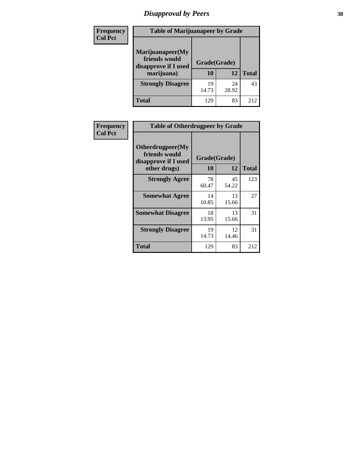# *Disapproval by Peers* **38**

| Frequency<br><b>Col Pct</b> | <b>Table of Marijuanapeer by Grade</b>                                  |                    |             |              |
|-----------------------------|-------------------------------------------------------------------------|--------------------|-------------|--------------|
|                             | Marijuanapeer(My<br>friends would<br>disapprove if I used<br>marijuana) | Grade(Grade)<br>10 | 12          | <b>Total</b> |
|                             | <b>Strongly Disagree</b>                                                | 19<br>14.73        | 24<br>28.92 | 43           |
|                             | Total                                                                   | 129                | 83          | 212          |

| Frequency      | <b>Table of Otherdrugpeer by Grade</b>                                    |                    |             |              |
|----------------|---------------------------------------------------------------------------|--------------------|-------------|--------------|
| <b>Col Pct</b> | Otherdrugpeer(My<br>friends would<br>disapprove if I used<br>other drugs) | Grade(Grade)<br>10 | 12          | <b>Total</b> |
|                | <b>Strongly Agree</b>                                                     | 78<br>60.47        | 45<br>54.22 | 123          |
|                | <b>Somewhat Agree</b>                                                     | 14<br>10.85        | 13<br>15.66 | 27           |
|                | <b>Somewhat Disagree</b>                                                  | 18<br>13.95        | 13<br>15.66 | 31           |
|                | <b>Strongly Disagree</b>                                                  | 19<br>14.73        | 12<br>14.46 | 31           |
|                | <b>Total</b>                                                              | 129                | 83          | 212          |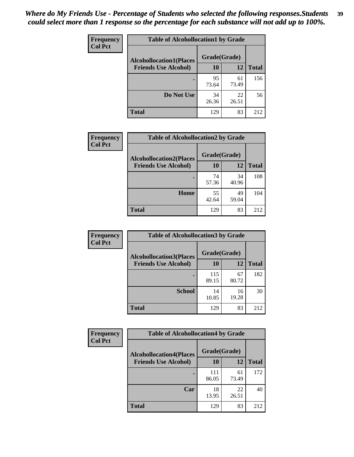| Frequency      | <b>Table of Alcohollocation1 by Grade</b> |              |             |              |
|----------------|-------------------------------------------|--------------|-------------|--------------|
| <b>Col Pct</b> | <b>Alcohollocation1(Places</b>            | Grade(Grade) |             |              |
|                | <b>Friends Use Alcohol)</b>               | 10           | 12          | <b>Total</b> |
|                |                                           | 95<br>73.64  | 61<br>73.49 | 156          |
|                | Do Not Use                                | 34<br>26.36  | 22<br>26.51 | 56           |
|                | <b>Total</b>                              | 129          | 83          | 212          |

| <b>Frequency</b> | <b>Table of Alcohollocation2 by Grade</b>                     |                    |             |              |
|------------------|---------------------------------------------------------------|--------------------|-------------|--------------|
| <b>Col Pct</b>   | <b>Alcohollocation2(Places</b><br><b>Friends Use Alcohol)</b> | Grade(Grade)<br>10 | 12          | <b>Total</b> |
|                  |                                                               | 74<br>57.36        | 34<br>40.96 | 108          |
|                  | Home                                                          | 55<br>42.64        | 49<br>59.04 | 104          |
|                  | <b>Total</b>                                                  | 129                | 83          | 212          |

| Frequency      | <b>Table of Alcohollocation 3 by Grade</b> |              |             |              |
|----------------|--------------------------------------------|--------------|-------------|--------------|
| <b>Col Pct</b> | <b>Alcohollocation3(Places</b>             | Grade(Grade) |             |              |
|                | <b>Friends Use Alcohol)</b>                | 10           | 12          | <b>Total</b> |
|                |                                            | 115<br>89.15 | 67<br>80.72 | 182          |
|                | <b>School</b>                              | 14<br>10.85  | 16<br>19.28 | 30           |
|                | <b>Total</b>                               | 129          | 83          | 212          |

| <b>Frequency</b> | <b>Table of Alcohollocation4 by Grade</b>                     |              |             |              |  |
|------------------|---------------------------------------------------------------|--------------|-------------|--------------|--|
| <b>Col Pct</b>   | <b>Alcohollocation4(Places</b><br><b>Friends Use Alcohol)</b> | Grade(Grade) |             |              |  |
|                  |                                                               | 10           | 12          | <b>Total</b> |  |
|                  |                                                               | 111<br>86.05 | 61<br>73.49 | 172          |  |
|                  | Car                                                           | 18<br>13.95  | 22<br>26.51 | 40           |  |
|                  | Total                                                         | 129          | 83          | 212          |  |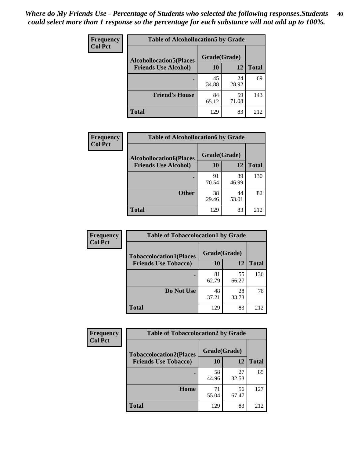| Frequency<br><b>Col Pct</b> | <b>Table of Alcohollocation5 by Grade</b>      |             |             |              |  |
|-----------------------------|------------------------------------------------|-------------|-------------|--------------|--|
|                             | Grade(Grade)<br><b>Alcohollocation5(Places</b> |             |             |              |  |
|                             | <b>Friends Use Alcohol)</b>                    | 10          | 12          | <b>Total</b> |  |
|                             |                                                | 45<br>34.88 | 24<br>28.92 | 69           |  |
|                             | <b>Friend's House</b>                          | 84<br>65.12 | 59<br>71.08 | 143          |  |
|                             | <b>Total</b>                                   | 129         | 83          | 212          |  |

| Frequency      | <b>Table of Alcohollocation6 by Grade</b>                     |                    |             |              |
|----------------|---------------------------------------------------------------|--------------------|-------------|--------------|
| <b>Col Pct</b> | <b>Alcohollocation6(Places</b><br><b>Friends Use Alcohol)</b> | Grade(Grade)<br>10 | <b>12</b>   | <b>Total</b> |
|                |                                                               | 91<br>70.54        | 39<br>46.99 | 130          |
|                | <b>Other</b>                                                  | 38<br>29.46        | 44<br>53.01 | 82           |
|                | <b>Total</b>                                                  | 129                | 83          | 212          |

| Frequency      | <b>Table of Tobaccolocation1 by Grade</b> |              |             |              |
|----------------|-------------------------------------------|--------------|-------------|--------------|
| <b>Col Pct</b> | <b>Tobaccolocation1(Places</b>            | Grade(Grade) |             |              |
|                | <b>Friends Use Tobacco)</b>               | 10           | 12          | <b>Total</b> |
|                |                                           | 81<br>62.79  | 55<br>66.27 | 136          |
|                | Do Not Use                                | 48<br>37.21  | 28<br>33.73 | 76           |
|                | <b>Total</b>                              | 129          | 83          | 212          |

| <b>Frequency</b> | <b>Table of Tobaccolocation2 by Grade</b> |              |             |              |  |
|------------------|-------------------------------------------|--------------|-------------|--------------|--|
| <b>Col Pct</b>   | <b>Tobaccolocation2(Places</b>            | Grade(Grade) |             |              |  |
|                  | <b>Friends Use Tobacco)</b>               | 10           | 12          | <b>Total</b> |  |
|                  |                                           | 58<br>44.96  | 27<br>32.53 | 85           |  |
|                  | Home                                      | 71<br>55.04  | 56<br>67.47 | 127          |  |
|                  | <b>Total</b>                              | 129          | 83          | 212          |  |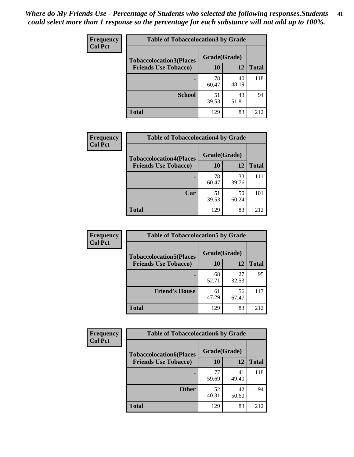| Frequency      | <b>Table of Tobaccolocation 3 by Grade</b> |              |             |              |
|----------------|--------------------------------------------|--------------|-------------|--------------|
| <b>Col Pct</b> | <b>Tobaccolocation3(Places</b>             | Grade(Grade) |             |              |
|                | <b>Friends Use Tobacco)</b>                | 10           | 12          | <b>Total</b> |
|                |                                            | 78<br>60.47  | 40<br>48.19 | 118          |
|                | <b>School</b>                              | 51<br>39.53  | 43<br>51.81 | 94           |
|                | <b>Total</b>                               | 129          | 83          | 212          |

| Frequency      | <b>Table of Tobaccolocation4 by Grade</b> |              |             |              |
|----------------|-------------------------------------------|--------------|-------------|--------------|
| <b>Col Pct</b> | <b>Tobaccolocation4(Places</b>            | Grade(Grade) |             |              |
|                | <b>Friends Use Tobacco)</b>               | 10           | 12          | <b>Total</b> |
|                |                                           | 78<br>60.47  | 33<br>39.76 | 111          |
|                | Car                                       | 51<br>39.53  | 50<br>60.24 | 101          |
|                | <b>Total</b>                              | 129          | 83          | 212          |

| Frequency      | <b>Table of Tobaccolocation5 by Grade</b> |              |             |              |
|----------------|-------------------------------------------|--------------|-------------|--------------|
| <b>Col Pct</b> | <b>Tobaccolocation5(Places</b>            | Grade(Grade) |             |              |
|                | <b>Friends Use Tobacco)</b>               | 10           | <b>12</b>   | <b>Total</b> |
|                |                                           | 68<br>52.71  | 27<br>32.53 | 95           |
|                | <b>Friend's House</b>                     | 61<br>47.29  | 56<br>67.47 | 117          |
|                | <b>Total</b>                              | 129          | 83          | 212          |

| <b>Frequency</b> | <b>Table of Tobaccolocation6 by Grade</b> |              |             |              |  |  |
|------------------|-------------------------------------------|--------------|-------------|--------------|--|--|
| <b>Col Pct</b>   | <b>Tobaccolocation6(Places</b>            | Grade(Grade) |             |              |  |  |
|                  | <b>Friends Use Tobacco)</b>               | 10           | 12          | <b>Total</b> |  |  |
|                  |                                           | 77<br>59.69  | 41<br>49.40 | 118          |  |  |
|                  | <b>Other</b>                              | 52<br>40.31  | 42<br>50.60 | 94           |  |  |
|                  | <b>Total</b>                              | 129          | 83          | 212          |  |  |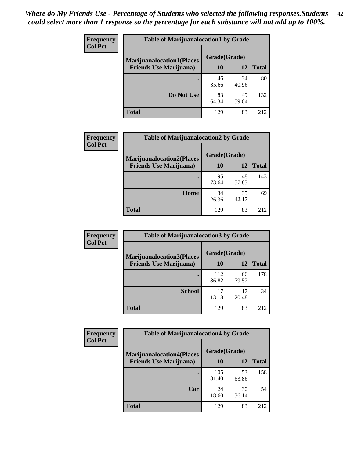| <b>Frequency</b> | <b>Table of Marijuanalocation1 by Grade</b> |              |             |              |
|------------------|---------------------------------------------|--------------|-------------|--------------|
| <b>Col Pct</b>   | <b>Marijuanalocation1(Places</b>            | Grade(Grade) |             |              |
|                  | <b>Friends Use Marijuana</b> )              | 10           | 12          | <b>Total</b> |
|                  |                                             | 46<br>35.66  | 34<br>40.96 | 80           |
|                  | Do Not Use                                  | 83<br>64.34  | 49<br>59.04 | 132          |
|                  | Total                                       | 129          | 83          | 212          |

| <b>Frequency</b> | <b>Table of Marijuanalocation2 by Grade</b>                        |                    |             |              |
|------------------|--------------------------------------------------------------------|--------------------|-------------|--------------|
| <b>Col Pct</b>   | <b>Marijuanalocation2(Places</b><br><b>Friends Use Marijuana</b> ) | Grade(Grade)<br>10 | 12          | <b>Total</b> |
|                  |                                                                    | 95<br>73.64        | 48<br>57.83 | 143          |
|                  | Home                                                               | 34<br>26.36        | 35<br>42.17 | 69           |
|                  | <b>Total</b>                                                       | 129                | 83          | 212          |

| Frequency<br><b>Col Pct</b> | <b>Table of Marijuanalocation3 by Grade</b> |              |             |              |
|-----------------------------|---------------------------------------------|--------------|-------------|--------------|
|                             | <b>Marijuanalocation3</b> (Places           | Grade(Grade) |             |              |
|                             | <b>Friends Use Marijuana</b> )              | 10           | 12          | <b>Total</b> |
|                             |                                             | 112<br>86.82 | 66<br>79.52 | 178          |
|                             | <b>School</b>                               | 17<br>13.18  | 17<br>20.48 | 34           |
|                             | <b>Total</b>                                | 129          | 83          | 212          |

| <b>Frequency</b> | <b>Table of Marijuanalocation4 by Grade</b> |              |             |              |  |
|------------------|---------------------------------------------|--------------|-------------|--------------|--|
| <b>Col Pct</b>   | <b>Marijuanalocation4(Places</b>            | Grade(Grade) |             |              |  |
|                  | <b>Friends Use Marijuana</b> )              | <b>10</b>    | 12          | <b>Total</b> |  |
|                  |                                             | 105<br>81.40 | 53<br>63.86 | 158          |  |
|                  | Car                                         | 24<br>18.60  | 30<br>36.14 | 54           |  |
|                  | <b>Total</b>                                | 129          | 83          | 212          |  |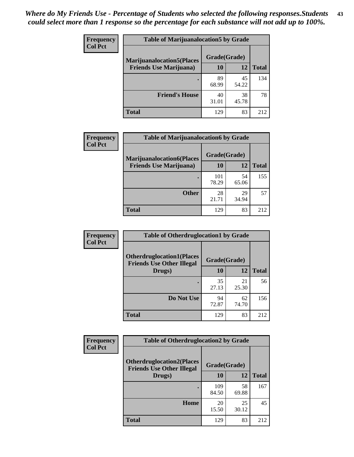| <b>Frequency</b> | <b>Table of Marijuanalocation5 by Grade</b> |              |             |              |
|------------------|---------------------------------------------|--------------|-------------|--------------|
| <b>Col Pct</b>   | <b>Marijuanalocation5</b> (Places           | Grade(Grade) |             |              |
|                  | <b>Friends Use Marijuana</b> )              | 10           | 12          | <b>Total</b> |
|                  |                                             | 89<br>68.99  | 45<br>54.22 | 134          |
|                  | <b>Friend's House</b>                       | 40<br>31.01  | 38<br>45.78 | 78           |
|                  | <b>Total</b>                                | 129          | 83          | 212          |

| <b>Frequency</b> | <b>Table of Marijuanalocation6 by Grade</b>                        |                    |             |              |
|------------------|--------------------------------------------------------------------|--------------------|-------------|--------------|
| <b>Col Pct</b>   | <b>Marijuanalocation6(Places</b><br><b>Friends Use Marijuana</b> ) | Grade(Grade)<br>10 | 12          | <b>Total</b> |
|                  |                                                                    | 101<br>78.29       | 54<br>65.06 | 155          |
|                  | <b>Other</b>                                                       | 28<br>21.71        | 29<br>34.94 | 57           |
|                  | <b>Total</b>                                                       | 129                | 83          | 212          |

| <b>Frequency</b> | <b>Table of Otherdruglocation1 by Grade</b>                          |              |             |              |
|------------------|----------------------------------------------------------------------|--------------|-------------|--------------|
| <b>Col Pct</b>   | <b>Otherdruglocation1(Places</b><br><b>Friends Use Other Illegal</b> | Grade(Grade) |             |              |
|                  | Drugs)                                                               | 10           | 12          | <b>Total</b> |
|                  |                                                                      | 35<br>27.13  | 21<br>25.30 | 56           |
|                  | Do Not Use                                                           | 94<br>72.87  | 62<br>74.70 | 156          |
|                  | <b>Total</b>                                                         | 129          | 83          | 212          |

| Frequency      | <b>Table of Otherdruglocation2 by Grade</b>                          |              |             |              |
|----------------|----------------------------------------------------------------------|--------------|-------------|--------------|
| <b>Col Pct</b> | <b>Otherdruglocation2(Places</b><br><b>Friends Use Other Illegal</b> | Grade(Grade) |             |              |
|                | Drugs)                                                               | 10           | 12          | <b>Total</b> |
|                |                                                                      | 109<br>84.50 | 58<br>69.88 | 167          |
|                | Home                                                                 | 20<br>15.50  | 25<br>30.12 | 45           |
|                | <b>Total</b>                                                         | 129          | 83          | 212          |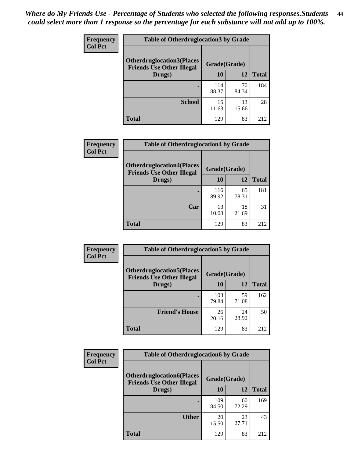| <b>Frequency</b> | <b>Table of Otherdruglocation3 by Grade</b>                          |              |             |              |
|------------------|----------------------------------------------------------------------|--------------|-------------|--------------|
| <b>Col Pct</b>   | <b>Otherdruglocation3(Places</b><br><b>Friends Use Other Illegal</b> | Grade(Grade) |             |              |
|                  | Drugs)                                                               | 10           | 12          | <b>Total</b> |
|                  |                                                                      | 114<br>88.37 | 70<br>84.34 | 184          |
|                  | <b>School</b>                                                        | 15<br>11.63  | 13<br>15.66 | 28           |
|                  | <b>Total</b>                                                         | 129          | 83          | 212          |

| <b>Frequency</b> | <b>Table of Otherdruglocation4 by Grade</b>                          |              |             |              |
|------------------|----------------------------------------------------------------------|--------------|-------------|--------------|
| <b>Col Pct</b>   | <b>Otherdruglocation4(Places</b><br><b>Friends Use Other Illegal</b> | Grade(Grade) |             |              |
|                  | Drugs)                                                               | 10           | 12          | <b>Total</b> |
|                  |                                                                      | 116<br>89.92 | 65<br>78.31 | 181          |
|                  | Car                                                                  | 13<br>10.08  | 18<br>21.69 | 31           |
|                  | <b>Total</b>                                                         | 129          | 83          | 212          |

| <b>Frequency</b> | <b>Table of Otherdruglocation5 by Grade</b>                          |              |             |              |
|------------------|----------------------------------------------------------------------|--------------|-------------|--------------|
| <b>Col Pct</b>   | <b>Otherdruglocation5(Places</b><br><b>Friends Use Other Illegal</b> | Grade(Grade) |             |              |
|                  | Drugs)                                                               | 10           | 12          | <b>Total</b> |
|                  |                                                                      | 103<br>79.84 | 59<br>71.08 | 162          |
|                  | <b>Friend's House</b>                                                | 26<br>20.16  | 24<br>28.92 | 50           |
|                  | <b>Total</b>                                                         | 129          | 83          | 212          |

| Frequency      | <b>Table of Otherdruglocation6 by Grade</b>                           |              |             |              |
|----------------|-----------------------------------------------------------------------|--------------|-------------|--------------|
| <b>Col Pct</b> | <b>Otherdruglocation6(Places)</b><br><b>Friends Use Other Illegal</b> | Grade(Grade) |             |              |
|                | Drugs)                                                                | 10           | 12          | <b>Total</b> |
|                |                                                                       | 109<br>84.50 | 60<br>72.29 | 169          |
|                | <b>Other</b>                                                          | 20<br>15.50  | 23<br>27.71 | 43           |
|                | <b>Total</b>                                                          | 129          | 83          | 212          |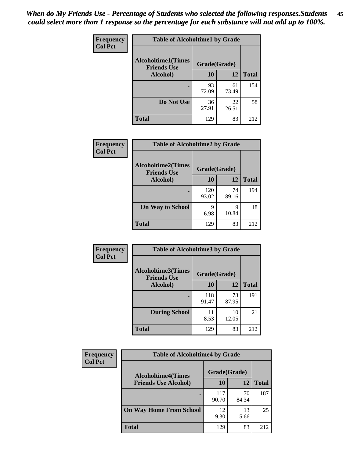| Frequency      | <b>Table of Alcoholtime1 by Grade</b>           |              |             |              |
|----------------|-------------------------------------------------|--------------|-------------|--------------|
| <b>Col Pct</b> | <b>Alcoholtime1(Times</b><br><b>Friends Use</b> | Grade(Grade) |             |              |
|                | Alcohol)                                        | 10           | 12          | <b>Total</b> |
|                |                                                 | 93<br>72.09  | 61<br>73.49 | 154          |
|                | Do Not Use                                      | 36<br>27.91  | 22<br>26.51 | 58           |
|                | <b>Total</b>                                    | 129          | 83          | 212          |

| Frequency      | <b>Table of Alcoholtime2 by Grade</b>                           |              |             |              |
|----------------|-----------------------------------------------------------------|--------------|-------------|--------------|
| <b>Col Pct</b> | <b>Alcoholtime2(Times</b><br>Grade(Grade)<br><b>Friends Use</b> |              |             |              |
|                | Alcohol)                                                        | 10           | 12          | <b>Total</b> |
|                |                                                                 | 120<br>93.02 | 74<br>89.16 | 194          |
|                | <b>On Way to School</b>                                         | q<br>6.98    | 9<br>10.84  | 18           |
|                | <b>Total</b>                                                    | 129          | 83          | 212          |

| Frequency      | <b>Table of Alcoholtime3 by Grade</b>           |              |             |              |
|----------------|-------------------------------------------------|--------------|-------------|--------------|
| <b>Col Pct</b> | <b>Alcoholtime3(Times</b><br><b>Friends Use</b> | Grade(Grade) |             |              |
|                | Alcohol)                                        | 10           | 12          | <b>Total</b> |
|                |                                                 | 118<br>91.47 | 73<br>87.95 | 191          |
|                | <b>During School</b>                            | 11<br>8.53   | 10<br>12.05 | 21           |
|                | <b>Total</b>                                    | 129          | 83          | 212          |

| <b>Frequency</b> | <b>Table of Alcoholtime4 by Grade</b> |              |             |              |  |
|------------------|---------------------------------------|--------------|-------------|--------------|--|
| <b>Col Pct</b>   | <b>Alcoholtime4(Times</b>             | Grade(Grade) |             |              |  |
|                  | <b>Friends Use Alcohol)</b>           | 10           | 12          | <b>Total</b> |  |
|                  |                                       | 117<br>90.70 | 70<br>84.34 | 187          |  |
|                  | <b>On Way Home From School</b>        | 12<br>9.30   | 13<br>15.66 | 25           |  |
|                  | <b>Total</b>                          | 129          | 83          | 212          |  |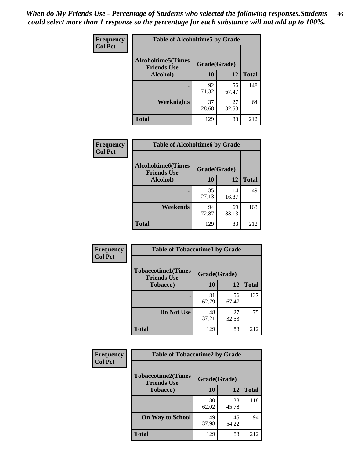*When do My Friends Use - Percentage of Students who selected the following responses.Students could select more than 1 response so the percentage for each substance will not add up to 100%.* **46**

| Frequency      | <b>Table of Alcoholtime5 by Grade</b>           |              |             |              |
|----------------|-------------------------------------------------|--------------|-------------|--------------|
| <b>Col Pct</b> | <b>Alcoholtime5(Times</b><br><b>Friends Use</b> | Grade(Grade) |             |              |
|                | Alcohol)                                        | 10           | 12          | <b>Total</b> |
|                |                                                 | 92<br>71.32  | 56<br>67.47 | 148          |
|                | Weeknights                                      | 37<br>28.68  | 27<br>32.53 | 64           |
|                | <b>Total</b>                                    | 129          | 83          | 212          |

| <b>Frequency</b> |                                                 | <b>Table of Alcoholtime6 by Grade</b> |             |              |  |  |
|------------------|-------------------------------------------------|---------------------------------------|-------------|--------------|--|--|
| <b>Col Pct</b>   | <b>Alcoholtime6(Times</b><br><b>Friends Use</b> | Grade(Grade)                          |             |              |  |  |
|                  | Alcohol)                                        | <b>10</b>                             | 12          | <b>Total</b> |  |  |
|                  |                                                 | 35<br>27.13                           | 14<br>16.87 | 49           |  |  |
|                  | Weekends                                        | 94<br>72.87                           | 69<br>83.13 | 163          |  |  |
|                  | <b>Total</b>                                    | 129                                   | 83          | 212          |  |  |

| Frequency      | <b>Table of Tobaccotime1 by Grade</b>           |              |             |              |
|----------------|-------------------------------------------------|--------------|-------------|--------------|
| <b>Col Pct</b> | <b>Tobaccotime1(Times</b><br><b>Friends Use</b> | Grade(Grade) |             |              |
|                | <b>Tobacco</b> )                                | 10           | 12          | <b>Total</b> |
|                | ٠                                               | 81<br>62.79  | 56<br>67.47 | 137          |
|                | Do Not Use                                      | 48<br>37.21  | 27<br>32.53 | 75           |
|                | <b>Total</b>                                    | 129          | 83          | 212          |

| <b>Frequency</b> | <b>Table of Tobaccotime2 by Grade</b>           |              |             |              |
|------------------|-------------------------------------------------|--------------|-------------|--------------|
| <b>Col Pct</b>   | <b>Tobaccotime2(Times</b><br><b>Friends Use</b> | Grade(Grade) |             |              |
|                  | <b>Tobacco</b> )                                | 10           | 12          | <b>Total</b> |
|                  |                                                 | 80<br>62.02  | 38<br>45.78 | 118          |
|                  | <b>On Way to School</b>                         | 49<br>37.98  | 45<br>54.22 | 94           |
|                  | <b>Total</b>                                    | 129          | 83          | 212          |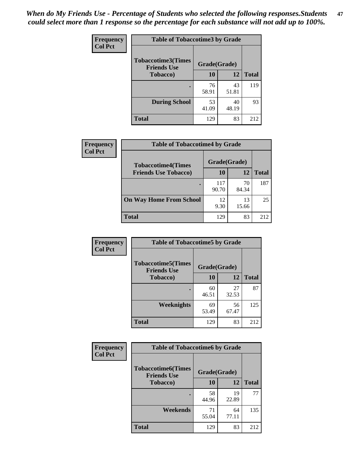*When do My Friends Use - Percentage of Students who selected the following responses.Students could select more than 1 response so the percentage for each substance will not add up to 100%.* **47**

| <b>Frequency</b> | <b>Table of Tobaccotime3 by Grade</b>           |              |             |              |
|------------------|-------------------------------------------------|--------------|-------------|--------------|
| <b>Col Pct</b>   | <b>Tobaccotime3(Times</b><br><b>Friends Use</b> | Grade(Grade) |             |              |
|                  | <b>Tobacco</b> )                                | 10           | 12          | <b>Total</b> |
|                  |                                                 | 76<br>58.91  | 43<br>51.81 | 119          |
|                  | <b>During School</b>                            | 53<br>41.09  | 40<br>48.19 | 93           |
|                  | <b>Total</b>                                    | 129          | 83          | 212          |

| <b>Frequency</b><br><b>Col Pct</b> | <b>Table of Tobaccotime4 by Grade</b> |              |             |              |
|------------------------------------|---------------------------------------|--------------|-------------|--------------|
|                                    | <b>Tobaccotime4(Times</b>             | Grade(Grade) |             |              |
|                                    | <b>Friends Use Tobacco)</b>           | 10           | 12          | <b>Total</b> |
|                                    |                                       | 117<br>90.70 | 70<br>84.34 | 187          |
|                                    | <b>On Way Home From School</b>        | 12<br>9.30   | 13<br>15.66 | 25           |
|                                    | <b>Total</b>                          | 129          | 83          | 212          |

| <b>Frequency</b> | <b>Table of Tobaccotime5 by Grade</b>           |              |             |              |
|------------------|-------------------------------------------------|--------------|-------------|--------------|
| <b>Col Pct</b>   | <b>Tobaccotime5(Times</b><br><b>Friends Use</b> | Grade(Grade) |             |              |
|                  | <b>Tobacco</b> )                                | 10           | 12          | <b>Total</b> |
|                  |                                                 | 60<br>46.51  | 27<br>32.53 | 87           |
|                  | Weeknights                                      | 69<br>53.49  | 56<br>67.47 | 125          |
|                  | <b>Total</b>                                    | 129          | 83          | 212          |

| Frequency      | <b>Table of Tobaccotime6 by Grade</b>           |              |             |              |
|----------------|-------------------------------------------------|--------------|-------------|--------------|
| <b>Col Pct</b> | <b>Tobaccotime6(Times</b><br><b>Friends Use</b> | Grade(Grade) |             |              |
|                | <b>Tobacco</b> )                                | 10           | 12          | <b>Total</b> |
|                |                                                 | 58<br>44.96  | 19<br>22.89 | 77           |
|                | Weekends                                        | 71<br>55.04  | 64<br>77.11 | 135          |
|                | <b>Total</b>                                    | 129          | 83          | 212          |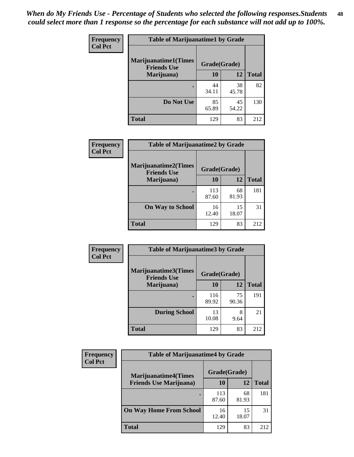| Frequency      | <b>Table of Marijuanatime1 by Grade</b>           |              |             |              |
|----------------|---------------------------------------------------|--------------|-------------|--------------|
| <b>Col Pct</b> | <b>Marijuanatime1(Times</b><br><b>Friends Use</b> | Grade(Grade) |             |              |
|                | Marijuana)                                        | 10           | 12          | <b>Total</b> |
|                |                                                   | 44<br>34.11  | 38<br>45.78 | 82           |
|                | Do Not Use                                        | 85<br>65.89  | 45<br>54.22 | 130          |
|                | <b>Total</b>                                      | 129          | 83          | 212          |

| Frequency      | <b>Table of Marijuanatime2 by Grade</b>    |              |             |              |
|----------------|--------------------------------------------|--------------|-------------|--------------|
| <b>Col Pct</b> | Marijuanatime2(Times<br><b>Friends Use</b> | Grade(Grade) |             |              |
|                | Marijuana)                                 | 10           | 12          | <b>Total</b> |
|                | ٠                                          | 113<br>87.60 | 68<br>81.93 | 181          |
|                | <b>On Way to School</b>                    | 16<br>12.40  | 15<br>18.07 | 31           |
|                | <b>Total</b>                               | 129          | 83          | 212          |

| Frequency      | <b>Table of Marijuanatime3 by Grade</b>    |              |             |              |
|----------------|--------------------------------------------|--------------|-------------|--------------|
| <b>Col Pct</b> | Marijuanatime3(Times<br><b>Friends Use</b> | Grade(Grade) |             |              |
|                | Marijuana)                                 | 10           | 12          | <b>Total</b> |
|                |                                            | 116<br>89.92 | 75<br>90.36 | 191          |
|                | <b>During School</b>                       | 13<br>10.08  | 8<br>9.64   | 21           |
|                | <b>Total</b>                               | 129          | 83          | 212          |

| <b>Frequency</b> | <b>Table of Marijuanatime4 by Grade</b> |              |             |              |
|------------------|-----------------------------------------|--------------|-------------|--------------|
| <b>Col Pct</b>   | <b>Marijuanatime4(Times</b>             | Grade(Grade) |             |              |
|                  | <b>Friends Use Marijuana</b> )          | 10           | 12          | <b>Total</b> |
|                  |                                         | 113<br>87.60 | 68<br>81.93 | 181          |
|                  | <b>On Way Home From School</b>          | 16<br>12.40  | 15<br>18.07 | 31           |
|                  | <b>Total</b>                            | 129          | 83          | 212          |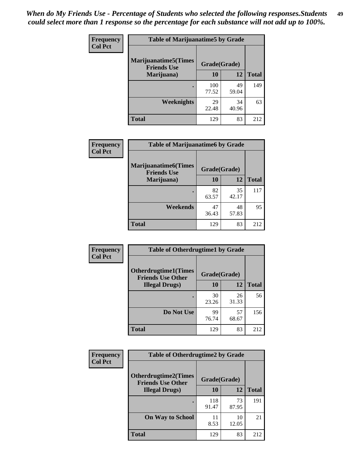| Frequency      | <b>Table of Marijuanatime5 by Grade</b>            |              |             |              |
|----------------|----------------------------------------------------|--------------|-------------|--------------|
| <b>Col Pct</b> | <b>Marijuanatime5</b> (Times<br><b>Friends Use</b> | Grade(Grade) |             |              |
|                | Marijuana)                                         | 10           | 12          | <b>Total</b> |
|                |                                                    | 100<br>77.52 | 49<br>59.04 | 149          |
|                | Weeknights                                         | 29<br>22.48  | 34<br>40.96 | 63           |
|                | <b>Total</b>                                       | 129          | 83          | 212          |

| Frequency      | <b>Table of Marijuanatime6 by Grade</b>    |              |             |              |
|----------------|--------------------------------------------|--------------|-------------|--------------|
| <b>Col Pct</b> | Marijuanatime6(Times<br><b>Friends Use</b> | Grade(Grade) |             |              |
|                | Marijuana)                                 | 10           | 12          | <b>Total</b> |
|                |                                            | 82<br>63.57  | 35<br>42.17 | 117          |
|                | Weekends                                   | 47<br>36.43  | 48<br>57.83 | 95           |
|                | <b>Total</b>                               | 129          | 83          | 212          |

| <b>Frequency</b> | <b>Table of Otherdrugtime1 by Grade</b>                 |              |             |              |
|------------------|---------------------------------------------------------|--------------|-------------|--------------|
| <b>Col Pct</b>   | <b>Otherdrugtime1(Times</b><br><b>Friends Use Other</b> | Grade(Grade) |             |              |
|                  | <b>Illegal Drugs</b> )                                  | 10           | 12          | <b>Total</b> |
|                  |                                                         | 30<br>23.26  | 26<br>31.33 | 56           |
|                  | Do Not Use                                              | 99<br>76.74  | 57<br>68.67 | 156          |
|                  | <b>Total</b>                                            | 129          | 83          | 212          |

| <b>Frequency</b> | <b>Table of Otherdrugtime2 by Grade</b>                 |              |             |              |  |  |
|------------------|---------------------------------------------------------|--------------|-------------|--------------|--|--|
| <b>Col Pct</b>   | <b>Otherdrugtime2(Times</b><br><b>Friends Use Other</b> | Grade(Grade) |             |              |  |  |
|                  | <b>Illegal Drugs</b> )                                  | 10           | 12          | <b>Total</b> |  |  |
|                  |                                                         | 118<br>91.47 | 73<br>87.95 | 191          |  |  |
|                  | <b>On Way to School</b>                                 | 11<br>8.53   | 10<br>12.05 | 21           |  |  |
|                  | Total                                                   | 129          | 83          | 212          |  |  |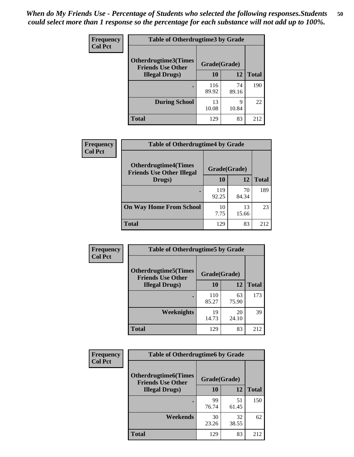| <b>Frequency</b><br><b>Col Pct</b> | <b>Table of Otherdrugtime3 by Grade</b>                 |              |             |              |  |  |
|------------------------------------|---------------------------------------------------------|--------------|-------------|--------------|--|--|
|                                    | <b>Otherdrugtime3(Times</b><br><b>Friends Use Other</b> | Grade(Grade) |             |              |  |  |
|                                    | <b>Illegal Drugs</b> )                                  | 10           | 12          | <b>Total</b> |  |  |
|                                    |                                                         | 116<br>89.92 | 74<br>89.16 | 190          |  |  |
|                                    | <b>During School</b>                                    | 13<br>10.08  | q<br>10.84  | 22           |  |  |
|                                    | Total                                                   | 129          | 83          | 212          |  |  |

| Frequency      | <b>Table of Otherdrugtime4 by Grade</b>                         |              |             |              |  |  |
|----------------|-----------------------------------------------------------------|--------------|-------------|--------------|--|--|
| <b>Col Pct</b> | <b>Otherdrugtime4(Times</b><br><b>Friends Use Other Illegal</b> | Grade(Grade) |             |              |  |  |
|                | Drugs)                                                          | 10           | 12          | <b>Total</b> |  |  |
|                | ٠                                                               | 119<br>92.25 | 70<br>84.34 | 189          |  |  |
|                | <b>On Way Home From School</b>                                  | 10<br>7.75   | 13<br>15.66 | 23           |  |  |
|                | <b>Total</b>                                                    | 129          | 83          | 212          |  |  |

| <b>Frequency</b> | <b>Table of Otherdrugtime5 by Grade</b>                  |              |             |              |  |  |
|------------------|----------------------------------------------------------|--------------|-------------|--------------|--|--|
| <b>Col Pct</b>   | <b>Otherdrugtime5</b> (Times<br><b>Friends Use Other</b> | Grade(Grade) |             |              |  |  |
|                  | <b>Illegal Drugs</b> )                                   | 10           | 12          | <b>Total</b> |  |  |
|                  |                                                          | 110<br>85.27 | 63<br>75.90 | 173          |  |  |
|                  | <b>Weeknights</b>                                        | 19<br>14.73  | 20<br>24.10 | 39           |  |  |
|                  | Total                                                    | 129          | 83          | 212          |  |  |

| <b>Frequency</b> | <b>Table of Otherdrugtime6 by Grade</b>                 |              |             |              |  |  |
|------------------|---------------------------------------------------------|--------------|-------------|--------------|--|--|
| <b>Col Pct</b>   | <b>Otherdrugtime6(Times</b><br><b>Friends Use Other</b> | Grade(Grade) |             |              |  |  |
|                  | <b>Illegal Drugs</b> )                                  | 10           | 12          | <b>Total</b> |  |  |
|                  |                                                         | 99<br>76.74  | 51<br>61.45 | 150          |  |  |
|                  | Weekends                                                | 30<br>23.26  | 32<br>38.55 | 62           |  |  |
|                  | <b>Total</b>                                            | 129          | 83          | 212          |  |  |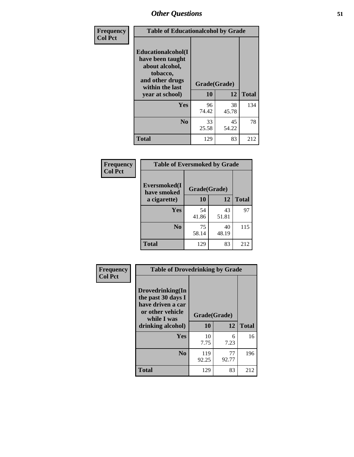| Frequency      | <b>Table of Educationalcohol by Grade</b>                                                                  |              |             |              |  |  |
|----------------|------------------------------------------------------------------------------------------------------------|--------------|-------------|--------------|--|--|
| <b>Col Pct</b> | Educationalcohol(I<br>have been taught<br>about alcohol,<br>tobacco,<br>and other drugs<br>within the last | Grade(Grade) |             |              |  |  |
|                | year at school)                                                                                            | 10           | 12          | <b>Total</b> |  |  |
|                | Yes                                                                                                        | 96<br>74.42  | 38<br>45.78 | 134          |  |  |
|                | N <sub>0</sub>                                                                                             | 33<br>25.58  | 45<br>54.22 | 78           |  |  |
|                | <b>Total</b>                                                                                               | 129          | 83          | 212          |  |  |

| Frequency      | <b>Table of Eversmoked by Grade</b> |              |             |              |  |  |  |
|----------------|-------------------------------------|--------------|-------------|--------------|--|--|--|
| <b>Col Pct</b> | Eversmoked(I<br>have smoked         | Grade(Grade) |             |              |  |  |  |
|                | a cigarette)                        | 10           | 12          | <b>Total</b> |  |  |  |
|                | Yes                                 | 54<br>41.86  | 43<br>51.81 | 97           |  |  |  |
|                | N <sub>0</sub>                      | 75<br>58.14  | 40<br>48.19 | 115          |  |  |  |
|                | <b>Total</b>                        | 129          | 83          | 212          |  |  |  |

| Frequency      | <b>Table of Drovedrinking by Grade</b>                                                                              |                    |             |              |  |  |
|----------------|---------------------------------------------------------------------------------------------------------------------|--------------------|-------------|--------------|--|--|
| <b>Col Pct</b> | Drovedrinking(In<br>the past 30 days I<br>have driven a car<br>or other vehicle<br>while I was<br>drinking alcohol) | Grade(Grade)<br>10 | 12          | <b>Total</b> |  |  |
|                | <b>Yes</b>                                                                                                          | 10<br>7.75         | 6<br>7.23   | 16           |  |  |
|                | N <sub>0</sub>                                                                                                      | 119<br>92.25       | 77<br>92.77 | 196          |  |  |
|                | <b>Total</b>                                                                                                        | 129                | 83          | 212          |  |  |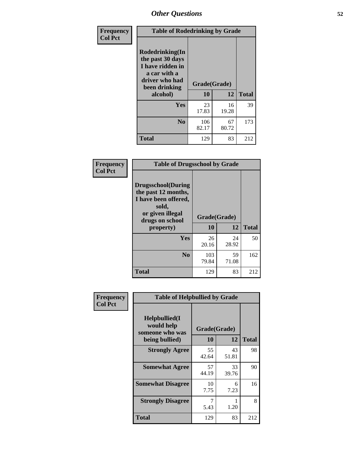| Frequency<br><b>Col Pct</b> | <b>Table of Rodedrinking by Grade</b>                                                                                      |              |             |              |  |  |
|-----------------------------|----------------------------------------------------------------------------------------------------------------------------|--------------|-------------|--------------|--|--|
|                             | Rodedrinking(In<br>the past 30 days<br>I have ridden in<br>a car with a<br>driver who had<br>Grade(Grade)<br>been drinking |              |             |              |  |  |
|                             | alcohol)                                                                                                                   | 10           | 12          | <b>Total</b> |  |  |
|                             | <b>Yes</b>                                                                                                                 | 23<br>17.83  | 16<br>19.28 | 39           |  |  |
|                             | N <sub>0</sub>                                                                                                             | 106<br>82.17 | 67<br>80.72 | 173          |  |  |
|                             | <b>Total</b>                                                                                                               | 129          | 83          | 212          |  |  |

#### **Frequency Col Pct**

| <b>Table of Drugsschool by Grade</b>                                                                                      |              |             |              |  |  |  |
|---------------------------------------------------------------------------------------------------------------------------|--------------|-------------|--------------|--|--|--|
| <b>Drugsschool</b> (During<br>the past 12 months,<br>I have been offered,<br>sold,<br>or given illegal<br>drugs on school | Grade(Grade) |             |              |  |  |  |
| property)                                                                                                                 | 10           | 12          | <b>Total</b> |  |  |  |
| Yes                                                                                                                       | 26<br>20.16  | 24<br>28.92 | 50           |  |  |  |
| N <sub>0</sub>                                                                                                            | 103<br>79.84 | 59<br>71.08 | 162          |  |  |  |
| Total                                                                                                                     | 129          | 83          | 212          |  |  |  |

| Frequency      |                                                                        | <b>Table of Helpbullied by Grade</b> |             |              |  |  |  |
|----------------|------------------------------------------------------------------------|--------------------------------------|-------------|--------------|--|--|--|
| <b>Col Pct</b> | $Helpb$ ullied $(I$<br>would help<br>someone who was<br>being bullied) | Grade(Grade)<br><b>10</b><br>12      |             | <b>Total</b> |  |  |  |
|                | <b>Strongly Agree</b>                                                  | 55<br>42.64                          | 43<br>51.81 | 98           |  |  |  |
|                | <b>Somewhat Agree</b>                                                  | 57<br>44.19                          | 33<br>39.76 | 90           |  |  |  |
|                | <b>Somewhat Disagree</b>                                               | 10<br>7.75                           | 6<br>7.23   | 16           |  |  |  |
|                | <b>Strongly Disagree</b>                                               | 5.43                                 | 1.20        | 8            |  |  |  |
|                | Total                                                                  | 129                                  | 83          | 212          |  |  |  |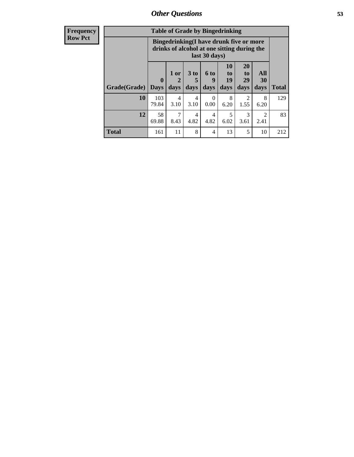| Frequency      | <b>Table of Grade by Bingedrinking</b> |                                                                                                         |                |                   |                   |                        |                                     |                        |              |
|----------------|----------------------------------------|---------------------------------------------------------------------------------------------------------|----------------|-------------------|-------------------|------------------------|-------------------------------------|------------------------|--------------|
| <b>Row Pct</b> |                                        | Bingedrinking(I have drunk five or more<br>drinks of alcohol at one sitting during the<br>last 30 days) |                |                   |                   |                        |                                     |                        |              |
|                | Grade(Grade)                           | $\mathbf{0}$<br><b>Days</b>                                                                             | $1$ or<br>days | 3 to<br>5<br>days | 6 to<br>9<br>days | 10<br>to<br>19<br>days | <b>20</b><br>to<br>29<br>days       | All<br>30<br>days      | <b>Total</b> |
|                | 10                                     | 103<br>79.84                                                                                            | 4<br>3.10      | 4<br>3.10         | $\Omega$<br>0.00  | 8<br>6.20              | $\mathcal{D}_{\mathcal{L}}$<br>1.55 | 8<br>6.20              | 129          |
|                | 12                                     | 58<br>69.88                                                                                             | 7<br>8.43      | 4<br>4.82         | 4<br>4.82         | 5<br>6.02              | 3<br>3.61                           | $\overline{2}$<br>2.41 | 83           |
|                | <b>Total</b>                           | 161                                                                                                     | 11             | 8                 | 4                 | 13                     | 5                                   | 10                     | 212          |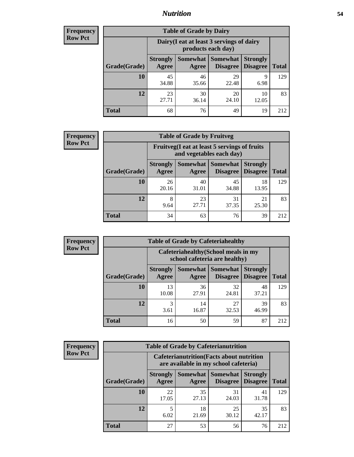### *Nutrition* **54**

| <b>Frequency</b> |
|------------------|
| <b>Row Pct</b>   |

| <b>Table of Grade by Dairy</b> |                                                                 |                                                                                                          |             |             |     |  |  |  |
|--------------------------------|-----------------------------------------------------------------|----------------------------------------------------------------------------------------------------------|-------------|-------------|-----|--|--|--|
|                                | Dairy (I eat at least 3 servings of dairy<br>products each day) |                                                                                                          |             |             |     |  |  |  |
| Grade(Grade)                   | <b>Strongly</b><br>Agree                                        | Somewhat  <br><b>Somewhat</b><br><b>Strongly</b><br><b>Disagree</b><br>Disagree<br><b>Total</b><br>Agree |             |             |     |  |  |  |
| <b>10</b>                      | 45<br>34.88                                                     | 46<br>35.66                                                                                              | 29<br>22.48 | 9<br>6.98   | 129 |  |  |  |
| 12                             | 23<br>27.71                                                     | 30<br>36.14                                                                                              | 20<br>24.10 | 10<br>12.05 | 83  |  |  |  |
| <b>Total</b>                   | 68                                                              | 76                                                                                                       | 49          | 19          | 212 |  |  |  |

| <b>Frequency</b> |  |
|------------------|--|
| <b>Row Pct</b>   |  |

| <b>Table of Grade by Fruitveg</b> |                          |                                                                                |             |             |     |  |  |  |
|-----------------------------------|--------------------------|--------------------------------------------------------------------------------|-------------|-------------|-----|--|--|--|
|                                   |                          | Fruitveg(I eat at least 5 servings of fruits<br>and vegetables each day)       |             |             |     |  |  |  |
| Grade(Grade)                      | <b>Strongly</b><br>Agree | Somewhat   Somewhat<br><b>Strongly</b><br><b>Disagree</b><br>Disagree<br>Agree |             |             |     |  |  |  |
| 10                                | 26<br>20.16              | 40<br>31.01                                                                    | 45<br>34.88 | 18<br>13.95 | 129 |  |  |  |
| 12                                | 8<br>9.64                | 23<br>27.71                                                                    | 31<br>37.35 | 21<br>25.30 | 83  |  |  |  |
| <b>Total</b>                      | 34                       | 63                                                                             | 76          | 39          | 212 |  |  |  |

| <b>Frequency</b> | <b>Table of Grade by Cafeteriahealthy</b> |                                                                       |             |                                          |                                    |              |  |
|------------------|-------------------------------------------|-----------------------------------------------------------------------|-------------|------------------------------------------|------------------------------------|--------------|--|
| <b>Row Pct</b>   |                                           | Cafeteriahealthy (School meals in my<br>school cafeteria are healthy) |             |                                          |                                    |              |  |
|                  | Grade(Grade)                              | <b>Strongly</b><br>Agree                                              | Agree       | Somewhat   Somewhat  <br><b>Disagree</b> | <b>Strongly</b><br><b>Disagree</b> | <b>Total</b> |  |
|                  | 10                                        | 13<br>10.08                                                           | 36<br>27.91 | 32<br>24.81                              | 48<br>37.21                        | 129          |  |
|                  | 12                                        | 3<br>3.61                                                             | 14<br>16.87 | 27<br>32.53                              | 39<br>46.99                        | 83           |  |
|                  | Total                                     | 16                                                                    | 50          | 59                                       | 87                                 | 212          |  |

| <b>Frequency</b> |
|------------------|
| <b>Row Pct</b>   |

| <b>Table of Grade by Cafeterianutrition</b> |                          |                                                                                                       |             |             |     |  |  |  |
|---------------------------------------------|--------------------------|-------------------------------------------------------------------------------------------------------|-------------|-------------|-----|--|--|--|
|                                             |                          | <b>Cafeterianutrition</b> (Facts about nutrition<br>are available in my school cafeteria)             |             |             |     |  |  |  |
| Grade(Grade)                                | <b>Strongly</b><br>Agree | <b>Somewhat   Somewhat</b><br><b>Strongly</b><br><b>Disagree</b><br>Disagree<br><b>Total</b><br>Agree |             |             |     |  |  |  |
| 10                                          | 22<br>17.05              | 35<br>27.13                                                                                           | 31<br>24.03 | 41<br>31.78 | 129 |  |  |  |
| 12                                          | 5<br>6.02                | 18<br>21.69                                                                                           | 25<br>30.12 | 35<br>42.17 | 83  |  |  |  |
| <b>Total</b>                                | 27                       | 53                                                                                                    | 56          | 76          | 212 |  |  |  |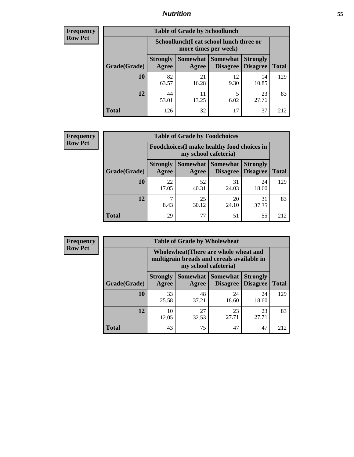### *Nutrition* **55**

| <b>Frequency</b> |
|------------------|
| Row Pct          |

| <b>Table of Grade by Schoollunch</b> |             |                                                                                                                                                                                             |            |             |     |  |  |  |
|--------------------------------------|-------------|---------------------------------------------------------------------------------------------------------------------------------------------------------------------------------------------|------------|-------------|-----|--|--|--|
|                                      |             | Schoollunch(I eat school lunch three or<br>more times per week)<br>Somewhat Somewhat<br><b>Strongly</b><br><b>Strongly</b><br><b>Disagree</b><br>Disagree<br><b>Total</b><br>Agree<br>Agree |            |             |     |  |  |  |
| Grade(Grade)                         |             |                                                                                                                                                                                             |            |             |     |  |  |  |
| 10                                   | 82<br>63.57 | 21<br>16.28                                                                                                                                                                                 | 12<br>9.30 | 14<br>10.85 | 129 |  |  |  |
| 12                                   | 44<br>53.01 | 11<br>13.25                                                                                                                                                                                 | 5<br>6.02  | 23<br>27.71 | 83  |  |  |  |
| <b>Total</b>                         | 126         | 32                                                                                                                                                                                          | 17         | 37          | 212 |  |  |  |

| <b>Frequency</b> |  |
|------------------|--|
| <b>Row Pct</b>   |  |

| V | <b>Table of Grade by Foodchoices</b> |                                                                     |             |                                   |                                    |              |  |  |  |
|---|--------------------------------------|---------------------------------------------------------------------|-------------|-----------------------------------|------------------------------------|--------------|--|--|--|
|   |                                      | Foodchoices (I make healthy food choices in<br>my school cafeteria) |             |                                   |                                    |              |  |  |  |
|   | Grade(Grade)                         | <b>Strongly</b><br>Agree                                            | Agree       | Somewhat   Somewhat  <br>Disagree | <b>Strongly</b><br><b>Disagree</b> | <b>Total</b> |  |  |  |
|   | 10                                   | 22<br>17.05                                                         | 52<br>40.31 | 31<br>24.03                       | 24<br>18.60                        | 129          |  |  |  |
|   | 12                                   | 8.43                                                                | 25<br>30.12 | 20<br>24.10                       | 31<br>37.35                        | 83           |  |  |  |
|   | <b>Total</b>                         | 29                                                                  | 77          | 51                                | 55                                 | 212          |  |  |  |

| Frequency      | <b>Table of Grade by Wholewheat</b> |                                                                                                             |             |                                   |                                    |              |  |  |
|----------------|-------------------------------------|-------------------------------------------------------------------------------------------------------------|-------------|-----------------------------------|------------------------------------|--------------|--|--|
| <b>Row Pct</b> |                                     | Wholewheat (There are whole wheat and<br>multigrain breads and cereals available in<br>my school cafeteria) |             |                                   |                                    |              |  |  |
|                | Grade(Grade)                        | <b>Strongly</b><br>Agree                                                                                    | Agree       | Somewhat   Somewhat  <br>Disagree | <b>Strongly</b><br><b>Disagree</b> | <b>Total</b> |  |  |
|                | 10                                  | 33<br>25.58                                                                                                 | 48<br>37.21 | 24<br>18.60                       | 24<br>18.60                        | 129          |  |  |
|                | 12                                  | 10<br>12.05                                                                                                 | 27<br>32.53 | 23<br>27.71                       | 23<br>27.71                        | 83           |  |  |
|                | <b>Total</b>                        | 43                                                                                                          | 75          | 47                                | 47                                 | 212          |  |  |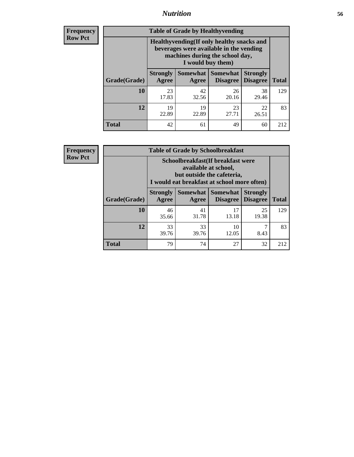### *Nutrition* **56**

**Frequency Row Pct**

| <b>Table of Grade by Healthyvending</b> |                                                                                                                                               |                          |                                    |                                    |              |
|-----------------------------------------|-----------------------------------------------------------------------------------------------------------------------------------------------|--------------------------|------------------------------------|------------------------------------|--------------|
|                                         | Healthyvending (If only healthy snacks and<br>beverages were available in the vending<br>machines during the school day,<br>I would buy them) |                          |                                    |                                    |              |
| Grade(Grade)                            | <b>Strongly</b><br>Agree                                                                                                                      | <b>Somewhat</b><br>Agree | <b>Somewhat</b><br><b>Disagree</b> | <b>Strongly</b><br><b>Disagree</b> | <b>Total</b> |
| 10                                      | 23<br>17.83                                                                                                                                   | 42<br>32.56              | 26<br>20.16                        | 38<br>29.46                        | 129          |
| 12                                      | 19<br>22.89                                                                                                                                   | 19<br>22.89              | 23<br>27.71                        | 22<br>26.51                        | 83           |
| Total                                   | 42                                                                                                                                            | 61                       | 49                                 | 60                                 | 212          |

**Frequency Row Pct**

| <b>Table of Grade by Schoolbreakfast</b> |                                                                                                                                        |             |                     |                                        |              |  |
|------------------------------------------|----------------------------------------------------------------------------------------------------------------------------------------|-------------|---------------------|----------------------------------------|--------------|--|
|                                          | Schoolbreakfast(If breakfast were<br>available at school,<br>but outside the cafeteria,<br>I would eat breakfast at school more often) |             |                     |                                        |              |  |
| Grade(Grade)                             | <b>Strongly</b><br>Agree                                                                                                               | Agree       | Somewhat   Somewhat | <b>Strongly</b><br>Disagree   Disagree | <b>Total</b> |  |
| <b>10</b>                                | 46<br>35.66                                                                                                                            | 41<br>31.78 | 17<br>13.18         | 25<br>19.38                            | 129          |  |
| 12                                       | 33<br>39.76                                                                                                                            | 33<br>39.76 | 10<br>12.05         | 8.43                                   | 83           |  |
| <b>Total</b>                             | 79                                                                                                                                     | 74          | 27                  | 32                                     | 212          |  |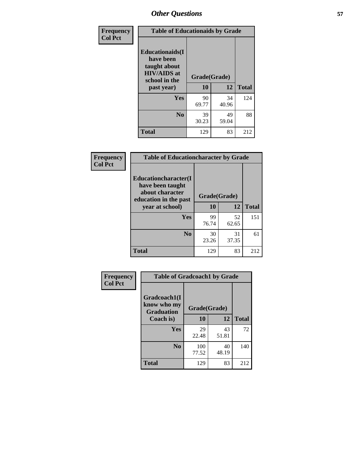| Frequency<br><b>Col Pct</b> | <b>Table of Educationaids by Grade</b>                                                                    |                    |             |              |
|-----------------------------|-----------------------------------------------------------------------------------------------------------|--------------------|-------------|--------------|
|                             | <b>Educationaids</b> (I<br>have been<br>taught about<br><b>HIV/AIDS</b> at<br>school in the<br>past year) | Grade(Grade)<br>10 | 12          | <b>Total</b> |
|                             | Yes                                                                                                       | 90<br>69.77        | 34<br>40.96 | 124          |
|                             | N <sub>0</sub>                                                                                            | 39<br>30.23        | 49<br>59.04 | 88           |
|                             | <b>Total</b>                                                                                              | 129                | 83          | 212          |

| <b>Frequency</b> | <b>Table of Educationcharacter by Grade</b>                                          |              |             |              |
|------------------|--------------------------------------------------------------------------------------|--------------|-------------|--------------|
| <b>Col Pct</b>   | Educationcharacter(I<br>have been taught<br>about character<br>education in the past | Grade(Grade) |             |              |
|                  | year at school)                                                                      | 10           | 12          | <b>Total</b> |
|                  | <b>Yes</b>                                                                           | 99<br>76.74  | 52<br>62.65 | 151          |
|                  | N <sub>0</sub>                                                                       | 30<br>23.26  | 31<br>37.35 | 61           |
|                  | <b>Total</b>                                                                         | 129          | 83          | 212          |

| Frequency      | <b>Table of Gradcoach1 by Grade</b>              |              |             |              |
|----------------|--------------------------------------------------|--------------|-------------|--------------|
| <b>Col Pct</b> | Gradcoach1(I<br>know who my<br><b>Graduation</b> | Grade(Grade) |             |              |
|                | Coach is)                                        | 10           | 12          | <b>Total</b> |
|                | Yes                                              | 29<br>22.48  | 43<br>51.81 | 72           |
|                | N <sub>0</sub>                                   | 100<br>77.52 | 40<br>48.19 | 140          |
|                | <b>Total</b>                                     | 129          | 83          | 212          |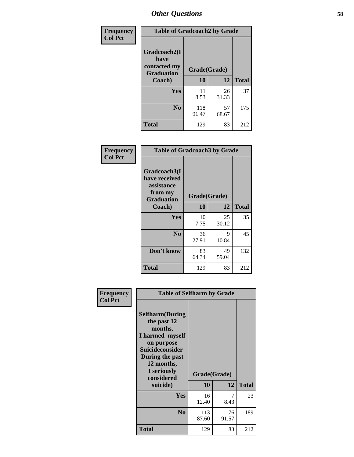| Frequency      | <b>Table of Gradcoach2 by Grade</b>  |              |             |              |
|----------------|--------------------------------------|--------------|-------------|--------------|
| <b>Col Pct</b> | Gradcoach2(I<br>have<br>contacted my |              |             |              |
|                | <b>Graduation</b>                    | Grade(Grade) |             |              |
|                | Coach)                               | 10           | 12          | <b>Total</b> |
|                | Yes                                  | 11<br>8.53   | 26<br>31.33 | 37           |
|                | N <sub>0</sub>                       | 118<br>91.47 | 57<br>68.67 | 175          |
|                | <b>Total</b>                         | 129          | 83          | 212          |

| <b>Frequency</b><br><b>Col Pct</b> | <b>Table of Gradcoach3 by Grade</b>                                         |              |             |              |
|------------------------------------|-----------------------------------------------------------------------------|--------------|-------------|--------------|
|                                    | Gradcoach3(I<br>have received<br>assistance<br>from my<br><b>Graduation</b> | Grade(Grade) |             |              |
|                                    | Coach)                                                                      | 10           | 12          | <b>Total</b> |
|                                    | Yes                                                                         | 10<br>7.75   | 25<br>30.12 | 35           |
|                                    | N <sub>0</sub>                                                              | 36<br>27.91  | 9<br>10.84  | 45           |
|                                    | Don't know                                                                  | 83<br>64.34  | 49<br>59.04 | 132          |
|                                    | <b>Total</b>                                                                | 129          | 83          | 212          |

| Frequency      | <b>Table of Selfharm by Grade</b>                                                                                                                                          |                    |             |              |
|----------------|----------------------------------------------------------------------------------------------------------------------------------------------------------------------------|--------------------|-------------|--------------|
| <b>Col Pct</b> | <b>Selfharm</b> (During<br>the past 12<br>months,<br>I harmed myself<br>on purpose<br><b>Suicideconsider</b><br>During the past<br>12 months,<br>I seriously<br>considered | Grade(Grade)<br>10 | 12          | <b>Total</b> |
|                | suicide)                                                                                                                                                                   |                    |             |              |
|                | <b>Yes</b>                                                                                                                                                                 | 16<br>12.40        | 7<br>8.43   | 23           |
|                | N <sub>0</sub>                                                                                                                                                             | 113<br>87.60       | 76<br>91.57 | 189          |
|                | <b>Total</b>                                                                                                                                                               | 129                | 83          | 212          |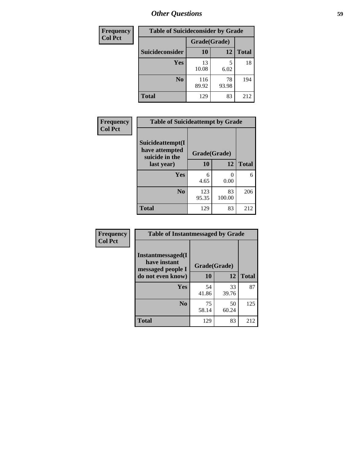| <b>Frequency</b> | <b>Table of Suicideconsider by Grade</b> |              |             |              |  |
|------------------|------------------------------------------|--------------|-------------|--------------|--|
| <b>Col Pct</b>   |                                          | Grade(Grade) |             |              |  |
|                  | Suicideconsider                          | <b>10</b>    | 12          | <b>Total</b> |  |
|                  | Yes                                      | 13<br>10.08  | 5<br>6.02   | 18           |  |
|                  | N <sub>0</sub>                           | 116<br>89.92 | 78<br>93.98 | 194          |  |
|                  | Total                                    | 129          | 83          | 212          |  |

| Frequency      | <b>Table of Suicideattempt by Grade</b>              |              |              |              |
|----------------|------------------------------------------------------|--------------|--------------|--------------|
| <b>Col Pct</b> | Suicideattempt(I<br>have attempted<br>suicide in the | Grade(Grade) |              |              |
|                | last year)                                           | 10           | 12           | <b>Total</b> |
|                | Yes                                                  | 6<br>4.65    | 0.00         | 6            |
|                | $\bf No$                                             | 123<br>95.35 | 83<br>100.00 | 206          |
|                | <b>Total</b>                                         | 129          | 83           | 212          |

| Frequency      | <b>Table of Instantmessaged by Grade</b>                       |              |             |              |
|----------------|----------------------------------------------------------------|--------------|-------------|--------------|
| <b>Col Pct</b> | <b>Instantmessaged</b> (I<br>have instant<br>messaged people I | Grade(Grade) |             |              |
|                | do not even know)                                              | 10           | 12          | <b>Total</b> |
|                | Yes                                                            | 54<br>41.86  | 33<br>39.76 | 87           |
|                | N <sub>0</sub>                                                 | 75<br>58.14  | 50<br>60.24 | 125          |
|                | <b>Total</b>                                                   | 129          | 83          | 212          |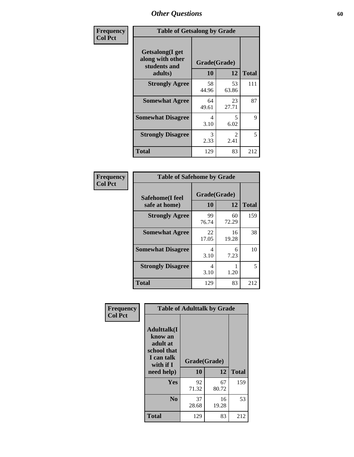| Frequency      | <b>Table of Getsalong by Grade</b>                          |                    |                        |              |
|----------------|-------------------------------------------------------------|--------------------|------------------------|--------------|
| <b>Col Pct</b> | <b>Getsalong</b> (I get<br>along with other<br>students and | Grade(Grade)<br>10 | 12                     | <b>Total</b> |
|                | adults)                                                     |                    |                        |              |
|                | <b>Strongly Agree</b>                                       | 58<br>44.96        | 53<br>63.86            | 111          |
|                | <b>Somewhat Agree</b>                                       | 64<br>49.61        | 23<br>27.71            | 87           |
|                | <b>Somewhat Disagree</b>                                    | 4<br>3.10          | 5<br>6.02              | 9            |
|                | <b>Strongly Disagree</b>                                    | 3<br>2.33          | $\mathfrak{D}$<br>2.41 | 5            |
|                | <b>Total</b>                                                | 129                | 83                     | 212          |

| Frequency      | <b>Table of Safehome by Grade</b> |                    |             |              |
|----------------|-----------------------------------|--------------------|-------------|--------------|
| <b>Col Pct</b> | Safehome(I feel<br>safe at home)  | Grade(Grade)<br>10 | 12          | <b>Total</b> |
|                | <b>Strongly Agree</b>             | 99<br>76.74        | 60<br>72.29 | 159          |
|                | <b>Somewhat Agree</b>             | 22<br>17.05        | 16<br>19.28 | 38           |
|                | <b>Somewhat Disagree</b>          | 4<br>3.10          | 6<br>7.23   | 10           |
|                | <b>Strongly Disagree</b>          | 4<br>3.10          | 1.20        | 5            |
|                | <b>Total</b>                      | 129                | 83          | 212          |

| Frequency      |                                                                                      | <b>Table of Adulttalk by Grade</b> |             |              |
|----------------|--------------------------------------------------------------------------------------|------------------------------------|-------------|--------------|
| <b>Col Pct</b> | <b>Adulttalk</b> (I<br>know an<br>adult at<br>school that<br>I can talk<br>with if I | Grade(Grade)                       |             |              |
|                | need help)                                                                           | 10                                 | 12          | <b>Total</b> |
|                | <b>Yes</b>                                                                           | 92<br>71.32                        | 67<br>80.72 | 159          |
|                | N <sub>0</sub>                                                                       | 37<br>28.68                        | 16<br>19.28 | 53           |
|                | <b>Total</b>                                                                         | 129                                | 83          | 212          |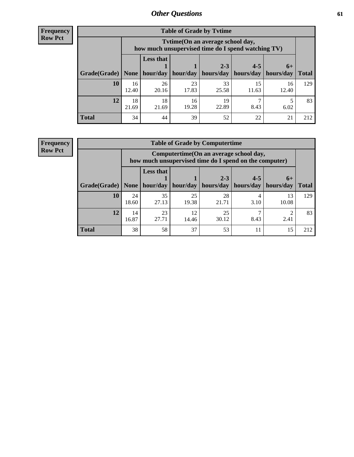**Frequency Row Pct**

| <b>Table of Grade by Tvtime</b> |             |                                                                                        |                     |             |             |             |              |  |  |
|---------------------------------|-------------|----------------------------------------------------------------------------------------|---------------------|-------------|-------------|-------------|--------------|--|--|
|                                 |             | Tvtime(On an average school day,<br>how much unsupervised time do I spend watching TV) |                     |             |             |             |              |  |  |
|                                 |             | <b>Less that</b>                                                                       |                     | $2 - 3$     | $4 - 5$     | $6+$        |              |  |  |
| Grade(Grade)   None             |             |                                                                                        | hour/day   hour/day | hours/day   | hours/day   | hours/day   | <b>Total</b> |  |  |
| 10                              | 16<br>12.40 | 26<br>20.16                                                                            | 23<br>17.83         | 33<br>25.58 | 15<br>11.63 | 16<br>12.40 | 129          |  |  |
| 12                              | 18<br>21.69 | 18<br>21.69                                                                            | 16<br>19.28         | 19<br>22.89 | 8.43        | 6.02        | 83           |  |  |
| <b>Total</b>                    | 34          | 44                                                                                     | 39                  | 52          | 22          | 21          | 212          |  |  |

**Frequency Row Pct**

| <b>Table of Grade by Computertime</b> |             |                                                                                                   |             |                      |                      |                   |              |  |  |
|---------------------------------------|-------------|---------------------------------------------------------------------------------------------------|-------------|----------------------|----------------------|-------------------|--------------|--|--|
|                                       |             | Computertime (On an average school day,<br>how much unsupervised time do I spend on the computer) |             |                      |                      |                   |              |  |  |
| Grade(Grade)                          | None        | <b>Less that</b><br>hour/day                                                                      | hour/day    | $2 - 3$<br>hours/day | $4 - 5$<br>hours/day | $6+$<br>hours/day | <b>Total</b> |  |  |
| 10                                    | 24<br>18.60 | 35<br>27.13                                                                                       | 25<br>19.38 | 28<br>21.71          | 4<br>3.10            | 13<br>10.08       | 129          |  |  |
| 12                                    | 14<br>16.87 | 23<br>12<br>25<br>27.71<br>2.41<br>30.12<br>8.43<br>14.46                                         |             |                      |                      |                   |              |  |  |
| <b>Total</b>                          | 38          | 58                                                                                                | 37          | 53                   | 11                   | 15                | 212          |  |  |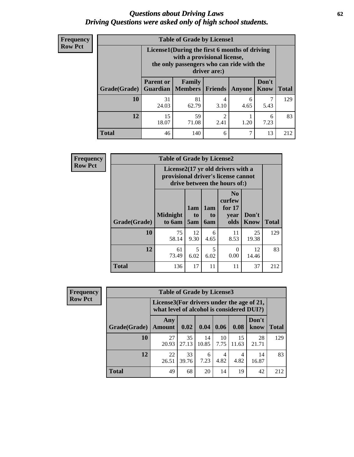#### *Questions about Driving Laws* **62** *Driving Questions were asked only of high school students.*

| <b>Frequency</b> |
|------------------|
| <b>Row Pct</b>   |

| <b>Table of Grade by License1</b> |                                                                           |                                                                                                                                           |                |           |                      |              |  |  |  |
|-----------------------------------|---------------------------------------------------------------------------|-------------------------------------------------------------------------------------------------------------------------------------------|----------------|-----------|----------------------|--------------|--|--|--|
|                                   |                                                                           | License1(During the first 6 months of driving<br>with a provisional license,<br>the only passengers who can ride with the<br>driver are:) |                |           |                      |              |  |  |  |
| Grade(Grade)                      | <b>Parent or</b>                                                          | <b>Family</b><br><b>Guardian</b>   Members                                                                                                | <b>Friends</b> | Anyone    | Don't<br><b>Know</b> | <b>Total</b> |  |  |  |
| 10                                | 31<br>24.03                                                               | 81<br>62.79                                                                                                                               | 4<br>3.10      | 6<br>4.65 | 7<br>5.43            | 129          |  |  |  |
| 12                                | 59<br>$\overline{2}$<br>15<br>6<br>18.07<br>71.08<br>2.41<br>1.20<br>7.23 |                                                                                                                                           |                |           |                      |              |  |  |  |
| <b>Total</b>                      | 46                                                                        | 140                                                                                                                                       | 6              | 7         | 13                   | 212          |  |  |  |

| <b>Frequency</b> | <b>Table of Grade by License2</b> |                                                                                                                      |                  |                         |                                                      |               |              |  |
|------------------|-----------------------------------|----------------------------------------------------------------------------------------------------------------------|------------------|-------------------------|------------------------------------------------------|---------------|--------------|--|
| <b>Row Pct</b>   |                                   | License $2(17 \text{ yr})$ old drivers with a<br>provisional driver's license cannot<br>drive between the hours of:) |                  |                         |                                                      |               |              |  |
|                  | Grade(Grade)                      | <b>Midnight</b><br>to 6am                                                                                            | 1am<br>to<br>5am | 1am<br>to<br><b>6am</b> | N <sub>0</sub><br>curfew<br>for $17$<br>vear<br>olds | Don't<br>Know | <b>Total</b> |  |
|                  | 10                                | 75<br>58.14                                                                                                          | 12<br>9.30       | 6<br>4.65               | 11<br>8.53                                           | 25<br>19.38   | 129          |  |
|                  | 12                                | 61<br>73.49                                                                                                          | 5<br>6.02        | 5<br>6.02               | 0<br>0.00                                            | 12<br>14.46   | 83           |  |
|                  | <b>Total</b>                      | 136                                                                                                                  | 17               | 11                      | 11                                                   | 37            | 212          |  |

| Frequency      |              | <b>Table of Grade by License3</b>                                                      |             |             |            |             |               |              |  |
|----------------|--------------|----------------------------------------------------------------------------------------|-------------|-------------|------------|-------------|---------------|--------------|--|
| <b>Row Pct</b> |              | License3(For drivers under the age of 21,<br>what level of alcohol is considered DUI?) |             |             |            |             |               |              |  |
|                | Grade(Grade) | Any<br><b>Amount</b>                                                                   | 0.02        | 0.04        | 0.06       | 0.08        | Don't<br>know | <b>Total</b> |  |
|                | 10           | 27<br>20.93                                                                            | 35<br>27.13 | 14<br>10.85 | 10<br>7.75 | 15<br>11.63 | 28<br>21.71   | 129          |  |
|                | 12           | 22<br>26.51                                                                            | 33<br>39.76 | 6<br>7.23   | 4<br>4.82  | 4<br>4.82   | 14<br>16.87   | 83           |  |
|                | <b>Total</b> | 49                                                                                     | 68          | 20          | 14         | 19          | 42            | 212          |  |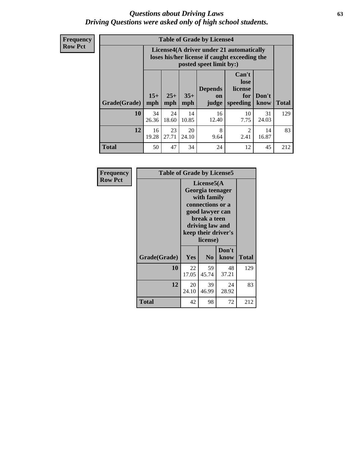#### *Questions about Driving Laws* **63** *Driving Questions were asked only of high school students.*

**Frequency Row Pct**

| <b>Table of Grade by License4</b> |             |                                                                                                                                                                                                                                                                                       |             |             |            |             |     |  |
|-----------------------------------|-------------|---------------------------------------------------------------------------------------------------------------------------------------------------------------------------------------------------------------------------------------------------------------------------------------|-------------|-------------|------------|-------------|-----|--|
|                                   |             | License4(A driver under 21 automatically<br>loses his/her license if caught exceeding the<br>posted speet limit by:)<br>Can't<br>lose<br><b>Depends</b><br>license<br>$15+$<br>$25+$<br>$35+$<br>Don't<br>for<br><b>on</b><br>speeding<br><b>Total</b><br>mph<br>know<br>mph<br>judge |             |             |            |             |     |  |
| Grade(Grade)                      | mph         |                                                                                                                                                                                                                                                                                       |             |             |            |             |     |  |
| 10                                | 34<br>26.36 | 24<br>18.60                                                                                                                                                                                                                                                                           | 14<br>10.85 | 16<br>12.40 | 10<br>7.75 | 31<br>24.03 | 129 |  |
| 12                                | 16<br>19.28 | 8<br>23<br>20<br>$\mathfrak{D}$<br>14<br>27.71<br>24.10<br>2.41<br>16.87<br>9.64                                                                                                                                                                                                      |             |             |            |             |     |  |
| <b>Total</b>                      | 50          | 47                                                                                                                                                                                                                                                                                    | 34          | 24          | 12         | 45          | 212 |  |

| Frequency      | <b>Table of Grade by License5</b> |             |                                                                                                                                                             |               |       |  |
|----------------|-----------------------------------|-------------|-------------------------------------------------------------------------------------------------------------------------------------------------------------|---------------|-------|--|
| <b>Row Pct</b> |                                   |             | License5(A)<br>Georgia teenager<br>with family<br>connections or a<br>good lawyer can<br>break a teen<br>driving law and<br>keep their driver's<br>license) |               |       |  |
|                | Grade(Grade)                      | Yes         | N <sub>0</sub>                                                                                                                                              | Don't<br>know | Total |  |
|                | 10                                | 22<br>17.05 | 59<br>45.74                                                                                                                                                 | 48<br>37.21   | 129   |  |
|                | 12                                | 20<br>24.10 | 39<br>46.99                                                                                                                                                 | 24<br>28.92   | 83    |  |
|                | <b>Total</b>                      | 42          | 98                                                                                                                                                          | 72            | 212   |  |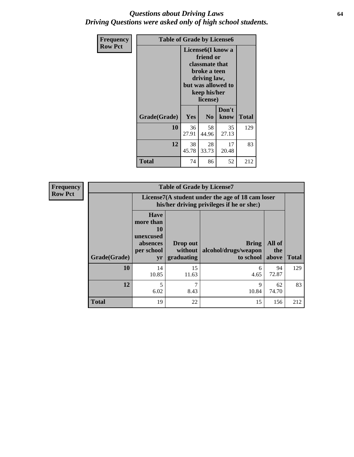#### *Questions about Driving Laws* **64** *Driving Questions were asked only of high school students.*

| <b>Frequency</b> | <b>Table of Grade by License6</b> |             |                                                                                                                           |                    |              |  |
|------------------|-----------------------------------|-------------|---------------------------------------------------------------------------------------------------------------------------|--------------------|--------------|--|
| <b>Row Pct</b>   |                                   |             | License <sub>6</sub> (I know a<br>friend or<br>classmate that<br>broke a teen<br>driving law,<br>keep his/her<br>license) | but was allowed to |              |  |
|                  | Grade(Grade)                      | <b>Yes</b>  | N <sub>0</sub>                                                                                                            | Don't<br>know      | <b>Total</b> |  |
|                  | 10                                | 36<br>27.91 | 58<br>44.96                                                                                                               | 35<br>27.13        | 129          |  |
|                  | 12                                | 38<br>45.78 | 28<br>33.73                                                                                                               | 17<br>20.48        | 83           |  |
|                  | <b>Total</b>                      | 74          | 86                                                                                                                        | 52                 | 212          |  |

| <b>Frequency</b> | <b>Table of Grade by License7</b> |                                                                             |                                                                                               |                                                   |                        |              |  |  |  |
|------------------|-----------------------------------|-----------------------------------------------------------------------------|-----------------------------------------------------------------------------------------------|---------------------------------------------------|------------------------|--------------|--|--|--|
| <b>Row Pct</b>   |                                   |                                                                             | License7(A student under the age of 18 cam loser<br>his/her driving privileges if he or she:) |                                                   |                        |              |  |  |  |
|                  | Grade(Grade)                      | <b>Have</b><br>more than<br>10<br>unexcused<br>absences<br>per school<br>yr | Drop out<br>without  <br>graduating                                                           | <b>Bring</b><br>alcohol/drugs/weapon<br>to school | All of<br>the<br>above | <b>Total</b> |  |  |  |
|                  | 10                                | 14<br>10.85                                                                 | 15<br>11.63                                                                                   | 6<br>4.65                                         | 94<br>72.87            | 129          |  |  |  |
|                  | 12                                | 5<br>6.02                                                                   | ┑<br>8.43                                                                                     | 9<br>10.84                                        | 62<br>74.70            | 83           |  |  |  |
|                  | <b>Total</b>                      | 19                                                                          | 22                                                                                            | 15                                                | 156                    | 212          |  |  |  |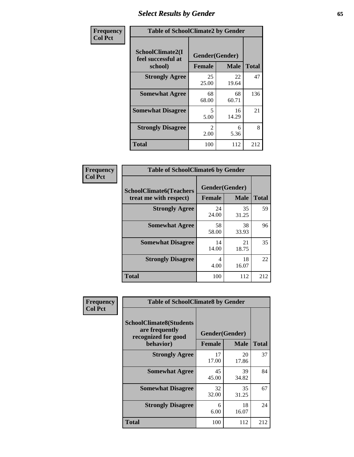# *Select Results by Gender* **65**

| Frequency      | <b>Table of SchoolClimate2 by Gender</b>          |                                     |             |              |  |
|----------------|---------------------------------------------------|-------------------------------------|-------------|--------------|--|
| <b>Col Pct</b> | SchoolClimate2(I<br>feel successful at<br>school) | Gender(Gender)<br><b>Female</b>     | <b>Male</b> | <b>Total</b> |  |
|                | <b>Strongly Agree</b>                             | 25<br>25.00                         | 22<br>19.64 | 47           |  |
|                | <b>Somewhat Agree</b>                             | 68<br>68.00                         | 68<br>60.71 | 136          |  |
|                | <b>Somewhat Disagree</b>                          | 5<br>5.00                           | 16<br>14.29 | 21           |  |
|                | <b>Strongly Disagree</b>                          | $\mathcal{D}_{\mathcal{L}}$<br>2.00 | 6<br>5.36   | 8            |  |
|                | <b>Total</b>                                      | 100                                 | 112         | 212          |  |

| <b>Frequency</b> | <b>Table of SchoolClimate6 by Gender</b>                 |               |                               |              |  |
|------------------|----------------------------------------------------------|---------------|-------------------------------|--------------|--|
| <b>Col Pct</b>   | <b>SchoolClimate6(Teachers</b><br>treat me with respect) | <b>Female</b> | Gender(Gender)<br><b>Male</b> | <b>Total</b> |  |
|                  | <b>Strongly Agree</b>                                    | 24<br>24.00   | 35<br>31.25                   | 59           |  |
|                  | <b>Somewhat Agree</b>                                    | 58<br>58.00   | 38<br>33.93                   | 96           |  |
|                  | <b>Somewhat Disagree</b>                                 | 14<br>14.00   | 21<br>18.75                   | 35           |  |
|                  | <b>Strongly Disagree</b>                                 | 4<br>4.00     | 18<br>16.07                   | 22           |  |
|                  | <b>Total</b>                                             | 100           | 112                           | 212          |  |

| <b>Frequency</b> | <b>Table of SchoolClimate8 by Gender</b>                                             |                                 |             |              |
|------------------|--------------------------------------------------------------------------------------|---------------------------------|-------------|--------------|
| <b>Col Pct</b>   | <b>SchoolClimate8(Students</b><br>are frequently<br>recognized for good<br>behavior) | Gender(Gender)<br><b>Female</b> | <b>Male</b> | <b>Total</b> |
|                  |                                                                                      |                                 |             |              |
|                  | <b>Strongly Agree</b>                                                                | 17<br>17.00                     | 20<br>17.86 | 37           |
|                  | <b>Somewhat Agree</b>                                                                | 45<br>45.00                     | 39<br>34.82 | 84           |
|                  | <b>Somewhat Disagree</b>                                                             | 32<br>32.00                     | 35<br>31.25 | 67           |
|                  | <b>Strongly Disagree</b>                                                             | 6<br>6.00                       | 18<br>16.07 | 24           |
|                  | Total                                                                                | 100                             | 112         | 212          |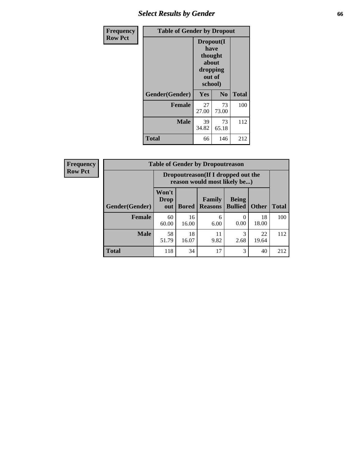# *Select Results by Gender* **66**

| Frequency      | <b>Table of Gender by Dropout</b> |                                                                        |                |              |
|----------------|-----------------------------------|------------------------------------------------------------------------|----------------|--------------|
| <b>Row Pct</b> |                                   | Dropout(I<br>have<br>thought<br>about<br>dropping<br>out of<br>school) |                |              |
|                | Gender(Gender)                    | Yes                                                                    | N <sub>0</sub> | <b>Total</b> |
|                | <b>Female</b>                     | 27<br>27.00                                                            | 73<br>73.00    | 100          |
|                | <b>Male</b>                       | 39<br>34.82                                                            | 73<br>65.18    | 112          |
|                | <b>Total</b>                      | 66                                                                     | 146            | 212          |

| <b>Frequency</b> | <b>Table of Gender by Dropoutreason</b> |                                                                    |              |                          |                                |              |              |
|------------------|-----------------------------------------|--------------------------------------------------------------------|--------------|--------------------------|--------------------------------|--------------|--------------|
| <b>Row Pct</b>   |                                         | Dropoutreason(If I dropped out the<br>reason would most likely be) |              |                          |                                |              |              |
|                  | Gender(Gender)                          | Won't<br><b>Drop</b><br>out                                        | <b>Bored</b> | Family<br><b>Reasons</b> | <b>Being</b><br><b>Bullied</b> | <b>Other</b> | <b>Total</b> |
|                  | Female                                  | 60<br>60.00                                                        | 16<br>16.00  | 6<br>6.00                | 0.00                           | 18<br>18.00  | 100          |
|                  | <b>Male</b>                             | 58<br>51.79                                                        | 18<br>16.07  | 11<br>9.82               | 3<br>2.68                      | 22<br>19.64  | 112          |
|                  | <b>Total</b>                            | 118                                                                | 34           | 17                       | 3                              | 40           | 212          |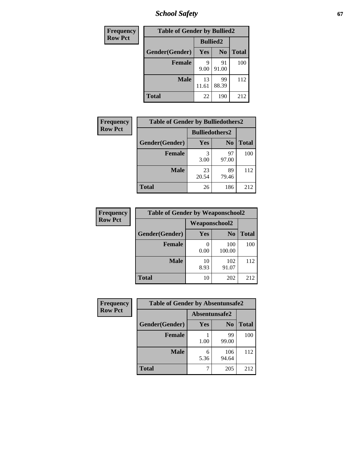*School Safety* **67**

| Frequency      | <b>Table of Gender by Bullied2</b> |                 |                |              |
|----------------|------------------------------------|-----------------|----------------|--------------|
| <b>Row Pct</b> |                                    | <b>Bullied2</b> |                |              |
|                | Gender(Gender)                     | Yes             | N <sub>0</sub> | <b>Total</b> |
|                | <b>Female</b>                      | 9<br>9.00       | 91<br>91.00    | 100          |
|                | <b>Male</b>                        | 13<br>11.61     | 99<br>88.39    | 112          |
|                | <b>Total</b>                       | 22              | 190            | 212          |

| Frequency      | <b>Table of Gender by Bulliedothers2</b> |                       |                |              |
|----------------|------------------------------------------|-----------------------|----------------|--------------|
| <b>Row Pct</b> |                                          | <b>Bulliedothers2</b> |                |              |
|                | Gender(Gender)                           | Yes                   | N <sub>0</sub> | <b>Total</b> |
|                | <b>Female</b>                            | 3<br>3.00             | 97<br>97.00    | 100          |
|                | <b>Male</b>                              | 23<br>20.54           | 89<br>79.46    | 112          |
|                | <b>Total</b>                             | 26                    | 186            | 212          |

| <b>Frequency</b> | <b>Table of Gender by Weaponschool2</b> |               |                |              |
|------------------|-----------------------------------------|---------------|----------------|--------------|
| <b>Row Pct</b>   |                                         | Weaponschool2 |                |              |
|                  | Gender(Gender)                          | <b>Yes</b>    | N <sub>0</sub> | <b>Total</b> |
|                  | <b>Female</b>                           | 0.00          | 100<br>100.00  | 100          |
|                  | <b>Male</b>                             | 10<br>8.93    | 102<br>91.07   | 112          |
|                  | <b>Total</b>                            | 10            | 202            | 212          |

| Frequency      | <b>Table of Gender by Absentunsafe2</b> |               |                |              |
|----------------|-----------------------------------------|---------------|----------------|--------------|
| <b>Row Pct</b> |                                         | Absentunsafe2 |                |              |
|                | Gender(Gender)                          | Yes           | N <sub>0</sub> | <b>Total</b> |
|                | <b>Female</b>                           | 1.00          | 99<br>99.00    | 100          |
|                | <b>Male</b>                             | 6<br>5.36     | 106<br>94.64   | 112          |
|                | <b>Total</b>                            |               | 205            | 212          |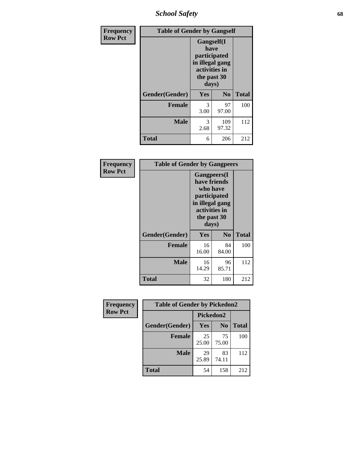*School Safety* **68**

| Frequency      | <b>Table of Gender by Gangself</b> |                                                                                                |                |              |
|----------------|------------------------------------|------------------------------------------------------------------------------------------------|----------------|--------------|
| <b>Row Pct</b> |                                    | Gangself(I<br>have<br>participated<br>in illegal gang<br>activities in<br>the past 30<br>days) |                |              |
|                | Gender(Gender)                     | Yes                                                                                            | N <sub>0</sub> | <b>Total</b> |
|                | <b>Female</b>                      | 3<br>3.00                                                                                      | 97<br>97.00    | 100          |
|                | <b>Male</b>                        | 3<br>2.68                                                                                      | 109<br>97.32   | 112          |
|                | <b>Total</b>                       | 6                                                                                              | 206            | 212          |

| <b>Frequency</b> | <b>Table of Gender by Gangpeers</b> |                                                                                                                             |                |              |
|------------------|-------------------------------------|-----------------------------------------------------------------------------------------------------------------------------|----------------|--------------|
| <b>Row Pct</b>   |                                     | <b>Gangpeers</b> (I<br>have friends<br>who have<br>participated<br>in illegal gang<br>activities in<br>the past 30<br>days) |                |              |
|                  | Gender(Gender)                      | Yes                                                                                                                         | N <sub>0</sub> | <b>Total</b> |
|                  | <b>Female</b>                       | 16<br>16.00                                                                                                                 | 84<br>84.00    | 100          |
|                  | <b>Male</b>                         | 16<br>14.29                                                                                                                 | 96<br>85.71    | 112          |
|                  | <b>Total</b>                        | 32                                                                                                                          | 180            | 212          |

| Frequency      | <b>Table of Gender by Pickedon2</b> |             |                |              |
|----------------|-------------------------------------|-------------|----------------|--------------|
| <b>Row Pct</b> |                                     | Pickedon2   |                |              |
|                | Gender(Gender)                      | <b>Yes</b>  | N <sub>0</sub> | <b>Total</b> |
|                | <b>Female</b>                       | 25<br>25.00 | 75<br>75.00    | 100          |
|                | <b>Male</b>                         | 29<br>25.89 | 83<br>74.11    | 112          |
|                | <b>Total</b>                        | 54          | 158            | 212          |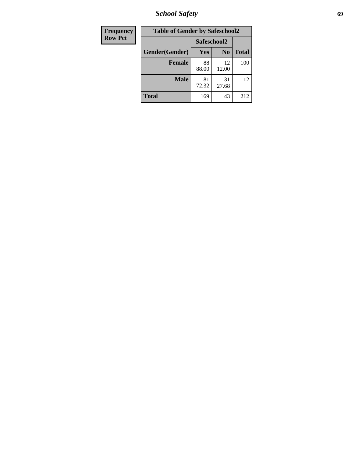*School Safety* **69**

| Frequency      | <b>Table of Gender by Safeschool2</b> |             |                |              |  |
|----------------|---------------------------------------|-------------|----------------|--------------|--|
| <b>Row Pct</b> |                                       | Safeschool2 |                |              |  |
|                | Gender(Gender)                        | Yes         | N <sub>0</sub> | <b>Total</b> |  |
|                | <b>Female</b>                         | 88<br>88.00 | 12<br>12.00    | 100          |  |
|                | <b>Male</b>                           | 81<br>72.32 | 31<br>27.68    | 112          |  |
|                | <b>Total</b>                          | 169         | 43             | 212          |  |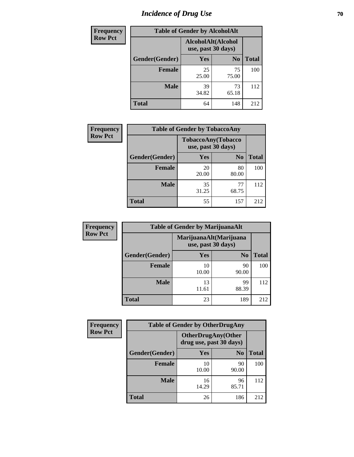# *Incidence of Drug Use* **70**

| <b>Frequency</b> | <b>Table of Gender by AlcoholAlt</b> |                                          |                |              |  |
|------------------|--------------------------------------|------------------------------------------|----------------|--------------|--|
| <b>Row Pct</b>   |                                      | AlcoholAlt(Alcohol<br>use, past 30 days) |                |              |  |
|                  | Gender(Gender)                       | <b>Yes</b>                               | N <sub>0</sub> | <b>Total</b> |  |
|                  | <b>Female</b>                        | 25<br>25.00                              | 75<br>75.00    | 100          |  |
|                  | <b>Male</b>                          | 39<br>34.82                              | 73<br>65.18    | 112          |  |
|                  | <b>Total</b>                         | 64                                       | 148            | 212          |  |

| Frequency      | <b>Table of Gender by TobaccoAny</b> |                                          |                |              |  |
|----------------|--------------------------------------|------------------------------------------|----------------|--------------|--|
| <b>Row Pct</b> |                                      | TobaccoAny(Tobacco<br>use, past 30 days) |                |              |  |
|                | Gender(Gender)                       | Yes                                      | N <sub>0</sub> | <b>Total</b> |  |
|                | <b>Female</b>                        | 20<br>20.00                              | 80<br>80.00    | 100          |  |
|                | <b>Male</b>                          | 35<br>31.25                              | 77<br>68.75    | 112          |  |
|                | <b>Total</b>                         | 55                                       | 157            | 212          |  |

| <b>Frequency</b> | <b>Table of Gender by MarijuanaAlt</b>       |             |                |              |
|------------------|----------------------------------------------|-------------|----------------|--------------|
| <b>Row Pct</b>   | MarijuanaAlt(Marijuana<br>use, past 30 days) |             |                |              |
|                  | Gender(Gender)                               | <b>Yes</b>  | N <sub>0</sub> | <b>Total</b> |
|                  | <b>Female</b>                                | 10<br>10.00 | 90<br>90.00    | 100          |
|                  | <b>Male</b>                                  | 13<br>11.61 | 99<br>88.39    | 112          |
|                  | <b>Total</b>                                 | 23          | 189            | 212          |

| <b>Frequency</b> | <b>Table of Gender by OtherDrugAny</b> |                         |                           |              |
|------------------|----------------------------------------|-------------------------|---------------------------|--------------|
| <b>Row Pct</b>   |                                        | drug use, past 30 days) | <b>OtherDrugAny(Other</b> |              |
|                  | Gender(Gender)                         | <b>Yes</b>              | N <sub>0</sub>            | <b>Total</b> |
|                  | <b>Female</b>                          | 10<br>10.00             | 90<br>90.00               | 100          |
|                  | <b>Male</b>                            | 16<br>14.29             | 96<br>85.71               | 112          |
|                  | <b>Total</b>                           | 26                      | 186                       | 212          |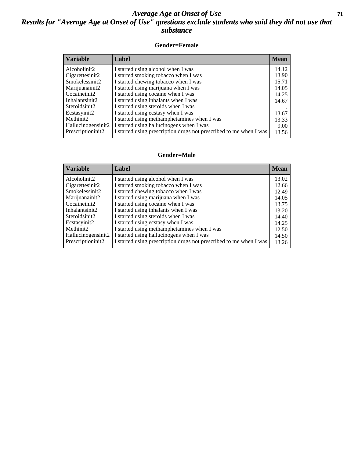#### *Average Age at Onset of Use* **71** *Results for "Average Age at Onset of Use" questions exclude students who said they did not use that substance*

#### **Gender=Female**

| <b>Variable</b>    | <b>Label</b>                                                       | <b>Mean</b> |
|--------------------|--------------------------------------------------------------------|-------------|
| Alcoholinit2       | I started using alcohol when I was                                 | 14.12       |
| Cigarettesinit2    | I started smoking tobacco when I was                               | 13.90       |
| Smokelessinit2     | I started chewing tobacco when I was                               | 15.71       |
| Marijuanainit2     | I started using marijuana when I was                               | 14.05       |
| Cocaineinit2       | I started using cocaine when I was                                 | 14.25       |
| Inhalantsinit2     | I started using inhalants when I was                               | 14.67       |
| Steroidsinit2      | I started using steroids when I was                                |             |
| Ecstasyinit2       | I started using ecstasy when I was                                 | 13.67       |
| Methinit2          | I started using methamphetamines when I was                        | 13.33       |
| Hallucinogensinit2 | I started using hallucinogens when I was                           | 9.00        |
| Prescription in t2 | I started using prescription drugs not prescribed to me when I was | 13.56       |

#### **Gender=Male**

| <b>Variable</b>    | Label                                                              | <b>Mean</b> |
|--------------------|--------------------------------------------------------------------|-------------|
| Alcoholinit2       | I started using alcohol when I was                                 | 13.02       |
| Cigarettesinit2    | I started smoking tobacco when I was                               | 12.66       |
| Smokelessinit2     | I started chewing tobacco when I was                               | 12.49       |
| Marijuanainit2     | I started using marijuana when I was                               | 14.05       |
| Cocaineinit2       | I started using cocaine when I was                                 | 13.75       |
| Inhalantsinit2     | I started using inhalants when I was                               | 13.20       |
| Steroidsinit2      | I started using steroids when I was                                | 14.40       |
| Ecstasyinit2       | I started using ecstasy when I was                                 | 14.25       |
| Methinit2          | I started using methamphetamines when I was                        | 12.50       |
| Hallucinogensinit2 | I started using hallucinogens when I was                           | 14.50       |
| Prescriptioninit2  | I started using prescription drugs not prescribed to me when I was | 13.26       |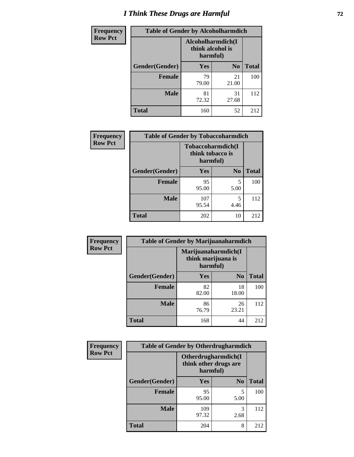# *I Think These Drugs are Harmful* **72**

| <b>Frequency</b> | <b>Table of Gender by Alcoholharmdich</b> |                              |                   |              |  |
|------------------|-------------------------------------------|------------------------------|-------------------|--------------|--|
| <b>Row Pct</b>   |                                           | think alcohol is<br>harmful) | Alcoholharmdich(I |              |  |
|                  | <b>Gender</b> (Gender)                    | <b>Yes</b>                   | N <sub>0</sub>    | <b>Total</b> |  |
|                  | <b>Female</b>                             | 79<br>79.00                  | 21<br>21.00       | 100          |  |
|                  | <b>Male</b>                               | 81<br>72.32                  | 31<br>27.68       | 112          |  |
|                  | <b>Total</b>                              | 160                          | 52                | 212          |  |

| Frequency      | <b>Table of Gender by Tobaccoharmdich</b> |                  |                               |              |  |
|----------------|-------------------------------------------|------------------|-------------------------------|--------------|--|
| <b>Row Pct</b> |                                           | think tobacco is | Tobaccoharmdich(I<br>harmful) |              |  |
|                | Gender(Gender)                            | Yes              | N <sub>0</sub>                | <b>Total</b> |  |
|                | <b>Female</b>                             | 95<br>95.00      | 5<br>5.00                     | 100          |  |
|                | <b>Male</b>                               | 107<br>95.54     | 5<br>4.46                     | 112          |  |
|                | <b>Total</b>                              | 202              | 10                            | 212          |  |

| Frequency      | <b>Table of Gender by Marijuanaharmdich</b> |                                                       |                |              |  |
|----------------|---------------------------------------------|-------------------------------------------------------|----------------|--------------|--|
| <b>Row Pct</b> |                                             | Marijuanaharmdich(I<br>think marijuana is<br>harmful) |                |              |  |
|                | Gender(Gender)                              | <b>Yes</b>                                            | N <sub>0</sub> | <b>Total</b> |  |
|                | <b>Female</b>                               | 82<br>82.00                                           | 18<br>18.00    | 100          |  |
|                | <b>Male</b>                                 | 86<br>76.79                                           | 26<br>23.21    | 112          |  |
|                | <b>Total</b>                                | 168                                                   | 44             | 212          |  |

| Frequency      | <b>Table of Gender by Otherdrugharmdich</b> |                                                          |                |              |  |
|----------------|---------------------------------------------|----------------------------------------------------------|----------------|--------------|--|
| <b>Row Pct</b> |                                             | Otherdrugharmdich(I<br>think other drugs are<br>harmful) |                |              |  |
|                | Gender(Gender)                              | <b>Yes</b>                                               | N <sub>0</sub> | <b>Total</b> |  |
|                | <b>Female</b>                               | 95<br>95.00                                              | 5<br>5.00      | 100          |  |
|                | <b>Male</b>                                 | 109<br>97.32                                             | 3<br>2.68      | 112          |  |
|                | <b>Total</b>                                | 204                                                      | 8              | 212          |  |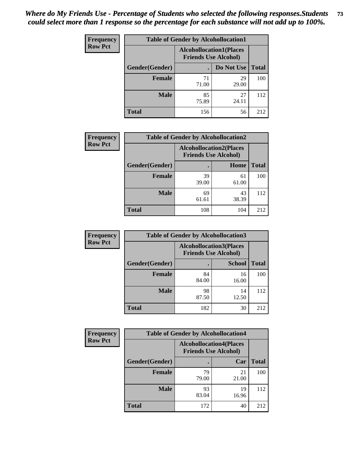| <b>Frequency</b> | <b>Table of Gender by Alcohollocation1</b> |                                                               |             |              |
|------------------|--------------------------------------------|---------------------------------------------------------------|-------------|--------------|
| <b>Row Pct</b>   |                                            | <b>Alcohollocation1(Places</b><br><b>Friends Use Alcohol)</b> |             |              |
|                  | Gender(Gender)                             |                                                               | Do Not Use  | <b>Total</b> |
|                  | <b>Female</b>                              | 71<br>71.00                                                   | 29<br>29.00 | 100          |
|                  | <b>Male</b>                                | 85<br>75.89                                                   | 27<br>24.11 | 112          |
|                  | <b>Total</b>                               | 156                                                           | 56          | 212          |

| <b>Frequency</b> | <b>Table of Gender by Alcohollocation2</b> |                                                               |             |              |
|------------------|--------------------------------------------|---------------------------------------------------------------|-------------|--------------|
| <b>Row Pct</b>   |                                            | <b>Alcohollocation2(Places</b><br><b>Friends Use Alcohol)</b> |             |              |
|                  | Gender(Gender)                             |                                                               | Home        | <b>Total</b> |
|                  | Female                                     | 39<br>39.00                                                   | 61<br>61.00 | 100          |
|                  | <b>Male</b>                                | 69<br>61.61                                                   | 43<br>38.39 | 112          |
|                  | <b>Total</b>                               | 108                                                           | 104         | 212          |

| Frequency      | <b>Table of Gender by Alcohollocation3</b> |                                                               |               |              |
|----------------|--------------------------------------------|---------------------------------------------------------------|---------------|--------------|
| <b>Row Pct</b> |                                            | <b>Alcohollocation3(Places</b><br><b>Friends Use Alcohol)</b> |               |              |
|                | Gender(Gender)                             |                                                               | <b>School</b> | <b>Total</b> |
|                | <b>Female</b>                              | 84<br>84.00                                                   | 16<br>16.00   | 100          |
|                | <b>Male</b>                                | 98<br>87.50                                                   | 14<br>12.50   | 112          |
|                | <b>Total</b>                               | 182                                                           | 30            | 212          |

| <b>Frequency</b> | <b>Table of Gender by Alcohollocation4</b> |                                                               |             |              |
|------------------|--------------------------------------------|---------------------------------------------------------------|-------------|--------------|
| <b>Row Pct</b>   |                                            | <b>Alcohollocation4(Places</b><br><b>Friends Use Alcohol)</b> |             |              |
|                  | Gender(Gender)                             |                                                               | Car         | <b>Total</b> |
|                  | <b>Female</b>                              | 79<br>79.00                                                   | 21<br>21.00 | 100          |
|                  | <b>Male</b>                                | 93<br>83.04                                                   | 19<br>16.96 | 112          |
|                  | <b>Total</b>                               | 172                                                           | 40          | 212          |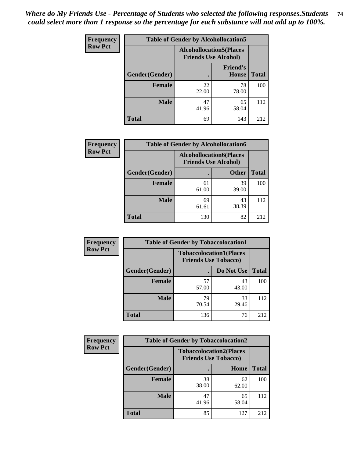| <b>Frequency</b> | <b>Table of Gender by Alcohollocation5</b> |                                                                |                                 |              |
|------------------|--------------------------------------------|----------------------------------------------------------------|---------------------------------|--------------|
| <b>Row Pct</b>   |                                            | <b>Alcohollocation5</b> (Places<br><b>Friends Use Alcohol)</b> |                                 |              |
|                  | Gender(Gender)                             |                                                                | <b>Friend's</b><br><b>House</b> | <b>Total</b> |
|                  | <b>Female</b>                              | 22<br>22.00                                                    | 78<br>78.00                     | 100          |
|                  | <b>Male</b>                                | 47<br>41.96                                                    | 65<br>58.04                     | 112          |
|                  | <b>Total</b>                               | 69                                                             | 143                             | 212          |

| Frequency      | <b>Table of Gender by Alcohollocation6</b> |                                                               |              |              |
|----------------|--------------------------------------------|---------------------------------------------------------------|--------------|--------------|
| <b>Row Pct</b> |                                            | <b>Alcohollocation6(Places</b><br><b>Friends Use Alcohol)</b> |              |              |
|                | Gender(Gender)                             |                                                               | <b>Other</b> | <b>Total</b> |
|                | Female                                     | 61<br>61.00                                                   | 39<br>39.00  | 100          |
|                | <b>Male</b>                                | 69<br>61.61                                                   | 43<br>38.39  | 112          |
|                | <b>Total</b>                               | 130                                                           | 82           | 212          |

| Frequency      | <b>Table of Gender by Tobaccolocation1</b> |                                                               |             |              |  |
|----------------|--------------------------------------------|---------------------------------------------------------------|-------------|--------------|--|
| <b>Row Pct</b> |                                            | <b>Tobaccolocation1(Places</b><br><b>Friends Use Tobacco)</b> |             |              |  |
|                | Gender(Gender)                             |                                                               | Do Not Use  | <b>Total</b> |  |
|                | Female                                     | 57<br>57.00                                                   | 43<br>43.00 | 100          |  |
|                | <b>Male</b>                                | 79<br>70.54                                                   | 33<br>29.46 | 112          |  |
|                | <b>Total</b>                               | 136                                                           | 76          | 212          |  |

| <b>Frequency</b> |                | <b>Table of Gender by Tobaccolocation2</b>                    |             |              |
|------------------|----------------|---------------------------------------------------------------|-------------|--------------|
| <b>Row Pct</b>   |                | <b>Tobaccolocation2(Places</b><br><b>Friends Use Tobacco)</b> |             |              |
|                  | Gender(Gender) |                                                               | Home        | <b>Total</b> |
|                  | Female         | 38<br>38.00                                                   | 62<br>62.00 | 100          |
|                  | <b>Male</b>    | 47<br>41.96                                                   | 65<br>58.04 | 112          |
|                  | <b>Total</b>   | 85                                                            | 127         | 212          |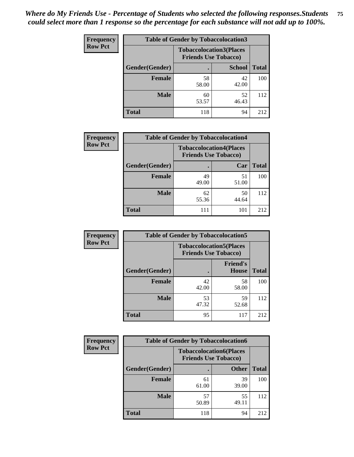| <b>Frequency</b> | <b>Table of Gender by Tobaccolocation3</b> |                                                               |               |              |
|------------------|--------------------------------------------|---------------------------------------------------------------|---------------|--------------|
| <b>Row Pct</b>   |                                            | <b>Tobaccolocation3(Places</b><br><b>Friends Use Tobacco)</b> |               |              |
|                  | Gender(Gender)                             |                                                               | <b>School</b> | <b>Total</b> |
|                  | <b>Female</b>                              | 58<br>58.00                                                   | 42<br>42.00   | 100          |
|                  | <b>Male</b>                                | 60<br>53.57                                                   | 52<br>46.43   | 112          |
|                  | <b>Total</b>                               | 118                                                           | 94            | 212          |

| <b>Frequency</b> | <b>Table of Gender by Tobaccolocation4</b> |                                                               |             |              |
|------------------|--------------------------------------------|---------------------------------------------------------------|-------------|--------------|
| <b>Row Pct</b>   |                                            | <b>Tobaccolocation4(Places</b><br><b>Friends Use Tobacco)</b> |             |              |
|                  | Gender(Gender)                             |                                                               | Car         | <b>Total</b> |
|                  | <b>Female</b>                              | 49<br>49.00                                                   | 51<br>51.00 | 100          |
|                  | <b>Male</b>                                | 62<br>55.36                                                   | 50<br>44.64 | 112          |
|                  | <b>Total</b>                               | 111                                                           | 101         | 212          |

| <b>Frequency</b> | <b>Table of Gender by Tobaccolocation5</b> |                                                               |                          |              |
|------------------|--------------------------------------------|---------------------------------------------------------------|--------------------------|--------------|
| <b>Row Pct</b>   |                                            | <b>Tobaccolocation5(Places</b><br><b>Friends Use Tobacco)</b> |                          |              |
|                  | Gender(Gender)                             |                                                               | <b>Friend's</b><br>House | <b>Total</b> |
|                  | <b>Female</b>                              | 42<br>42.00                                                   | 58<br>58.00              | 100          |
|                  | <b>Male</b>                                | 53<br>47.32                                                   | 59<br>52.68              | 112          |
|                  | <b>Total</b>                               | 95                                                            | 117                      | 212          |

| <b>Frequency</b> | <b>Table of Gender by Tobaccolocation6</b> |                                                               |              |              |
|------------------|--------------------------------------------|---------------------------------------------------------------|--------------|--------------|
| <b>Row Pct</b>   |                                            | <b>Tobaccolocation6(Places</b><br><b>Friends Use Tobacco)</b> |              |              |
|                  | Gender(Gender)                             |                                                               | <b>Other</b> | <b>Total</b> |
|                  | Female                                     | 61<br>61.00                                                   | 39<br>39.00  | 100          |
|                  | <b>Male</b>                                | 57<br>50.89                                                   | 55<br>49.11  | 112          |
|                  | <b>Total</b>                               | 118                                                           | 94           | 212          |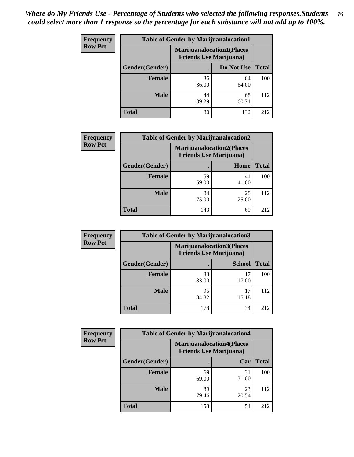| <b>Frequency</b> | <b>Table of Gender by Marijuanalocation1</b> |                                                                    |             |              |
|------------------|----------------------------------------------|--------------------------------------------------------------------|-------------|--------------|
| <b>Row Pct</b>   |                                              | <b>Marijuanalocation1(Places</b><br><b>Friends Use Marijuana</b> ) |             |              |
|                  | Gender(Gender)                               |                                                                    | Do Not Use  | <b>Total</b> |
|                  | <b>Female</b>                                | 36<br>36.00                                                        | 64<br>64.00 | 100          |
|                  | <b>Male</b>                                  | 44<br>39.29                                                        | 68<br>60.71 | 112          |
|                  | <b>Total</b>                                 | 80                                                                 | 132         | 212          |

| <b>Frequency</b> | <b>Table of Gender by Marijuanalocation2</b> |                                                                    |             |              |  |
|------------------|----------------------------------------------|--------------------------------------------------------------------|-------------|--------------|--|
| <b>Row Pct</b>   |                                              | <b>Marijuanalocation2(Places</b><br><b>Friends Use Marijuana</b> ) |             |              |  |
|                  | Gender(Gender)                               |                                                                    | Home        | <b>Total</b> |  |
|                  | Female                                       | 59<br>59.00                                                        | 41<br>41.00 | 100          |  |
|                  | <b>Male</b>                                  | 84<br>75.00                                                        | 28<br>25.00 | 112          |  |
|                  | <b>Total</b>                                 | 143                                                                | 69          | 212          |  |

| <b>Frequency</b> |                | <b>Table of Gender by Marijuanalocation3</b>                       |               |              |
|------------------|----------------|--------------------------------------------------------------------|---------------|--------------|
| <b>Row Pct</b>   |                | <b>Marijuanalocation3(Places</b><br><b>Friends Use Marijuana</b> ) |               |              |
|                  | Gender(Gender) |                                                                    | <b>School</b> | <b>Total</b> |
|                  | Female         | 83<br>83.00                                                        | 17<br>17.00   | 100          |
|                  | <b>Male</b>    | 95<br>84.82                                                        | 17<br>15.18   | 112          |
|                  | <b>Total</b>   | 178                                                                | 34            | 212          |

| <b>Frequency</b> | <b>Table of Gender by Marijuanalocation4</b> |             |                                                                    |              |
|------------------|----------------------------------------------|-------------|--------------------------------------------------------------------|--------------|
| <b>Row Pct</b>   |                                              |             | <b>Marijuanalocation4(Places</b><br><b>Friends Use Marijuana</b> ) |              |
|                  | Gender(Gender)                               |             | Car                                                                | <b>Total</b> |
|                  | <b>Female</b>                                | 69<br>69.00 | 31<br>31.00                                                        | 100          |
|                  | <b>Male</b>                                  | 89<br>79.46 | 23<br>20.54                                                        | 112          |
|                  | <b>Total</b>                                 | 158         | 54                                                                 | 212          |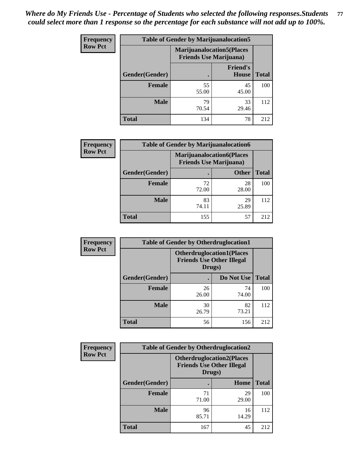| Frequency      | <b>Table of Gender by Marijuanalocation5</b> |                                                                    |                                 |              |
|----------------|----------------------------------------------|--------------------------------------------------------------------|---------------------------------|--------------|
| <b>Row Pct</b> |                                              | <b>Marijuanalocation5(Places</b><br><b>Friends Use Marijuana</b> ) |                                 |              |
|                | Gender(Gender)                               |                                                                    | <b>Friend's</b><br><b>House</b> | <b>Total</b> |
|                | <b>Female</b>                                | 55<br>55.00                                                        | 45<br>45.00                     | 100          |
|                | <b>Male</b>                                  | 79<br>70.54                                                        | 33<br>29.46                     | 112          |
|                | <b>Total</b>                                 | 134                                                                | 78                              | 212          |

| <b>Frequency</b> | <b>Table of Gender by Marijuanalocation6</b> |                                                                    |              |              |
|------------------|----------------------------------------------|--------------------------------------------------------------------|--------------|--------------|
| <b>Row Pct</b>   |                                              | <b>Marijuanalocation6(Places</b><br><b>Friends Use Marijuana</b> ) |              |              |
|                  | <b>Gender</b> (Gender)                       |                                                                    | <b>Other</b> | <b>Total</b> |
|                  | <b>Female</b>                                | 72<br>72.00                                                        | 28<br>28.00  | 100          |
|                  | <b>Male</b>                                  | 83<br>74.11                                                        | 29<br>25.89  | 112          |
|                  | <b>Total</b>                                 | 155                                                                | 57           | 212          |

| Frequency      | <b>Table of Gender by Otherdruglocation1</b> |                                                                                |             |              |
|----------------|----------------------------------------------|--------------------------------------------------------------------------------|-------------|--------------|
| <b>Row Pct</b> |                                              | <b>Otherdruglocation1(Places</b><br><b>Friends Use Other Illegal</b><br>Drugs) |             |              |
|                | Gender(Gender)                               |                                                                                | Do Not Use  | <b>Total</b> |
|                | <b>Female</b>                                | 26<br>26.00                                                                    | 74<br>74.00 | 100          |
|                | <b>Male</b>                                  | 30<br>26.79                                                                    | 82<br>73.21 | 112          |
|                | <b>Total</b>                                 | 56                                                                             | 156         | 212          |

| Frequency      | <b>Table of Gender by Otherdruglocation2</b> |                                                                                |             |              |
|----------------|----------------------------------------------|--------------------------------------------------------------------------------|-------------|--------------|
| <b>Row Pct</b> |                                              | <b>Otherdruglocation2(Places</b><br><b>Friends Use Other Illegal</b><br>Drugs) |             |              |
|                | Gender(Gender)                               |                                                                                | Home        | <b>Total</b> |
|                | Female                                       | 71<br>71.00                                                                    | 29<br>29.00 | 100          |
|                | <b>Male</b>                                  | 96<br>85.71                                                                    | 16<br>14.29 | 112          |
|                | <b>Total</b>                                 | 167                                                                            | 45          | 212          |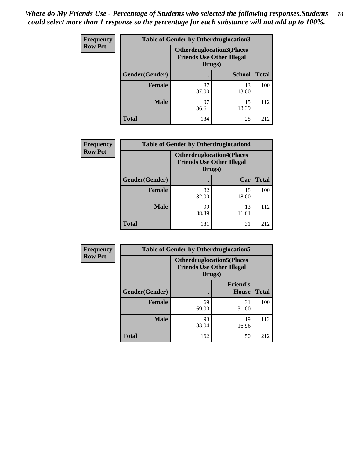| <b>Frequency</b> | <b>Table of Gender by Otherdruglocation3</b> |                                            |                                  |              |
|------------------|----------------------------------------------|--------------------------------------------|----------------------------------|--------------|
| <b>Row Pct</b>   |                                              | <b>Friends Use Other Illegal</b><br>Drugs) | <b>Otherdruglocation3(Places</b> |              |
|                  | Gender(Gender)                               |                                            | <b>School</b>                    | <b>Total</b> |
|                  | <b>Female</b>                                | 87<br>87.00                                | 13<br>13.00                      | 100          |
|                  | <b>Male</b>                                  | 97<br>86.61                                | 15<br>13.39                      | 112          |
|                  | <b>Total</b>                                 | 184                                        | 28                               | 212          |

| <b>Frequency</b> | <b>Table of Gender by Otherdruglocation4</b> |                                            |                                  |              |
|------------------|----------------------------------------------|--------------------------------------------|----------------------------------|--------------|
| <b>Row Pct</b>   |                                              | <b>Friends Use Other Illegal</b><br>Drugs) | <b>Otherdruglocation4(Places</b> |              |
|                  | Gender(Gender)                               |                                            | Car                              | <b>Total</b> |
|                  | <b>Female</b>                                | 82<br>82.00                                | 18<br>18.00                      | 100          |
|                  | <b>Male</b>                                  | 99<br>88.39                                | 13<br>11.61                      | 112          |
|                  | <b>Total</b>                                 | 181                                        | 31                               | 212          |

| Frequency      | <b>Table of Gender by Otherdruglocation5</b>                                   |             |                                 |              |
|----------------|--------------------------------------------------------------------------------|-------------|---------------------------------|--------------|
| <b>Row Pct</b> | <b>Otherdruglocation5(Places</b><br><b>Friends Use Other Illegal</b><br>Drugs) |             |                                 |              |
|                | Gender(Gender)                                                                 |             | <b>Friend's</b><br><b>House</b> | <b>Total</b> |
|                | <b>Female</b>                                                                  | 69<br>69.00 | 31<br>31.00                     | 100          |
|                | <b>Male</b>                                                                    | 93<br>83.04 | 19<br>16.96                     | 112          |
|                | <b>Total</b>                                                                   | 162         | 50                              | 212          |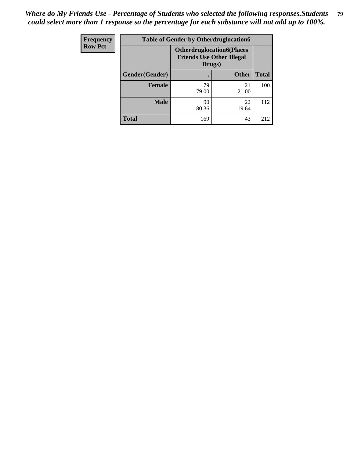| Frequency      | <b>Table of Gender by Otherdruglocation6</b> |                                                                                |              |              |
|----------------|----------------------------------------------|--------------------------------------------------------------------------------|--------------|--------------|
| <b>Row Pct</b> |                                              | <b>Otherdruglocation6(Places</b><br><b>Friends Use Other Illegal</b><br>Drugs) |              |              |
|                | Gender(Gender)                               |                                                                                | <b>Other</b> | <b>Total</b> |
|                | <b>Female</b>                                | 79<br>79.00                                                                    | 21<br>21.00  | 100          |
|                | <b>Male</b>                                  | 90<br>80.36                                                                    | 22<br>19.64  | 112          |
|                | <b>Total</b>                                 | 169                                                                            | 43           | 212          |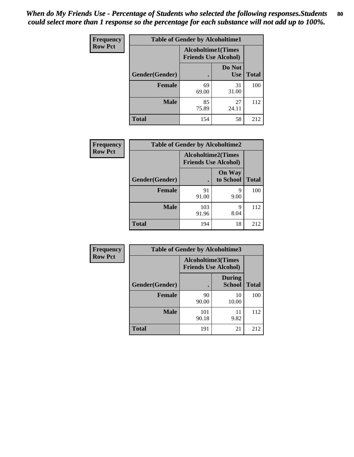| <b>Frequency</b> | <b>Table of Gender by Alcoholtime1</b> |                                                          |                      |              |
|------------------|----------------------------------------|----------------------------------------------------------|----------------------|--------------|
| <b>Row Pct</b>   |                                        | <b>Alcoholtime1(Times</b><br><b>Friends Use Alcohol)</b> |                      |              |
|                  | <b>Gender</b> (Gender)                 | $\bullet$                                                | Do Not<br><b>Use</b> | <b>Total</b> |
|                  | <b>Female</b>                          | 69<br>69.00                                              | 31<br>31.00          | 100          |
|                  | <b>Male</b>                            | 85<br>75.89                                              | 27<br>24.11          | 112          |
|                  | <b>Total</b>                           | 154                                                      | 58                   | 212          |

| <b>Frequency</b> | <b>Table of Gender by Alcoholtime2</b> |                                                          |                            |              |
|------------------|----------------------------------------|----------------------------------------------------------|----------------------------|--------------|
| <b>Row Pct</b>   |                                        | <b>Alcoholtime2(Times</b><br><b>Friends Use Alcohol)</b> |                            |              |
|                  | Gender(Gender)                         |                                                          | <b>On Way</b><br>to School | <b>Total</b> |
|                  | <b>Female</b>                          | 91<br>91.00                                              | 9<br>9.00                  | 100          |
|                  | <b>Male</b>                            | 103<br>91.96                                             | 9<br>8.04                  | 112          |
|                  | <b>Total</b>                           | 194                                                      | 18                         | 212          |

| <b>Frequency</b> | <b>Table of Gender by Alcoholtime3</b> |                                                          |                                |              |
|------------------|----------------------------------------|----------------------------------------------------------|--------------------------------|--------------|
| <b>Row Pct</b>   |                                        | <b>Alcoholtime3(Times</b><br><b>Friends Use Alcohol)</b> |                                |              |
|                  | Gender(Gender)                         |                                                          | <b>During</b><br><b>School</b> | <b>Total</b> |
|                  | Female                                 | 90<br>90.00                                              | 10<br>10.00                    | 100          |
|                  | <b>Male</b>                            | 101<br>90.18                                             | 11<br>9.82                     | 112          |
|                  | <b>Total</b>                           | 191                                                      | 21                             | 212          |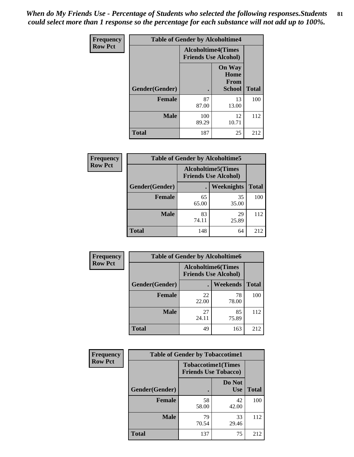*When do My Friends Use - Percentage of Students who selected the following responses.Students could select more than 1 response so the percentage for each substance will not add up to 100%.* **81**

| <b>Frequency</b> | <b>Table of Gender by Alcoholtime4</b> |                           |                                                |              |
|------------------|----------------------------------------|---------------------------|------------------------------------------------|--------------|
| <b>Row Pct</b>   |                                        | <b>Alcoholtime4(Times</b> | <b>Friends Use Alcohol)</b>                    |              |
|                  | Gender(Gender)                         |                           | <b>On Way</b><br>Home<br>From<br><b>School</b> | <b>Total</b> |
|                  | <b>Female</b>                          | 87<br>87.00               | 13<br>13.00                                    | 100          |
|                  | <b>Male</b>                            | 100<br>89.29              | 12<br>10.71                                    | 112          |
|                  | <b>Total</b>                           | 187                       | 25                                             | 212          |

| <b>Frequency</b> |                | <b>Table of Gender by Alcoholtime5</b> |                                                           |              |
|------------------|----------------|----------------------------------------|-----------------------------------------------------------|--------------|
| <b>Row Pct</b>   |                |                                        | <b>Alcoholtime5</b> (Times<br><b>Friends Use Alcohol)</b> |              |
|                  | Gender(Gender) |                                        | <b>Weeknights</b>                                         | <b>Total</b> |
|                  | <b>Female</b>  | 65<br>65.00                            | 35<br>35.00                                               | 100          |
|                  | <b>Male</b>    | 83<br>74.11                            | 29<br>25.89                                               | 112          |
|                  | <b>Total</b>   | 148                                    | 64                                                        | 212          |

| <b>Frequency</b> | <b>Table of Gender by Alcoholtime6</b> |             |                                                           |              |
|------------------|----------------------------------------|-------------|-----------------------------------------------------------|--------------|
| <b>Row Pct</b>   |                                        |             | <b>Alcoholtime6</b> (Times<br><b>Friends Use Alcohol)</b> |              |
|                  | Gender(Gender)                         |             | Weekends                                                  | <b>Total</b> |
|                  | Female                                 | 22<br>22.00 | 78<br>78.00                                               | 100          |
|                  | <b>Male</b>                            | 27<br>24.11 | 85<br>75.89                                               | 112          |
|                  | <b>Total</b>                           | 49          | 163                                                       | 212          |

| Frequency      | <b>Table of Gender by Tobaccotime1</b> |                                                          |                      |              |
|----------------|----------------------------------------|----------------------------------------------------------|----------------------|--------------|
| <b>Row Pct</b> |                                        | <b>Tobaccotime1(Times</b><br><b>Friends Use Tobacco)</b> |                      |              |
|                | Gender(Gender)                         |                                                          | Do Not<br><b>Use</b> | <b>Total</b> |
|                | Female                                 | 58<br>58.00                                              | 42<br>42.00          | 100          |
|                | <b>Male</b>                            | 79<br>70.54                                              | 33<br>29.46          | 112          |
|                | <b>Total</b>                           | 137                                                      | 75                   | 212          |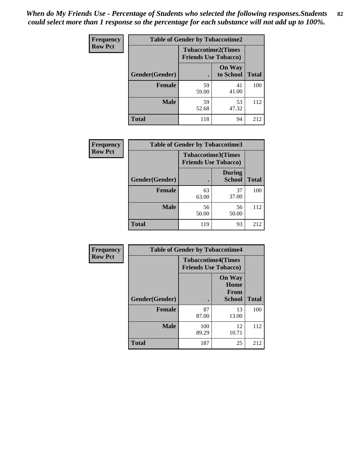| <b>Frequency</b> | <b>Table of Gender by Tobaccotime2</b> |                             |                            |              |
|------------------|----------------------------------------|-----------------------------|----------------------------|--------------|
| <b>Row Pct</b>   |                                        | <b>Friends Use Tobacco)</b> | <b>Tobaccotime2(Times</b>  |              |
|                  | Gender(Gender)                         |                             | <b>On Way</b><br>to School | <b>Total</b> |
|                  | <b>Female</b>                          | 59<br>59.00                 | 41<br>41.00                | 100          |
|                  | <b>Male</b>                            | 59<br>52.68                 | 53<br>47.32                | 112          |
|                  | <b>Total</b>                           | 118                         | 94                         | 212          |

| <b>Frequency</b> | <b>Table of Gender by Tobaccotime3</b> |                                                          |                                |              |
|------------------|----------------------------------------|----------------------------------------------------------|--------------------------------|--------------|
| <b>Row Pct</b>   |                                        | <b>Tobaccotime3(Times</b><br><b>Friends Use Tobacco)</b> |                                |              |
|                  | Gender(Gender)                         |                                                          | <b>During</b><br><b>School</b> | <b>Total</b> |
|                  | <b>Female</b>                          | 63<br>63.00                                              | 37<br>37.00                    | 100          |
|                  | <b>Male</b>                            | 56<br>50.00                                              | 56<br>50.00                    | 112          |
|                  | <b>Total</b>                           | 119                                                      | 93                             | 212          |

| Frequency      | <b>Table of Gender by Tobaccotime4</b> |                                                          |                                                |              |
|----------------|----------------------------------------|----------------------------------------------------------|------------------------------------------------|--------------|
| <b>Row Pct</b> |                                        | <b>Tobaccotime4(Times</b><br><b>Friends Use Tobacco)</b> |                                                |              |
|                | Gender(Gender)                         |                                                          | <b>On Way</b><br>Home<br>From<br><b>School</b> | <b>Total</b> |
|                | <b>Female</b>                          | 87<br>87.00                                              | 13<br>13.00                                    | 100          |
|                | <b>Male</b>                            | 100<br>89.29                                             | 12<br>10.71                                    | 112          |
|                | <b>Total</b>                           | 187                                                      | 25                                             | 212          |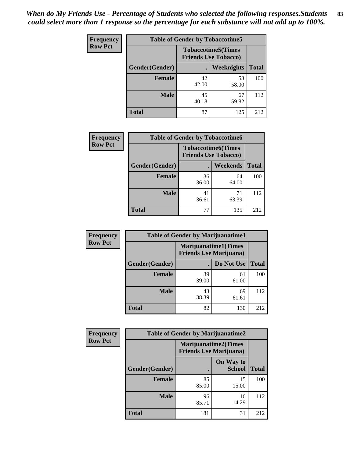| Frequency      | <b>Table of Gender by Tobaccotime5</b> |             |                                                          |              |  |
|----------------|----------------------------------------|-------------|----------------------------------------------------------|--------------|--|
| <b>Row Pct</b> |                                        |             | <b>Tobaccotime5(Times</b><br><b>Friends Use Tobacco)</b> |              |  |
|                | Gender(Gender)                         |             | Weeknights                                               | <b>Total</b> |  |
|                | <b>Female</b>                          | 42<br>42.00 | 58<br>58.00                                              | 100          |  |
|                | <b>Male</b>                            | 45<br>40.18 | 67<br>59.82                                              | 112          |  |
|                | <b>Total</b>                           | 87          | 125                                                      | 212          |  |

| <b>Frequency</b> | <b>Table of Gender by Tobaccotime6</b> |                                                          |                 |              |
|------------------|----------------------------------------|----------------------------------------------------------|-----------------|--------------|
| <b>Row Pct</b>   |                                        | <b>Tobaccotime6(Times</b><br><b>Friends Use Tobacco)</b> |                 |              |
|                  | Gender(Gender)                         |                                                          | <b>Weekends</b> | <b>Total</b> |
|                  | Female                                 | 36<br>36.00                                              | 64<br>64.00     | 100          |
|                  | <b>Male</b>                            | 41<br>36.61                                              | 71<br>63.39     | 112          |
|                  | <b>Total</b>                           | 77                                                       | 135             | 212          |

| <b>Frequency</b> | <b>Table of Gender by Marijuanatime1</b> |                                |                             |              |  |
|------------------|------------------------------------------|--------------------------------|-----------------------------|--------------|--|
| <b>Row Pct</b>   |                                          | <b>Friends Use Marijuana</b> ) | <b>Marijuanatime1(Times</b> |              |  |
|                  | Gender(Gender)                           |                                | Do Not Use                  | <b>Total</b> |  |
|                  | <b>Female</b>                            | 39<br>39.00                    | 61<br>61.00                 | 100          |  |
|                  | <b>Male</b>                              | 43<br>38.39                    | 69<br>61.61                 | 112          |  |
|                  | <b>Total</b>                             | 82                             | 130                         | 212          |  |

| <b>Frequency</b> | <b>Table of Gender by Marijuanatime2</b> |                                                               |                            |              |  |
|------------------|------------------------------------------|---------------------------------------------------------------|----------------------------|--------------|--|
| <b>Row Pct</b>   |                                          | <b>Marijuanatime2(Times</b><br><b>Friends Use Marijuana</b> ) |                            |              |  |
|                  | Gender(Gender)                           |                                                               | On Way to<br><b>School</b> | <b>Total</b> |  |
|                  | <b>Female</b>                            | 85<br>85.00                                                   | 15<br>15.00                | 100          |  |
|                  | <b>Male</b>                              | 96<br>85.71                                                   | 16<br>14.29                | 112          |  |
|                  | <b>Total</b>                             | 181                                                           | 31                         | 212          |  |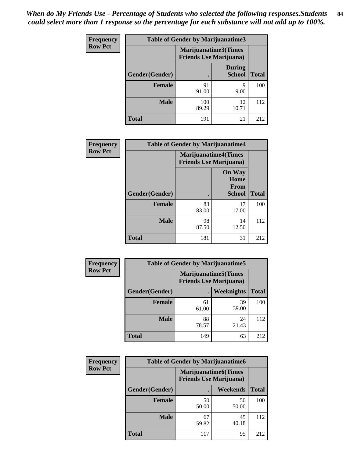*When do My Friends Use - Percentage of Students who selected the following responses.Students could select more than 1 response so the percentage for each substance will not add up to 100%.* **84**

| <b>Frequency</b> | Table of Gender by Marijuanatime3 |                                                        |                                |              |
|------------------|-----------------------------------|--------------------------------------------------------|--------------------------------|--------------|
| <b>Row Pct</b>   |                                   | Marijuanatime3(Times<br><b>Friends Use Marijuana</b> ) |                                |              |
|                  | Gender(Gender)                    |                                                        | <b>During</b><br><b>School</b> | <b>Total</b> |
|                  | <b>Female</b>                     | 91<br>91.00                                            | 9<br>9.00                      | 100          |
|                  | <b>Male</b>                       | 100<br>89.29                                           | 12<br>10.71                    | 112          |
|                  | <b>Total</b>                      | 191                                                    | 21                             | 212          |

| Frequency      | <b>Table of Gender by Marijuanatime4</b> |                             |                                                       |              |
|----------------|------------------------------------------|-----------------------------|-------------------------------------------------------|--------------|
| <b>Row Pct</b> |                                          | <b>Marijuanatime4(Times</b> | <b>Friends Use Marijuana</b> )                        |              |
|                | Gender(Gender)                           |                             | <b>On Way</b><br>Home<br><b>From</b><br><b>School</b> | <b>Total</b> |
|                | <b>Female</b>                            | 83<br>83.00                 | 17<br>17.00                                           | 100          |
|                | <b>Male</b>                              | 98<br>87.50                 | 14<br>12.50                                           | 112          |
|                | <b>Total</b>                             | 181                         | 31                                                    | 212          |

| Frequency      | <b>Table of Gender by Marijuanatime5</b> |             |                                                                |              |  |
|----------------|------------------------------------------|-------------|----------------------------------------------------------------|--------------|--|
| <b>Row Pct</b> |                                          |             | <b>Marijuanatime5</b> (Times<br><b>Friends Use Marijuana</b> ) |              |  |
|                | Gender(Gender)                           | ٠           | <b>Weeknights</b>                                              | <b>Total</b> |  |
|                | <b>Female</b>                            | 61<br>61.00 | 39<br>39.00                                                    | 100          |  |
|                | <b>Male</b>                              | 88<br>78.57 | 24<br>21.43                                                    | 112          |  |
|                | <b>Total</b>                             | 149         | 63                                                             | 212          |  |

| <b>Frequency</b> | <b>Table of Gender by Marijuanatime6</b> |                                                               |                 |              |  |
|------------------|------------------------------------------|---------------------------------------------------------------|-----------------|--------------|--|
| <b>Row Pct</b>   |                                          | <b>Marijuanatime6(Times</b><br><b>Friends Use Marijuana</b> ) |                 |              |  |
|                  | Gender(Gender)                           |                                                               | <b>Weekends</b> | <b>Total</b> |  |
|                  | <b>Female</b>                            | 50<br>50.00                                                   | 50<br>50.00     | 100          |  |
|                  | <b>Male</b>                              | 67<br>59.82                                                   | 45<br>40.18     | 112          |  |
|                  | <b>Total</b>                             | 117                                                           | 95              | 212          |  |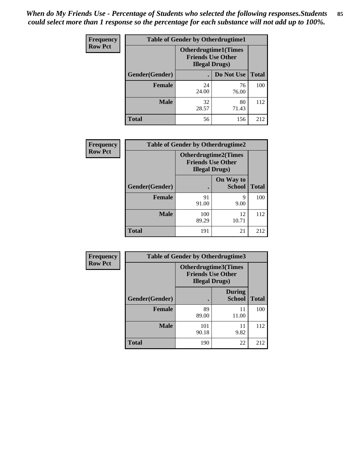| <b>Frequency</b> | <b>Table of Gender by Otherdrugtime1</b> |                                                                                    |             |              |
|------------------|------------------------------------------|------------------------------------------------------------------------------------|-------------|--------------|
| <b>Row Pct</b>   |                                          | <b>Otherdrugtime1</b> (Times<br><b>Friends Use Other</b><br><b>Illegal Drugs</b> ) |             |              |
|                  | Gender(Gender)                           |                                                                                    | Do Not Use  | <b>Total</b> |
|                  | <b>Female</b>                            | 24<br>24.00                                                                        | 76<br>76.00 | 100          |
|                  | <b>Male</b>                              | 32<br>28.57                                                                        | 80<br>71.43 | 112          |
|                  | <b>Total</b>                             | 56                                                                                 | 156         | 212          |

| Frequency      | <b>Table of Gender by Otherdrugtime2</b> |                                                                                   |                            |              |
|----------------|------------------------------------------|-----------------------------------------------------------------------------------|----------------------------|--------------|
| <b>Row Pct</b> |                                          | <b>Otherdrugtime2(Times</b><br><b>Friends Use Other</b><br><b>Illegal Drugs</b> ) |                            |              |
|                | Gender(Gender)                           |                                                                                   | On Way to<br><b>School</b> | <b>Total</b> |
|                | <b>Female</b>                            | 91<br>91.00                                                                       | 9<br>9.00                  | 100          |
|                | <b>Male</b>                              | 100<br>89.29                                                                      | 12<br>10.71                | 112          |
|                | <b>Total</b>                             | 191                                                                               | 21                         | 212          |

| <b>Frequency</b> | Table of Gender by Otherdrugtime3 |                                                                            |                                |              |
|------------------|-----------------------------------|----------------------------------------------------------------------------|--------------------------------|--------------|
| <b>Row Pct</b>   |                                   | Otherdrugtime3(Times<br><b>Friends Use Other</b><br><b>Illegal Drugs</b> ) |                                |              |
|                  | Gender(Gender)                    | $\bullet$                                                                  | <b>During</b><br><b>School</b> | <b>Total</b> |
|                  | <b>Female</b>                     | 89<br>89.00                                                                | 11<br>11.00                    | 100          |
|                  | <b>Male</b>                       | 101<br>90.18                                                               | 11<br>9.82                     | 112          |
|                  | <b>Total</b>                      | 190                                                                        | 22                             | 212          |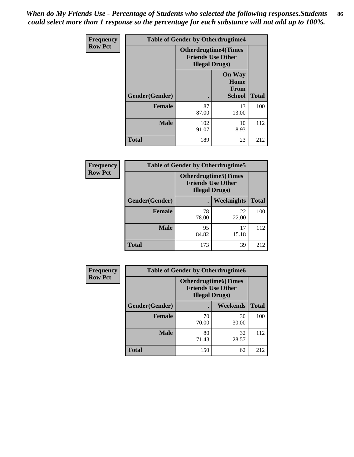*When do My Friends Use - Percentage of Students who selected the following responses.Students could select more than 1 response so the percentage for each substance will not add up to 100%.* **86**

| <b>Frequency</b> | <b>Table of Gender by Otherdrugtime4</b> |                                                                                   |                                                       |              |
|------------------|------------------------------------------|-----------------------------------------------------------------------------------|-------------------------------------------------------|--------------|
| <b>Row Pct</b>   |                                          | <b>Otherdrugtime4(Times</b><br><b>Friends Use Other</b><br><b>Illegal Drugs</b> ) |                                                       |              |
|                  | Gender(Gender)                           |                                                                                   | <b>On Way</b><br>Home<br><b>From</b><br><b>School</b> | <b>Total</b> |
|                  | <b>Female</b>                            | 87<br>87.00                                                                       | 13<br>13.00                                           | 100          |
|                  | <b>Male</b>                              | 102<br>91.07                                                                      | 10<br>8.93                                            | 112          |
|                  | <b>Total</b>                             | 189                                                                               | 23                                                    | 212          |

| Frequency      | <b>Table of Gender by Otherdrugtime5</b> |                                                                                    |             |              |
|----------------|------------------------------------------|------------------------------------------------------------------------------------|-------------|--------------|
| <b>Row Pct</b> |                                          | <b>Otherdrugtime5</b> (Times<br><b>Friends Use Other</b><br><b>Illegal Drugs</b> ) |             |              |
|                | Gender(Gender)                           |                                                                                    | Weeknights  | <b>Total</b> |
|                | <b>Female</b>                            | 78<br>78.00                                                                        | 22<br>22.00 | 100          |
|                | <b>Male</b>                              | 95<br>84.82                                                                        | 17<br>15.18 | 112          |
|                | <b>Total</b>                             | 173                                                                                | 39          | 212          |

| <b>Frequency</b> | <b>Table of Gender by Otherdrugtime6</b> |                                                                                   |                 |              |  |
|------------------|------------------------------------------|-----------------------------------------------------------------------------------|-----------------|--------------|--|
| <b>Row Pct</b>   |                                          | <b>Otherdrugtime6(Times</b><br><b>Friends Use Other</b><br><b>Illegal Drugs</b> ) |                 |              |  |
|                  | Gender(Gender)                           |                                                                                   | <b>Weekends</b> | <b>Total</b> |  |
|                  | <b>Female</b>                            | 70<br>70.00                                                                       | 30<br>30.00     | 100          |  |
|                  | <b>Male</b>                              | 80<br>71.43                                                                       | 32<br>28.57     | 112          |  |
|                  | <b>Total</b>                             | 150                                                                               | 62              | 212          |  |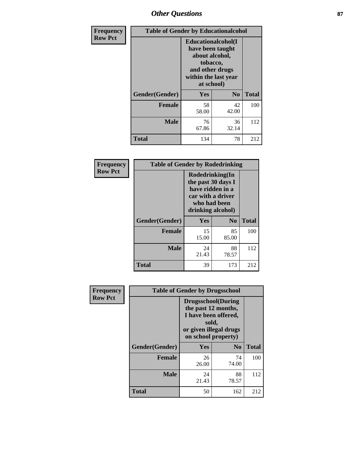# *Other Questions* **87**

| <b>Frequency</b> | <b>Table of Gender by Educationalcohol</b> |                                                                                                                                       |                |              |
|------------------|--------------------------------------------|---------------------------------------------------------------------------------------------------------------------------------------|----------------|--------------|
| <b>Row Pct</b>   |                                            | <b>Educationalcohol</b> (I<br>have been taught<br>about alcohol,<br>tobacco,<br>and other drugs<br>within the last year<br>at school) |                |              |
|                  | Gender(Gender)                             | <b>Yes</b>                                                                                                                            | N <sub>0</sub> | <b>Total</b> |
|                  | <b>Female</b>                              | 58<br>58.00                                                                                                                           | 42<br>42.00    | 100          |
|                  | <b>Male</b>                                | 76<br>67.86                                                                                                                           | 36<br>32.14    | 112          |
|                  | <b>Total</b>                               | 134                                                                                                                                   | 78             | 212          |

| Frequency      | <b>Table of Gender by Rodedrinking</b> |                                                                                                                     |             |              |  |
|----------------|----------------------------------------|---------------------------------------------------------------------------------------------------------------------|-------------|--------------|--|
| <b>Row Pct</b> |                                        | Rodedrinking(In<br>the past 30 days I<br>have ridden in a<br>car with a driver<br>who had been<br>drinking alcohol) |             |              |  |
|                | Gender(Gender)                         | Yes                                                                                                                 | $\bf N_0$   | <b>Total</b> |  |
|                | <b>Female</b>                          | 15<br>15.00                                                                                                         | 85<br>85.00 | 100          |  |
|                | <b>Male</b>                            | 24<br>21.43                                                                                                         | 88<br>78.57 | 112          |  |
|                | <b>Total</b>                           | 39                                                                                                                  | 173         | 212          |  |

| Frequency      | <b>Table of Gender by Drugsschool</b> |                                                                                                                                     |                |              |  |
|----------------|---------------------------------------|-------------------------------------------------------------------------------------------------------------------------------------|----------------|--------------|--|
| <b>Row Pct</b> |                                       | <b>Drugsschool</b> (During<br>the past 12 months,<br>I have been offered,<br>sold,<br>or given illegal drugs<br>on school property) |                |              |  |
|                | Gender(Gender)                        | Yes                                                                                                                                 | N <sub>0</sub> | <b>Total</b> |  |
|                | <b>Female</b>                         | 26<br>26.00                                                                                                                         | 74<br>74.00    | 100          |  |
|                | <b>Male</b>                           | 24<br>21.43                                                                                                                         | 88<br>78.57    | 112          |  |
|                | <b>Total</b>                          | 50                                                                                                                                  | 162            | 212          |  |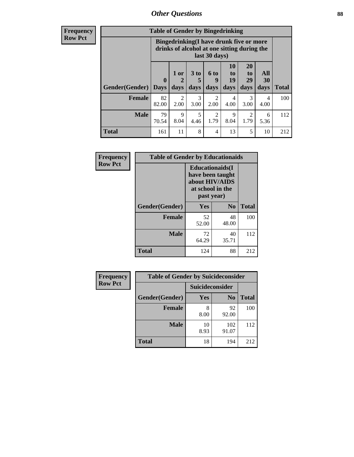# *Other Questions* **88**

**Frequency Row Pct**

| <b>Table of Gender by Bingedrinking</b> |                         |                                                                                                         |                   |                       |                        |                               |                   |              |
|-----------------------------------------|-------------------------|---------------------------------------------------------------------------------------------------------|-------------------|-----------------------|------------------------|-------------------------------|-------------------|--------------|
|                                         |                         | Bingedrinking(I have drunk five or more<br>drinks of alcohol at one sitting during the<br>last 30 days) |                   |                       |                        |                               |                   |              |
| <b>Gender</b> (Gender)                  | $\bf{0}$<br><b>Days</b> | $1$ or<br>days                                                                                          | 3 to<br>5<br>days | 6 to<br>9<br>days     | 10<br>to<br>19<br>days | <b>20</b><br>to<br>29<br>days | All<br>30<br>days | <b>Total</b> |
| <b>Female</b>                           | 82<br>82.00             | 2<br>2.00                                                                                               | 3<br>3.00         | 2<br>2.00             | 4<br>4.00              | 3<br>3.00                     | 4<br>4.00         | 100          |
| <b>Male</b>                             | 79<br>70.54             | 9<br>8.04                                                                                               | 5<br>4.46         | $\mathcal{D}$<br>1.79 | 9<br>8.04              | 2<br>1.79                     | 6<br>5.36         | 112          |
| <b>Total</b>                            |                         |                                                                                                         |                   |                       |                        |                               |                   |              |

| Frequency      | <b>Table of Gender by Educationaids</b> |                                                                                                 |             |              |  |  |
|----------------|-----------------------------------------|-------------------------------------------------------------------------------------------------|-------------|--------------|--|--|
| <b>Row Pct</b> |                                         | <b>Educationaids</b> (I<br>have been taught<br>about HIV/AIDS<br>at school in the<br>past year) |             |              |  |  |
|                | Gender(Gender)                          | Yes                                                                                             | $\bf N_0$   | <b>Total</b> |  |  |
|                | <b>Female</b>                           | 52<br>52.00                                                                                     | 48<br>48.00 | 100          |  |  |
|                | <b>Male</b>                             | 72<br>64.29                                                                                     | 40<br>35.71 | 112          |  |  |
|                | <b>Total</b>                            | 124                                                                                             | 88          | 212          |  |  |

| Frequency      | <b>Table of Gender by Suicideconsider</b> |                        |                |       |  |
|----------------|-------------------------------------------|------------------------|----------------|-------|--|
| <b>Row Pct</b> |                                           | <b>Suicideconsider</b> |                |       |  |
|                | Gender(Gender)                            | Yes                    | N <sub>0</sub> | Total |  |
|                | <b>Female</b>                             | 8<br>8.00              | 92<br>92.00    | 100   |  |
|                | <b>Male</b>                               | 10<br>8.93             | 102<br>91.07   | 112   |  |
|                | <b>Total</b>                              | 18                     | 194            | 212   |  |